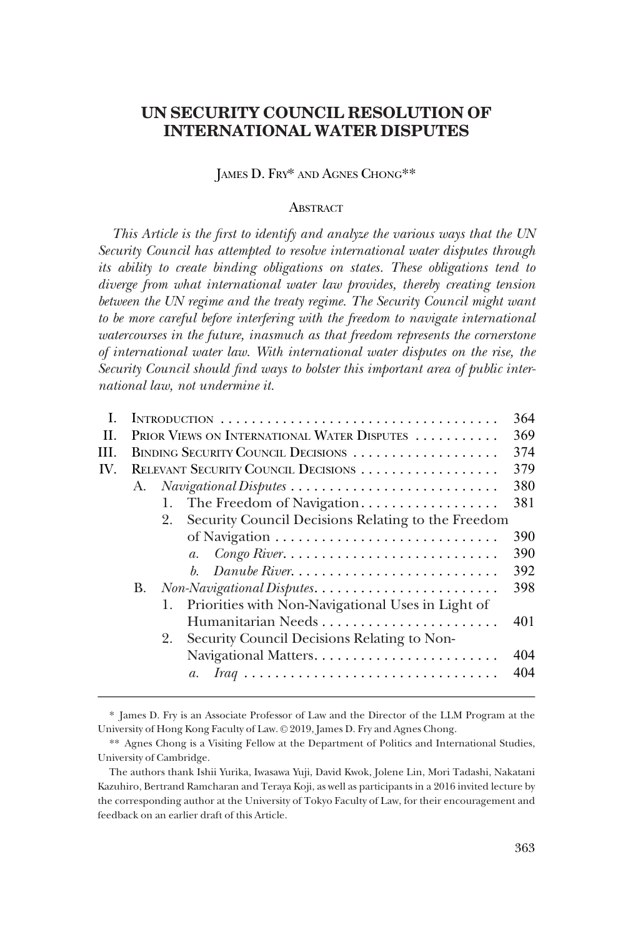# **UN SECURITY COUNCIL RESOLUTION OF INTERNATIONAL WATER DISPUTES**

# JAMES D. FRY\* AND AGNES CHONG\*\*

# **ABSTRACT**

*This Article is the first to identify and analyze the various ways that the UN Security Council has attempted to resolve international water disputes through its ability to create binding obligations on states. These obligations tend to diverge from what international water law provides, thereby creating tension*  between the UN regime and the treaty regime. The Security Council might want to be more careful before interfering with the freedom to navigate international *watercourses in the future, inasmuch as that freedom represents the cornerstone of international water law. With international water disputes on the rise, the Security Council should find ways to bolster this important area of public international law, not undermine it.* 

| L   | 364<br>INTRODUCTION                                      |                                                                                          |     |  |
|-----|----------------------------------------------------------|------------------------------------------------------------------------------------------|-----|--|
| H.  | PRIOR VIEWS ON INTERNATIONAL WATER DISPUTES<br>369       |                                                                                          |     |  |
| HL. | 374<br>BINDING SECURITY COUNCIL DECISIONS                |                                                                                          |     |  |
| IV. | RELEVANT SECURITY COUNCIL DECISIONS<br>A.                |                                                                                          |     |  |
|     |                                                          |                                                                                          |     |  |
|     |                                                          | The Freedom of Navigation<br>1.                                                          | 381 |  |
|     | Security Council Decisions Relating to the Freedom<br>2. |                                                                                          |     |  |
|     |                                                          |                                                                                          | 390 |  |
|     |                                                          | $\textit{Congo River.}\dots\dots\dots\dots\dots\dots\dots\dots\dots\dots$<br>$a_{\cdot}$ | 390 |  |
|     |                                                          | Danube River<br>$h_{\cdot}$                                                              | 392 |  |
|     | В.                                                       |                                                                                          | 398 |  |
|     |                                                          | Priorities with Non-Navigational Uses in Light of<br>1.                                  |     |  |
|     |                                                          |                                                                                          | 401 |  |
|     |                                                          | Security Council Decisions Relating to Non-<br>2.                                        |     |  |
|     |                                                          |                                                                                          | 404 |  |
|     |                                                          | $a_{\cdot}$                                                                              | 404 |  |
|     |                                                          |                                                                                          |     |  |

<sup>\*</sup> James D. Fry is an Associate Professor of Law and the Director of the LLM Program at the University of Hong Kong Faculty of Law. © 2019, James D. Fry and Agnes Chong.

<sup>\*\*</sup> Agnes Chong is a Visiting Fellow at the Department of Politics and International Studies, University of Cambridge.

The authors thank Ishii Yurika, Iwasawa Yuji, David Kwok, Jolene Lin, Mori Tadashi, Nakatani Kazuhiro, Bertrand Ramcharan and Teraya Koji, as well as participants in a 2016 invited lecture by the corresponding author at the University of Tokyo Faculty of Law, for their encouragement and feedback on an earlier draft of this Article.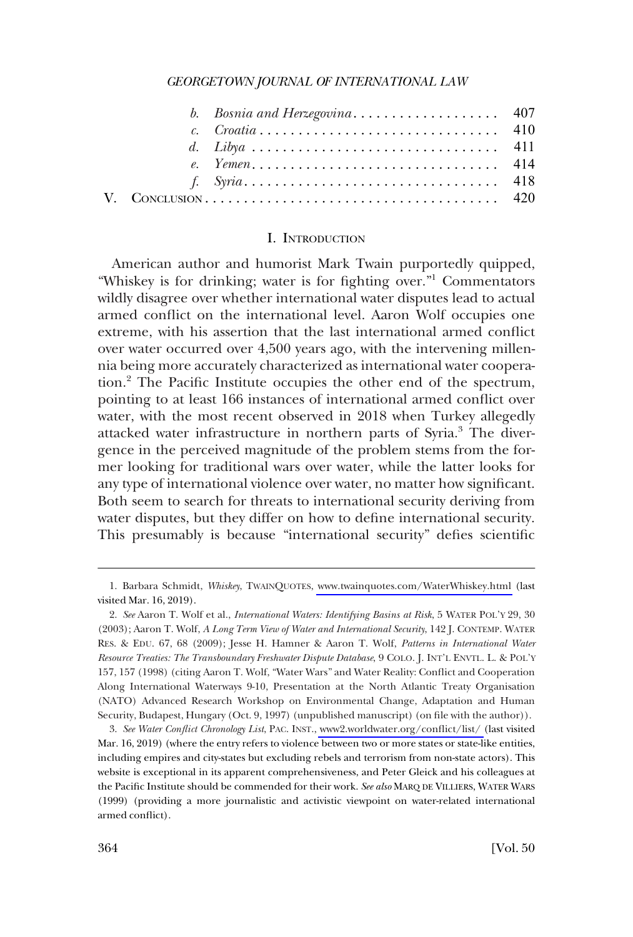<span id="page-1-0"></span>

#### I. INTRODUCTION

American author and humorist Mark Twain purportedly quipped, "Whiskey is for drinking; water is for fighting over."<sup>1</sup> Commentators wildly disagree over whether international water disputes lead to actual armed conflict on the international level. Aaron Wolf occupies one extreme, with his assertion that the last international armed conflict over water occurred over 4,500 years ago, with the intervening millennia being more accurately characterized as international water cooperation.2 The Pacific Institute occupies the other end of the spectrum, pointing to at least 166 instances of international armed conflict over water, with the most recent observed in 2018 when Turkey allegedly attacked water infrastructure in northern parts of Syria.<sup>3</sup> The divergence in the perceived magnitude of the problem stems from the former looking for traditional wars over water, while the latter looks for any type of international violence over water, no matter how significant. Both seem to search for threats to international security deriving from water disputes, but they differ on how to define international security. This presumably is because "international security" defies scientific

<sup>1.</sup> Barbara Schmidt, Whiskey, TwAINQUOTES, [www.twainquotes.com/WaterWhiskey.html](http://www.twainquotes.com/WaterWhiskey.html) (last visited Mar. 16, 2019).

<sup>2.</sup> *See* Aaron T. Wolf et al., *International Waters: Identifying Basins at Risk*, 5 WATER POL'Y 29, 30 (2003); Aaron T. Wolf, *A Long Term View of Water and International Security*, 142 J. CONTEMP. WATER RES. & EDU. 67, 68 (2009); Jesse H. Hamner & Aaron T. Wolf, *Patterns in International Water Resource Treaties: The Transboundary Freshwater Dispute Database*, 9 COLO. J. INT'L ENVTL. L. & POL'Y 157, 157 (1998) (citing Aaron T. Wolf, "Water Wars" and Water Reality: Conflict and Cooperation Along International Waterways 9-10, Presentation at the North Atlantic Treaty Organisation (NATO) Advanced Research Workshop on Environmental Change, Adaptation and Human Security, Budapest, Hungary (Oct. 9, 1997) (unpublished manuscript) (on file with the author)).

*See Water Conflict Chronology List*, PAC. INST., [www2.worldwater.org/conflict/list/](http://www2.worldwater.org/conflict/list/) (last visited 3. Mar. 16, 2019) (where the entry refers to violence between two or more states or state-like entities, including empires and city-states but excluding rebels and terrorism from non-state actors). This website is exceptional in its apparent comprehensiveness, and Peter Gleick and his colleagues at the Pacific Institute should be commended for their work. *See also* MARQ DE VILLIERS, WATER WARS (1999) (providing a more journalistic and activistic viewpoint on water-related international armed conflict).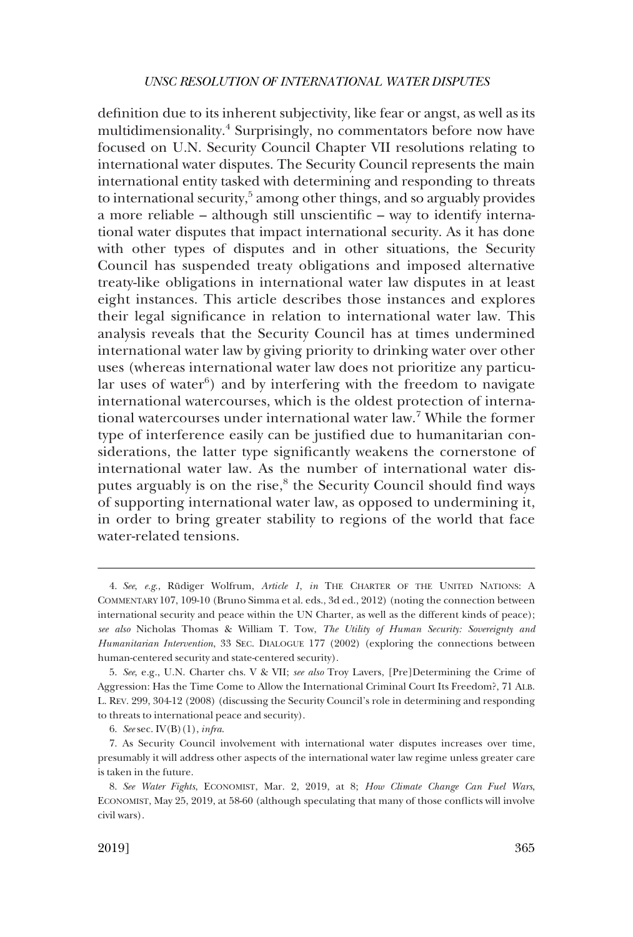definition due to its inherent subjectivity, like fear or angst, as well as its multidimensionality.<sup>4</sup> Surprisingly, no commentators before now have focused on U.N. Security Council Chapter VII resolutions relating to international water disputes. The Security Council represents the main international entity tasked with determining and responding to threats to international security,<sup>5</sup> among other things, and so arguably provides a more reliable – although still unscientific – way to identify international water disputes that impact international security. As it has done with other types of disputes and in other situations, the Security Council has suspended treaty obligations and imposed alternative treaty-like obligations in international water law disputes in at least eight instances. This article describes those instances and explores their legal significance in relation to international water law. This analysis reveals that the Security Council has at times undermined international water law by giving priority to drinking water over other uses (whereas international water law does not prioritize any particular uses of water $6$ ) and by interfering with the freedom to navigate international watercourses, which is the oldest protection of international watercourses under international water law.7 While the former type of interference easily can be justified due to humanitarian considerations, the latter type significantly weakens the cornerstone of international water law. As the number of international water disputes arguably is on the rise,<sup>8</sup> the Security Council should find ways of supporting international water law, as opposed to undermining it, in order to bring greater stability to regions of the world that face water-related tensions.

<sup>4.</sup> See, e.g., Rüdiger Wolfrum, Article 1, in THE CHARTER OF THE UNITED NATIONS: A COMMENTARY 107, 109-10 (Bruno Simma et al. eds., 3d ed., 2012) (noting the connection between international security and peace within the UN Charter, as well as the different kinds of peace); *see also* Nicholas Thomas & William T. Tow, *The Utility of Human Security: Sovereignty and Humanitarian Intervention*, 33 SEC. DIALOGUE 177 (2002) (exploring the connections between human-centered security and state-centered security).

<sup>5.</sup> *See*, e.g., U.N. Charter chs. V & VII; *see also* Troy Lavers, [Pre]Determining the Crime of Aggression: Has the Time Come to Allow the International Criminal Court Its Freedom?, 71 ALB. L. REV. 299, 304-12 (2008) (discussing the Security Council's role in determining and responding to threats to international peace and security).

<sup>6.</sup> *See* sec. IV(B)(1), *infra*.

<sup>7.</sup> As Security Council involvement with international water disputes increases over time, presumably it will address other aspects of the international water law regime unless greater care is taken in the future.

<sup>8.</sup> *See Water Fights*, ECONOMIST, Mar. 2, 2019, at 8; *How Climate Change Can Fuel Wars*, ECONOMIST, May 25, 2019, at 58-60 (although speculating that many of those conflicts will involve civil wars).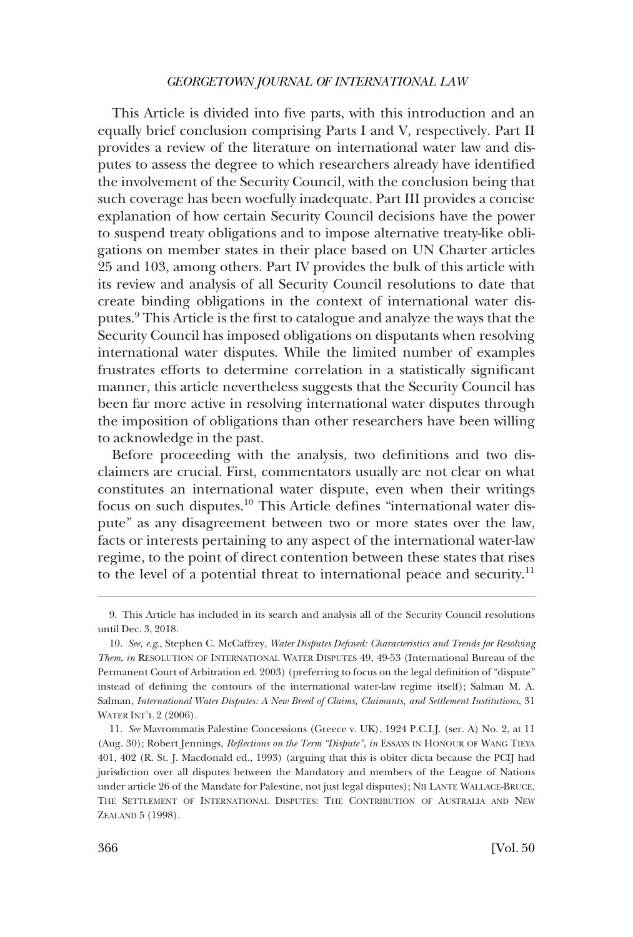This Article is divided into five parts, with this introduction and an equally brief conclusion comprising Parts I and V, respectively. Part II provides a review of the literature on international water law and disputes to assess the degree to which researchers already have identified the involvement of the Security Council, with the conclusion being that such coverage has been woefully inadequate. Part III provides a concise explanation of how certain Security Council decisions have the power to suspend treaty obligations and to impose alternative treaty-like obligations on member states in their place based on UN Charter articles 25 and 103, among others. Part IV provides the bulk of this article with its review and analysis of all Security Council resolutions to date that create binding obligations in the context of international water disputes.9 This Article is the first to catalogue and analyze the ways that the Security Council has imposed obligations on disputants when resolving international water disputes. While the limited number of examples frustrates efforts to determine correlation in a statistically significant manner, this article nevertheless suggests that the Security Council has been far more active in resolving international water disputes through the imposition of obligations than other researchers have been willing to acknowledge in the past.

Before proceeding with the analysis, two definitions and two disclaimers are crucial. First, commentators usually are not clear on what constitutes an international water dispute, even when their writings focus on such disputes.10 This Article defines "international water dispute" as any disagreement between two or more states over the law, facts or interests pertaining to any aspect of the international water-law regime, to the point of direct contention between these states that rises to the level of a potential threat to international peace and security.<sup>11</sup>

<sup>9.</sup> This Article has included in its search and analysis all of the Security Council resolutions until Dec. 3, 2018.

<sup>10.</sup> *See, e.g*., Stephen C. McCaffrey, *Water Disputes Defined: Characteristics and Trends for Resolving Them*, *in* RESOLUTION OF INTERNATIONAL WATER DISPUTES 49, 49-53 (International Bureau of the Permanent Court of Arbitration ed. 2003) (preferring to focus on the legal definition of "dispute" instead of defining the contours of the international water-law regime itself); Salman M. A. Salman, *International Water Disputes: A New Breed of Claims, Claimants, and Settlement Institutions*, 31 WATER INT'L 2 (2006).

<sup>11.</sup> *See* Mavrommatis Palestine Concessions (Greece v. UK), 1924 P.C.I.J. (ser. A) No. 2, at 11 (Aug. 30); Robert Jennings, *Reflections on the Term "Dispute"*, *in* ESSAYS IN HONOUR OF WANG TIEYA 401, 402 (R. St. J. Macdonald ed., 1993) (arguing that this is obiter dicta because the PCIJ had jurisdiction over all disputes between the Mandatory and members of the League of Nations under article 26 of the Mandate for Palestine, not just legal disputes); NII LANTE WALLACE-BRUCE, THE SETTLEMENT OF INTERNATIONAL DISPUTES: THE CONTRIBUTION OF AUSTRALIA AND NEW ZEALAND 5 (1998).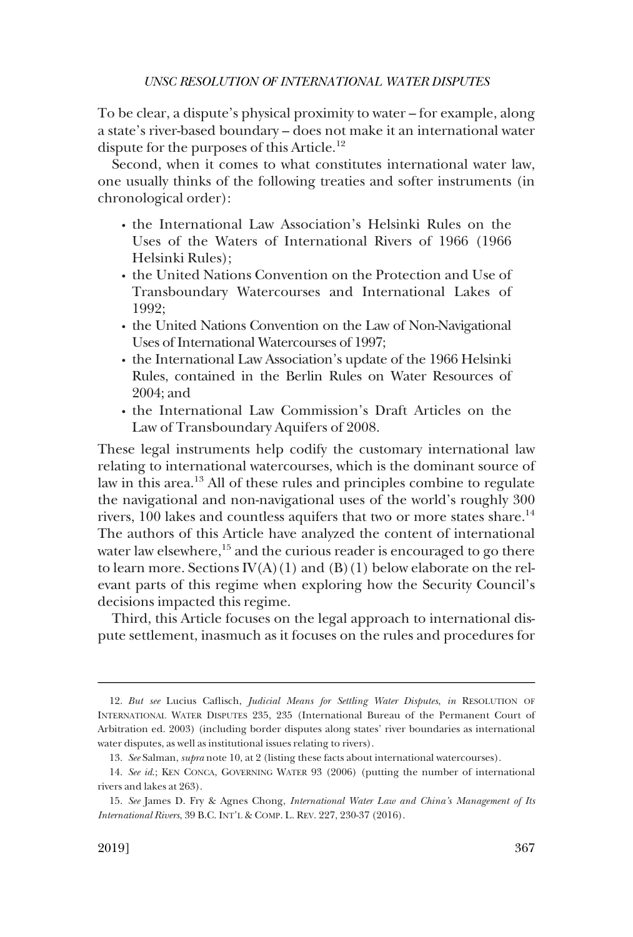To be clear, a dispute's physical proximity to water – for example, along a state's river-based boundary – does not make it an international water dispute for the purposes of this Article.<sup>12</sup>

Second, when it comes to what constitutes international water law, one usually thinks of the following treaties and softer instruments (in chronological order):

- � the International Law Association's Helsinki Rules on the Uses of the Waters of International Rivers of 1966 (1966 Helsinki Rules);
- � the United Nations Convention on the Protection and Use of Transboundary Watercourses and International Lakes of 1992;
- the United Nations Convention on the Law of Non-Navigational Uses of International Watercourses of 1997;
- � the International Law Association's update of the 1966 Helsinki Rules, contained in the Berlin Rules on Water Resources of 2004; and
- � the International Law Commission's Draft Articles on the Law of Transboundary Aquifers of 2008.

These legal instruments help codify the customary international law relating to international watercourses, which is the dominant source of law in this area.<sup>13</sup> All of these rules and principles combine to regulate the navigational and non-navigational uses of the world's roughly 300 rivers,  $100$  lakes and countless aquifers that two or more states share.<sup>14</sup> The authors of this Article have analyzed the content of international water law elsewhere, $15$  and the curious reader is encouraged to go there to learn more. Sections  $IV(A)(1)$  and  $(B)(1)$  below elaborate on the relevant parts of this regime when exploring how the Security Council's decisions impacted this regime.

Third, this Article focuses on the legal approach to international dispute settlement, inasmuch as it focuses on the rules and procedures for

<sup>12.</sup> *But see* Lucius Caflisch, *Judicial Means for Settling Water Disputes*, *in* RESOLUTION OF INTERNATIONAL WATER DISPUTES 235, 235 (International Bureau of the Permanent Court of Arbitration ed. 2003) (including border disputes along states' river boundaries as international water disputes, as well as institutional issues relating to rivers).

<sup>13.</sup> *See* Salman, *supra* note 10, at 2 (listing these facts about international watercourses).

<sup>14.</sup> *See id*.; KEN CONCA, GOVERNING WATER 93 (2006) (putting the number of international rivers and lakes at 263).

<sup>15.</sup> *See* James D. Fry & Agnes Chong, *International Water Law and China's Management of Its International Rivers*, 39 B.C. INT'L & COMP. L. REV. 227, 230-37 (2016).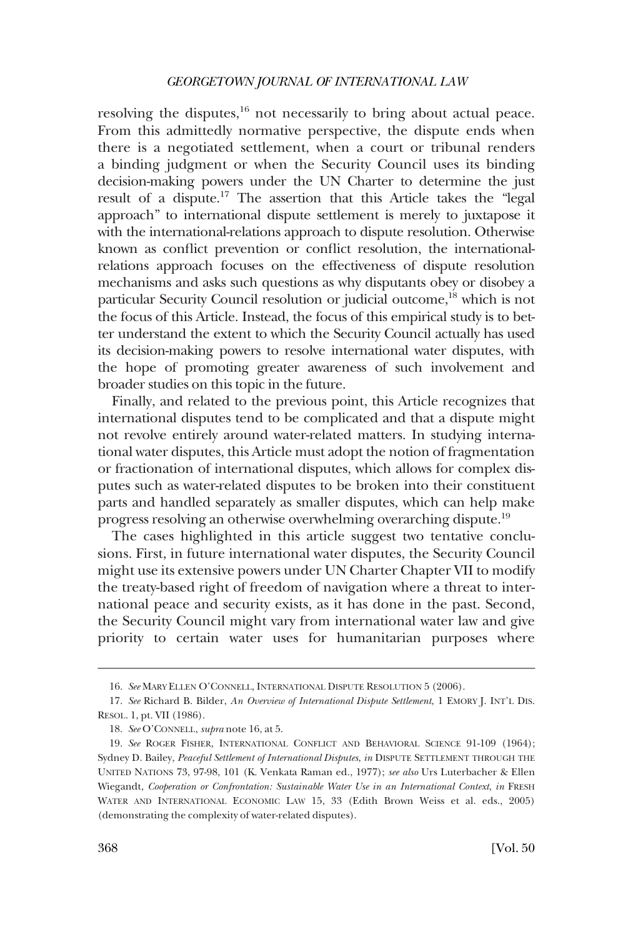resolving the disputes, $^{16}$  not necessarily to bring about actual peace. From this admittedly normative perspective, the dispute ends when there is a negotiated settlement, when a court or tribunal renders a binding judgment or when the Security Council uses its binding decision-making powers under the UN Charter to determine the just result of a dispute.17 The assertion that this Article takes the "legal approach" to international dispute settlement is merely to juxtapose it with the international-relations approach to dispute resolution. Otherwise known as conflict prevention or conflict resolution, the internationalrelations approach focuses on the effectiveness of dispute resolution mechanisms and asks such questions as why disputants obey or disobey a particular Security Council resolution or judicial outcome,<sup>18</sup> which is not the focus of this Article. Instead, the focus of this empirical study is to better understand the extent to which the Security Council actually has used its decision-making powers to resolve international water disputes, with the hope of promoting greater awareness of such involvement and broader studies on this topic in the future.

Finally, and related to the previous point, this Article recognizes that international disputes tend to be complicated and that a dispute might not revolve entirely around water-related matters. In studying international water disputes, this Article must adopt the notion of fragmentation or fractionation of international disputes, which allows for complex disputes such as water-related disputes to be broken into their constituent parts and handled separately as smaller disputes, which can help make progress resolving an otherwise overwhelming overarching dispute.19

The cases highlighted in this article suggest two tentative conclusions. First, in future international water disputes, the Security Council might use its extensive powers under UN Charter Chapter VII to modify the treaty-based right of freedom of navigation where a threat to international peace and security exists, as it has done in the past. Second, the Security Council might vary from international water law and give priority to certain water uses for humanitarian purposes where

<sup>16.</sup> *See* MARY ELLEN O'CONNELL, INTERNATIONAL DISPUTE RESOLUTION 5 (2006).

<sup>17.</sup> *See* Richard B. Bilder, *An Overview of International Dispute Settlement*, 1 EMORY J. INT'L DIS. RESOL. 1, pt. VII (1986).

<sup>18.</sup> *See* O'CONNELL, *supra* note 16, at 5.

<sup>19.</sup> *See* ROGER FISHER, INTERNATIONAL CONFLICT AND BEHAVIORAL SCIENCE 91-109 (1964); Sydney D. Bailey, *Peaceful Settlement of International Disputes*, *in* DISPUTE SETTLEMENT THROUGH THE UNITED NATIONS 73, 97-98, 101 (K. Venkata Raman ed., 1977); *see also* Urs Luterbacher & Ellen Wiegandt, *Cooperation or Confrontation: Sustainable Water Use in an International Context*, *in* FRESH WATER AND INTERNATIONAL ECONOMIC LAW 15, 33 (Edith Brown Weiss et al. eds., 2005) (demonstrating the complexity of water-related disputes).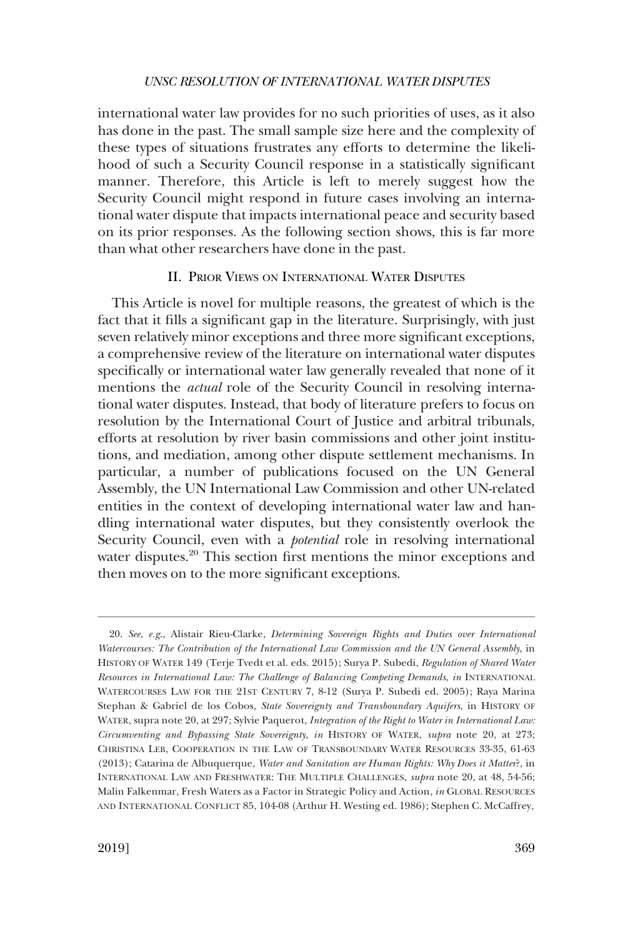<span id="page-6-0"></span>international water law provides for no such priorities of uses, as it also has done in the past. The small sample size here and the complexity of these types of situations frustrates any efforts to determine the likelihood of such a Security Council response in a statistically significant manner. Therefore, this Article is left to merely suggest how the Security Council might respond in future cases involving an international water dispute that impacts international peace and security based on its prior responses. As the following section shows, this is far more than what other researchers have done in the past.

# II. PRIOR VIEWS ON INTERNATIONAL WATER DISPUTES

This Article is novel for multiple reasons, the greatest of which is the fact that it fills a significant gap in the literature. Surprisingly, with just seven relatively minor exceptions and three more significant exceptions, a comprehensive review of the literature on international water disputes specifically or international water law generally revealed that none of it mentions the *actual* role of the Security Council in resolving international water disputes. Instead, that body of literature prefers to focus on resolution by the International Court of Justice and arbitral tribunals, efforts at resolution by river basin commissions and other joint institutions, and mediation, among other dispute settlement mechanisms. In particular, a number of publications focused on the UN General Assembly, the UN International Law Commission and other UN-related entities in the context of developing international water law and handling international water disputes, but they consistently overlook the Security Council, even with a *potential* role in resolving international water disputes.<sup>20</sup> This section first mentions the minor exceptions and then moves on to the more significant exceptions.

<sup>20.</sup> *See*, *e.g*., Alistair Rieu-Clarke, *Determining Sovereign Rights and Duties over International Watercourses: The Contribution of the International Law Commission and the UN General Assembly*, in HISTORY OF WATER 149 (Terje Tvedt et al. eds. 2015); Surya P. Subedi, *Regulation of Shared Water Resources in International Law: The Challenge of Balancing Competing Demands*, *in* INTERNATIONAL WATERCOURSES LAW FOR THE 21ST CENTURY 7, 8-12 (Surya P. Subedi ed. 2005); Raya Marina Stephan & Gabriel de los Cobos, *State Sovereignty and Transboundary Aquifers*, in HISTORY OF WATER, supra note 20, at 297; Sylvie Paquerot, *Integration of the Right to Water in International Law: Circumventing and Bypassing State Sovereignty*, *in* HISTORY OF WATER, *supra* note 20, at 273; CHRISTINA LEB, COOPERATION IN THE LAW OF TRANSBOUNDARY WATER RESOURCES 33-35, 61-63 (2013); Catarina de Albuquerque, *Water and Sanitation are Human Rights: Why Does it Matter*?, in INTERNATIONAL LAW AND FRESHWATER: THE MULTIPLE CHALLENGES, *supra* note 20, at 48, 54-56; Malin Falkenmar, Fresh Waters as a Factor in Strategic Policy and Action, *in* GLOBAL RESOURCES AND INTERNATIONAL CONFLICT 85, 104-08 (Arthur H. Westing ed. 1986); Stephen C. McCaffrey,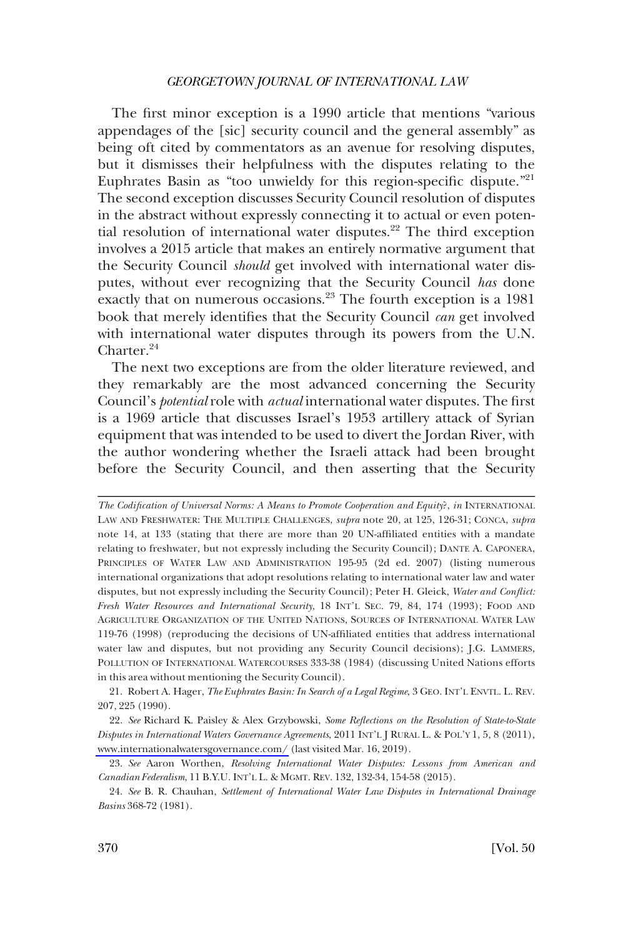The first minor exception is a 1990 article that mentions "various appendages of the [sic] security council and the general assembly" as being oft cited by commentators as an avenue for resolving disputes, but it dismisses their helpfulness with the disputes relating to the Euphrates Basin as "too unwieldy for this region-specific dispute."<sup>21</sup> The second exception discusses Security Council resolution of disputes in the abstract without expressly connecting it to actual or even potential resolution of international water disputes.<sup>22</sup> The third exception involves a 2015 article that makes an entirely normative argument that the Security Council *should* get involved with international water disputes, without ever recognizing that the Security Council *has* done exactly that on numerous occasions.<sup>23</sup> The fourth exception is a 1981 book that merely identifies that the Security Council *can* get involved with international water disputes through its powers from the U.N. Charter.<sup>24</sup>

The next two exceptions are from the older literature reviewed, and they remarkably are the most advanced concerning the Security Council's *potential* role with *actual* international water disputes. The first is a 1969 article that discusses Israel's 1953 artillery attack of Syrian equipment that was intended to be used to divert the Jordan River, with the author wondering whether the Israeli attack had been brought before the Security Council, and then asserting that the Security

21. Robert A. Hager, *The Euphrates Basin: In Search of a Legal Regime*, 3 GEO. INT'L ENVTL. L. REV. 207, 225 (1990).

*See* Richard K. Paisley & Alex Grzybowski, *Some Reflections on the Resolution of State-to-State*  22. *Disputes in International Waters Governance Agreements*, 2011 INT'L J RURAL L. & POL'Y 1, 5, 8 (2011), [www.internationalwatersgovernance.com/](http://www.internationalwatersgovernance.com/) (last visited Mar. 16, 2019).

*The Codification of Universal Norms: A Means to Promote Cooperation and Equity*?, *in* INTERNATIONAL LAW AND FRESHWATER: THE MULTIPLE CHALLENGES, *supra* note 20, at 125, 126-31; CONCA, *supra*  note 14, at 133 (stating that there are more than 20 UN-affiliated entities with a mandate relating to freshwater, but not expressly including the Security Council); DANTE A. CAPONERA, PRINCIPLES OF WATER LAW AND ADMINISTRATION 195-95 (2d ed. 2007) (listing numerous international organizations that adopt resolutions relating to international water law and water disputes, but not expressly including the Security Council); Peter H. Gleick, *Water and Conflict: Fresh Water Resources and International Security*, 18 INT'L SEC. 79, 84, 174 (1993); FOOD AND AGRICULTURE ORGANIZATION OF THE UNITED NATIONS, SOURCES OF INTERNATIONAL WATER LAW 119-76 (1998) (reproducing the decisions of UN-affiliated entities that address international water law and disputes, but not providing any Security Council decisions); J.G. LAMMERS, POLLUTION OF INTERNATIONAL WATERCOURSES 333-38 (1984) (discussing United Nations efforts in this area without mentioning the Security Council).

<sup>23.</sup> *See* Aaron Worthen, *Resolving International Water Disputes: Lessons from American and Canadian Federalism*, 11 B.Y.U. INT'L L. & MGMT. REV. 132, 132-34, 154-58 (2015).

<sup>24.</sup> *See* B. R. Chauhan, *Settlement of International Water Law Disputes in International Drainage Basins* 368-72 (1981).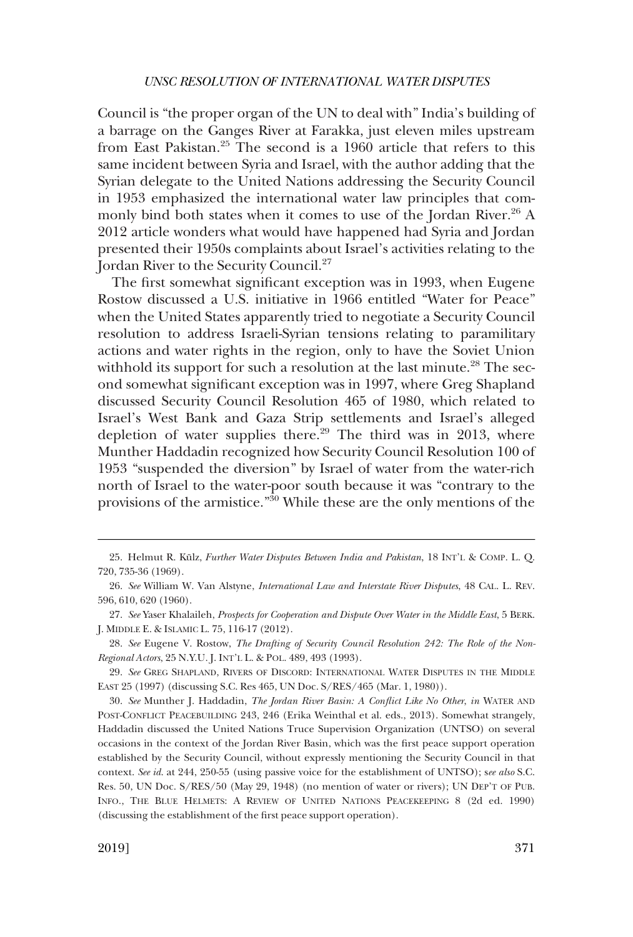Council is "the proper organ of the UN to deal with" India's building of a barrage on the Ganges River at Farakka, just eleven miles upstream from East Pakistan.25 The second is a 1960 article that refers to this same incident between Syria and Israel, with the author adding that the Syrian delegate to the United Nations addressing the Security Council in 1953 emphasized the international water law principles that commonly bind both states when it comes to use of the Jordan River.<sup>26</sup> A 2012 article wonders what would have happened had Syria and Jordan presented their 1950s complaints about Israel's activities relating to the Jordan River to the Security Council.<sup>27</sup>

The first somewhat significant exception was in 1993, when Eugene Rostow discussed a U.S. initiative in 1966 entitled "Water for Peace" when the United States apparently tried to negotiate a Security Council resolution to address Israeli-Syrian tensions relating to paramilitary actions and water rights in the region, only to have the Soviet Union withhold its support for such a resolution at the last minute.<sup>28</sup> The second somewhat significant exception was in 1997, where Greg Shapland discussed Security Council Resolution 465 of 1980, which related to Israel's West Bank and Gaza Strip settlements and Israel's alleged depletion of water supplies there.<sup>29</sup> The third was in 2013, where Munther Haddadin recognized how Security Council Resolution 100 of 1953 "suspended the diversion" by Israel of water from the water-rich north of Israel to the water-poor south because it was "contrary to the provisions of the armistice."30 While these are the only mentions of the

<sup>25.</sup> Helmut R. Külz, *Further Water Disputes Between India and Pakistan*, 18 INT'L & COMP. L. Q. 720, 735-36 (1969).

<sup>26.</sup> *See* William W. Van Alstyne, *International Law and Interstate River Disputes*, 48 CAL. L. REV. 596, 610, 620 (1960).

<sup>27.</sup> *See* Yaser Khalaileh, *Prospects for Cooperation and Dispute Over Water in the Middle East*, 5 BERK. J. MIDDLE E. & ISLAMIC L. 75, 116-17 (2012).

<sup>28.</sup> *See* Eugene V. Rostow, *The Drafting of Security Council Resolution 242: The Role of the Non-Regional Actors*, 25 N.Y.U. J. INT'L L. & POL. 489, 493 (1993).

<sup>29.</sup> *See* GREG SHAPLAND, RIVERS OF DISCORD: INTERNATIONAL WATER DISPUTES IN THE MIDDLE EAST 25 (1997) (discussing S.C. Res 465, UN Doc. S/RES/465 (Mar. 1, 1980)).

<sup>30.</sup> *See* Munther J. Haddadin, *The Jordan River Basin: A Conflict Like No Other*, *in* WATER AND POST-CONFLICT PEACEBUILDING 243, 246 (Erika Weinthal et al. eds., 2013). Somewhat strangely, Haddadin discussed the United Nations Truce Supervision Organization (UNTSO) on several occasions in the context of the Jordan River Basin, which was the first peace support operation established by the Security Council, without expressly mentioning the Security Council in that context. *See id*. at 244, 250-55 (using passive voice for the establishment of UNTSO); s*ee also* S.C. Res. 50, UN Doc. S/RES/50 (May 29, 1948) (no mention of water or rivers); UN DEP'T OF PUB. INFO., THE BLUE HELMETS: A REVIEW OF UNITED NATIONS PEACEKEEPING 8 (2d ed. 1990) (discussing the establishment of the first peace support operation).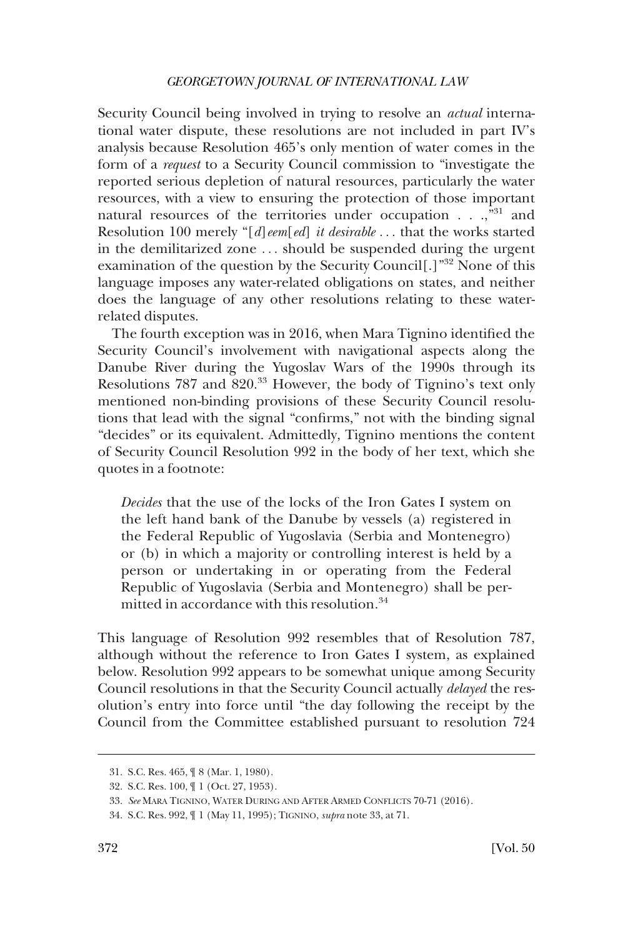Security Council being involved in trying to resolve an *actual* international water dispute, these resolutions are not included in part IV's analysis because Resolution 465's only mention of water comes in the form of a *request* to a Security Council commission to "investigate the reported serious depletion of natural resources, particularly the water resources, with a view to ensuring the protection of those important natural resources of the territories under occupation . . .,"<sup>31</sup> and Resolution 100 merely "[*d*]*eem*[*ed*] *it desirable* . . . that the works started in the demilitarized zone . . . should be suspended during the urgent examination of the question by the Security Council[.]"<sup>32</sup> None of this language imposes any water-related obligations on states, and neither does the language of any other resolutions relating to these waterrelated disputes.

The fourth exception was in 2016, when Mara Tignino identified the Security Council's involvement with navigational aspects along the Danube River during the Yugoslav Wars of the 1990s through its Resolutions 787 and 820.<sup>33</sup> However, the body of Tignino's text only mentioned non-binding provisions of these Security Council resolutions that lead with the signal "confirms," not with the binding signal "decides" or its equivalent. Admittedly, Tignino mentions the content of Security Council Resolution 992 in the body of her text, which she quotes in a footnote:

*Decides* that the use of the locks of the Iron Gates I system on the left hand bank of the Danube by vessels (a) registered in the Federal Republic of Yugoslavia (Serbia and Montenegro) or (b) in which a majority or controlling interest is held by a person or undertaking in or operating from the Federal Republic of Yugoslavia (Serbia and Montenegro) shall be permitted in accordance with this resolution.<sup>34</sup>

This language of Resolution 992 resembles that of Resolution 787, although without the reference to Iron Gates I system, as explained below. Resolution 992 appears to be somewhat unique among Security Council resolutions in that the Security Council actually *delayed* the resolution's entry into force until "the day following the receipt by the Council from the Committee established pursuant to resolution 724

<sup>31.</sup> S.C. Res. 465, ¶ 8 (Mar. 1, 1980).

<sup>32.</sup> S.C. Res. 100, ¶ 1 (Oct. 27, 1953).

<sup>33.</sup> *See* MARA TIGNINO, WATER DURING AND AFTER ARMED CONFLICTS 70-71 (2016).

<sup>34.</sup> S.C. Res. 992, ¶ 1 (May 11, 1995); TIGNINO, *supra* note 33, at 71.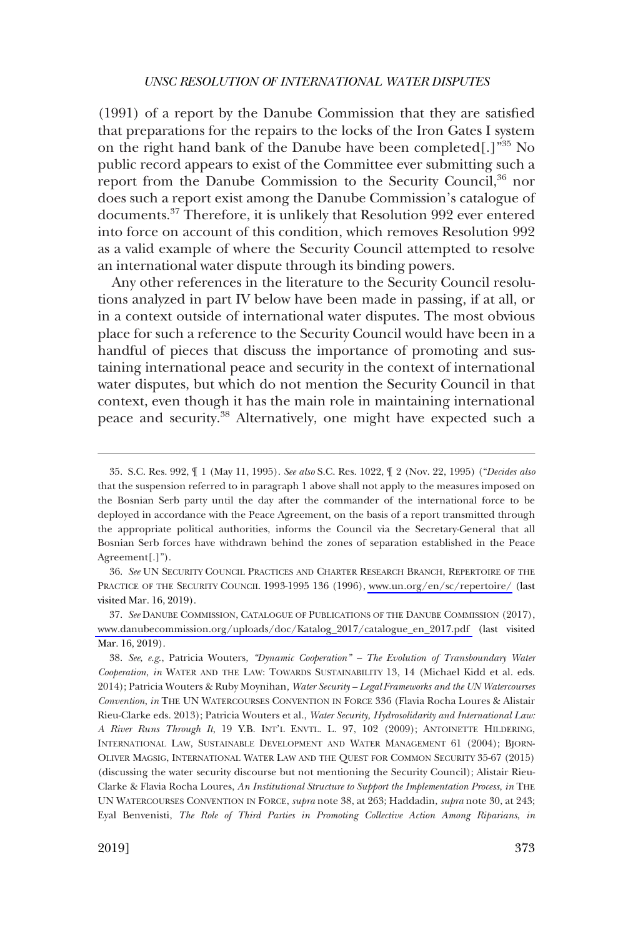(1991) of a report by the Danube Commission that they are satisfied that preparations for the repairs to the locks of the Iron Gates I system on the right hand bank of the Danube have been completed[.]"35 No public record appears to exist of the Committee ever submitting such a report from the Danube Commission to the Security Council,<sup>36</sup> nor does such a report exist among the Danube Commission's catalogue of documents.37 Therefore, it is unlikely that Resolution 992 ever entered into force on account of this condition, which removes Resolution 992 as a valid example of where the Security Council attempted to resolve an international water dispute through its binding powers.

Any other references in the literature to the Security Council resolutions analyzed in part IV below have been made in passing, if at all, or in a context outside of international water disputes. The most obvious place for such a reference to the Security Council would have been in a handful of pieces that discuss the importance of promoting and sustaining international peace and security in the context of international water disputes, but which do not mention the Security Council in that context, even though it has the main role in maintaining international peace and security.<sup>38</sup> Alternatively, one might have expected such a

*See* UN SECURITY COUNCIL PRACTICES AND CHARTER RESEARCH BRANCH, REPERTOIRE OF THE 36. PRACTICE OF THE SECURITY COUNCIL 1993-1995 136 (1996), [www.un.org/en/sc/repertoire/](http://www.un.org/en/sc/repertoire/) (last visited Mar. 16, 2019).

37. See DANUBE COMMISSION, CATALOGUE OF PUBLICATIONS OF THE DANUBE COMMISSION (2017), [www.danubecommission.org/uploads/doc/Katalog\\_2017/catalogue\\_en\\_2017.pdf](http://www.danubecommission.org/uploads/doc/Katalog_2017/catalogue_en_2017.pdf) (last visited Mar. 16, 2019).

*See*, *e.g*., Patricia Wouters*, "Dynamic Cooperation" – The Evolution of Transboundary Water*  38. *Cooperation*, *in* WATER AND THE LAW: TOWARDS SUSTAINABILITY 13, 14 (Michael Kidd et al. eds. 2014); Patricia Wouters & Ruby Moynihan*, Water Security – Legal Frameworks and the UN Watercourses Convention*, *in* THE UN WATERCOURSES CONVENTION IN FORCE 336 (Flavia Rocha Loures & Alistair Rieu-Clarke eds. 2013); Patricia Wouters et al., *Water Security, Hydrosolidarity and International Law: A River Runs Through It*, 19 Y.B. INT'L ENVTL. L. 97, 102 (2009); ANTOINETTE HILDERING, INTERNATIONAL LAW, SUSTAINABLE DEVELOPMENT AND WATER MANAGEMENT 61 (2004); BJORN-OLIVER MAGSIG, INTERNATIONAL WATER LAW AND THE QUEST FOR COMMON SECURITY 35-67 (2015) (discussing the water security discourse but not mentioning the Security Council); Alistair Rieu-Clarke & Flavia Rocha Loures, *An Institutional Structure to Support the Implementation Process*, *in* THE UN WATERCOURSES CONVENTION IN FORCE, *supra* note 38, at 263; Haddadin, *supra* note 30, at 243; Eyal Benvenisti, *The Role of Third Parties in Promoting Collective Action Among Riparians*, *in* 

<sup>35.</sup> S.C. Res. 992, ¶ 1 (May 11, 1995). *See also* S.C. Res. 1022, ¶ 2 (Nov. 22, 1995) ("*Decides also*  that the suspension referred to in paragraph 1 above shall not apply to the measures imposed on the Bosnian Serb party until the day after the commander of the international force to be deployed in accordance with the Peace Agreement, on the basis of a report transmitted through the appropriate political authorities, informs the Council via the Secretary-General that all Bosnian Serb forces have withdrawn behind the zones of separation established in the Peace Agreement[.]").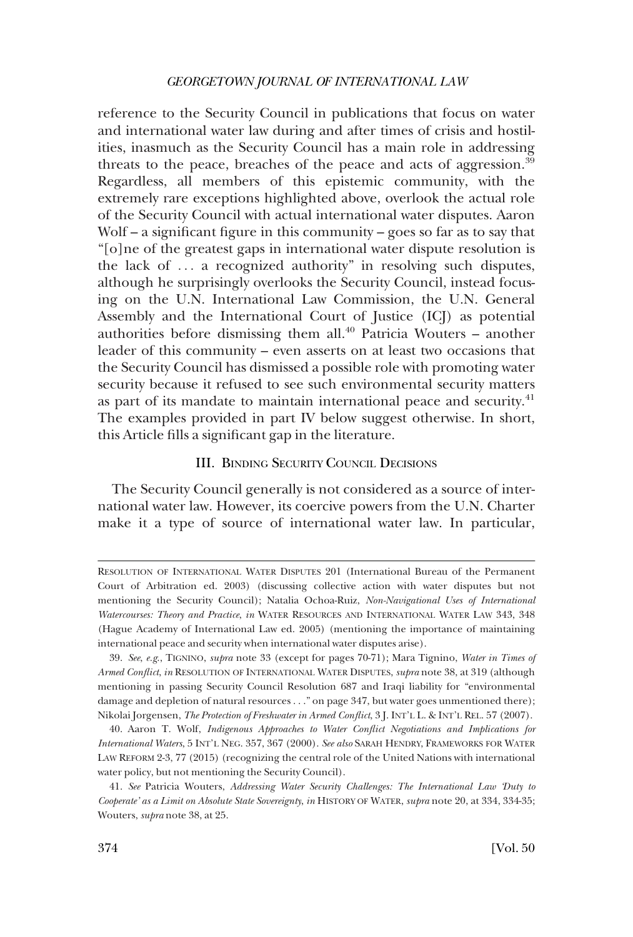<span id="page-11-0"></span>reference to the Security Council in publications that focus on water and international water law during and after times of crisis and hostilities, inasmuch as the Security Council has a main role in addressing threats to the peace, breaches of the peace and acts of aggression. $39$ Regardless, all members of this epistemic community, with the extremely rare exceptions highlighted above, overlook the actual role of the Security Council with actual international water disputes. Aaron Wolf – a significant figure in this community – goes so far as to say that "[o]ne of the greatest gaps in international water dispute resolution is the lack of . . . a recognized authority" in resolving such disputes, although he surprisingly overlooks the Security Council, instead focusing on the U.N. International Law Commission, the U.N. General Assembly and the International Court of Justice (ICJ) as potential authorities before dismissing them all. $40$  Patricia Wouters – another leader of this community – even asserts on at least two occasions that the Security Council has dismissed a possible role with promoting water security because it refused to see such environmental security matters as part of its mandate to maintain international peace and security.<sup>41</sup> The examples provided in part IV below suggest otherwise. In short, this Article fills a significant gap in the literature.

# III. BINDING SECURITY COUNCIL DECISIONS

The Security Council generally is not considered as a source of international water law. However, its coercive powers from the U.N. Charter make it a type of source of international water law. In particular,

RESOLUTION OF INTERNATIONAL WATER DISPUTES 201 (International Bureau of the Permanent Court of Arbitration ed. 2003) (discussing collective action with water disputes but not mentioning the Security Council); Natalia Ochoa-Ruiz, *Non-Navigational Uses of International Watercourses: Theory and Practice*, *in* WATER RESOURCES AND INTERNATIONAL WATER LAW 343, 348 (Hague Academy of International Law ed. 2005) (mentioning the importance of maintaining international peace and security when international water disputes arise).

<sup>39.</sup> *See*, *e.g*., TIGNINO, *supra* note 33 (except for pages 70-71); Mara Tignino, *Water in Times of Armed Conflict*, *in* RESOLUTION OF INTERNATIONAL WATER DISPUTES, *supra* note 38, at 319 (although mentioning in passing Security Council Resolution 687 and Iraqi liability for "environmental damage and depletion of natural resources . . ." on page 347, but water goes unmentioned there); Nikolai Jorgensen, *The Protection of Freshwater in Armed Conflict*, 3 J. INT'L L. & INT'L REL. 57 (2007).

<sup>40.</sup> Aaron T. Wolf, *Indigenous Approaches to Water Conflict Negotiations and Implications for International Waters*, 5 INT'L NEG. 357, 367 (2000). *See also* SARAH HENDRY, FRAMEWORKS FOR WATER LAW REFORM 2-3, 77 (2015) (recognizing the central role of the United Nations with international water policy, but not mentioning the Security Council).

<sup>41.</sup> *See* Patricia Wouters, *Addressing Water Security Challenges: The International Law 'Duty to Cooperate' as a Limit on Absolute State Sovereignty*, *in* HISTORY OF WATER, *supra* note 20, at 334, 334-35; Wouters, *supra* note 38, at 25.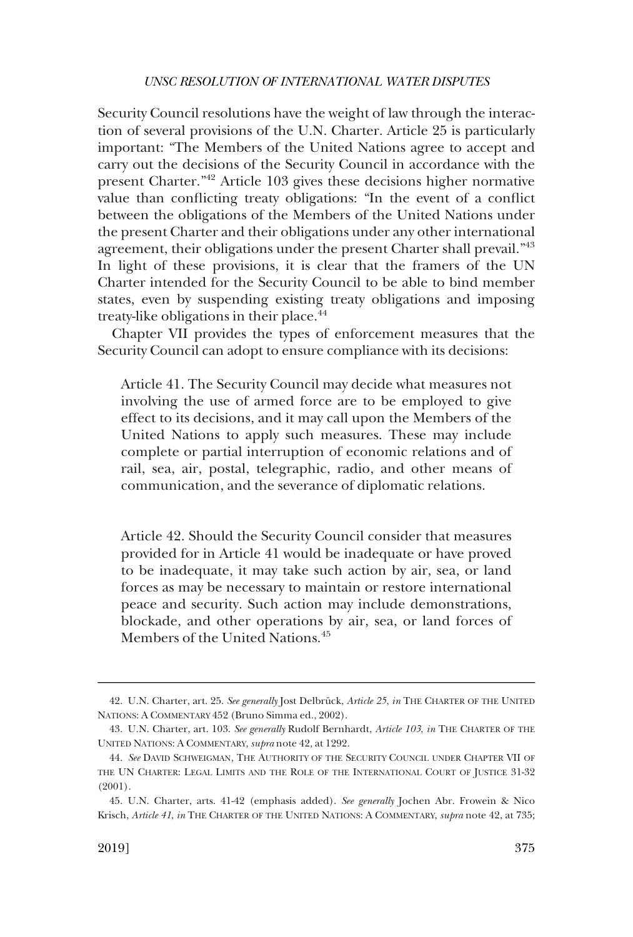Security Council resolutions have the weight of law through the interaction of several provisions of the U.N. Charter. Article 25 is particularly important: "The Members of the United Nations agree to accept and carry out the decisions of the Security Council in accordance with the present Charter."42 Article 103 gives these decisions higher normative value than conflicting treaty obligations: "In the event of a conflict between the obligations of the Members of the United Nations under the present Charter and their obligations under any other international agreement, their obligations under the present Charter shall prevail."43 In light of these provisions, it is clear that the framers of the UN Charter intended for the Security Council to be able to bind member states, even by suspending existing treaty obligations and imposing treaty-like obligations in their place.<sup>44</sup>

Chapter VII provides the types of enforcement measures that the Security Council can adopt to ensure compliance with its decisions:

Article 41. The Security Council may decide what measures not involving the use of armed force are to be employed to give effect to its decisions, and it may call upon the Members of the United Nations to apply such measures. These may include complete or partial interruption of economic relations and of rail, sea, air, postal, telegraphic, radio, and other means of communication, and the severance of diplomatic relations.

Article 42. Should the Security Council consider that measures provided for in Article 41 would be inadequate or have proved to be inadequate, it may take such action by air, sea, or land forces as may be necessary to maintain or restore international peace and security. Such action may include demonstrations, blockade, and other operations by air, sea, or land forces of Members of the United Nations.<sup>45</sup>

<sup>42.</sup> U.N. Charter, art. 25. See generally Jost Delbrück, Article 25, in THE CHARTER OF THE UNITED NATIONS: A COMMENTARY 452 (Bruno Simma ed., 2002).

<sup>43.</sup> U.N. Charter, art. 103. *See generally* Rudolf Bernhardt, *Article 103*, *in* THE CHARTER OF THE UNITED NATIONS: A COMMENTARY, *supra* note 42, at 1292.

<sup>44.</sup> *See* DAVID SCHWEIGMAN, THE AUTHORITY OF THE SECURITY COUNCIL UNDER CHAPTER VII OF THE UN CHARTER: LEGAL LIMITS AND THE ROLE OF THE INTERNATIONAL COURT OF JUSTICE 31-32 (2001).

<sup>45.</sup> U.N. Charter, arts. 41-42 (emphasis added). *See generally* Jochen Abr. Frowein & Nico Krisch, *Article 41*, *in* THE CHARTER OF THE UNITED NATIONS: A COMMENTARY, *supra* note 42, at 735;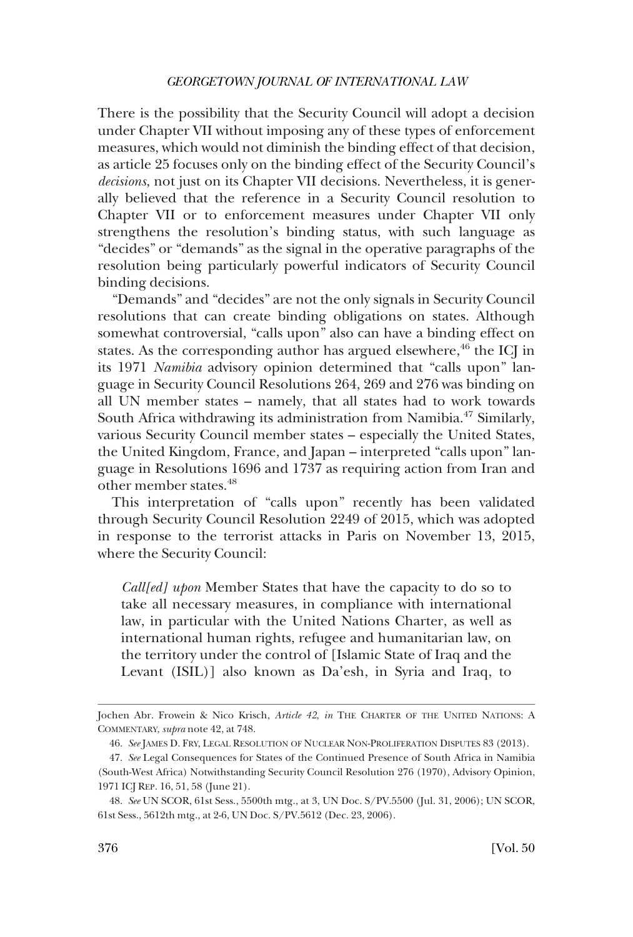There is the possibility that the Security Council will adopt a decision under Chapter VII without imposing any of these types of enforcement measures, which would not diminish the binding effect of that decision, as article 25 focuses only on the binding effect of the Security Council's *decisions*, not just on its Chapter VII decisions. Nevertheless, it is generally believed that the reference in a Security Council resolution to Chapter VII or to enforcement measures under Chapter VII only strengthens the resolution's binding status, with such language as "decides" or "demands" as the signal in the operative paragraphs of the resolution being particularly powerful indicators of Security Council binding decisions.

"Demands" and "decides" are not the only signals in Security Council resolutions that can create binding obligations on states. Although somewhat controversial, "calls upon" also can have a binding effect on states. As the corresponding author has argued elsewhere,<sup>46</sup> the ICJ in its 1971 *Namibia* advisory opinion determined that "calls upon" language in Security Council Resolutions 264, 269 and 276 was binding on all UN member states – namely, that all states had to work towards South Africa withdrawing its administration from Namibia.<sup>47</sup> Similarly, various Security Council member states – especially the United States, the United Kingdom, France, and Japan – interpreted "calls upon" language in Resolutions 1696 and 1737 as requiring action from Iran and other member states.48

This interpretation of "calls upon" recently has been validated through Security Council Resolution 2249 of 2015, which was adopted in response to the terrorist attacks in Paris on November 13, 2015, where the Security Council:

*Call[ed] upon* Member States that have the capacity to do so to take all necessary measures, in compliance with international law, in particular with the United Nations Charter, as well as international human rights, refugee and humanitarian law, on the territory under the control of [Islamic State of Iraq and the Levant (ISIL)] also known as Da'esh, in Syria and Iraq, to

Jochen Abr. Frowein & Nico Krisch, *Article 42*, *in* THE CHARTER OF THE UNITED NATIONS: A COMMENTARY, *supra* note 42, at 748.

<sup>46.</sup> *See* JAMES D. FRY, LEGAL RESOLUTION OF NUCLEAR NON-PROLIFERATION DISPUTES 83 (2013).

<sup>47.</sup> *See* Legal Consequences for States of the Continued Presence of South Africa in Namibia (South-West Africa) Notwithstanding Security Council Resolution 276 (1970), Advisory Opinion, 1971 ICJ REP. 16, 51, 58 (June 21).

<sup>48.</sup> *See* UN SCOR, 61st Sess., 5500th mtg., at 3, UN Doc. S/PV.5500 (Jul. 31, 2006); UN SCOR, 61st Sess., 5612th mtg., at 2-6, UN Doc. S/PV.5612 (Dec. 23, 2006).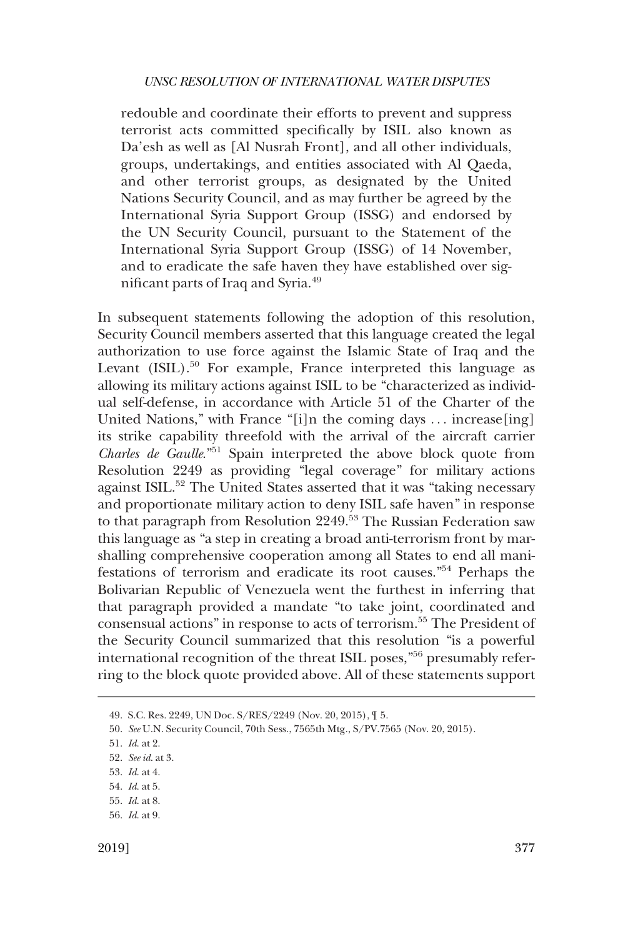redouble and coordinate their efforts to prevent and suppress terrorist acts committed specifically by ISIL also known as Da'esh as well as [Al Nusrah Front], and all other individuals, groups, undertakings, and entities associated with Al Qaeda, and other terrorist groups, as designated by the United Nations Security Council, and as may further be agreed by the International Syria Support Group (ISSG) and endorsed by the UN Security Council, pursuant to the Statement of the International Syria Support Group (ISSG) of 14 November, and to eradicate the safe haven they have established over significant parts of Iraq and Syria.<sup>49</sup>

In subsequent statements following the adoption of this resolution, Security Council members asserted that this language created the legal authorization to use force against the Islamic State of Iraq and the Levant (ISIL).<sup>50</sup> For example, France interpreted this language as allowing its military actions against ISIL to be "characterized as individual self-defense, in accordance with Article 51 of the Charter of the United Nations," with France "[i]n the coming days ... increase[ing] its strike capability threefold with the arrival of the aircraft carrier *Charles de Gaulle*."51 Spain interpreted the above block quote from Resolution 2249 as providing "legal coverage" for military actions against ISIL.<sup>52</sup> The United States asserted that it was "taking necessary and proportionate military action to deny ISIL safe haven" in response to that paragraph from Resolution  $2249$ <sup>53</sup> The Russian Federation saw this language as "a step in creating a broad anti-terrorism front by marshalling comprehensive cooperation among all States to end all manifestations of terrorism and eradicate its root causes."54 Perhaps the Bolivarian Republic of Venezuela went the furthest in inferring that that paragraph provided a mandate "to take joint, coordinated and consensual actions" in response to acts of terrorism.55 The President of the Security Council summarized that this resolution "is a powerful international recognition of the threat ISIL poses,"56 presumably referring to the block quote provided above. All of these statements support

<sup>49.</sup> S.C. Res. 2249, UN Doc. S/RES/2249 (Nov. 20, 2015), ¶ 5.

<sup>50.</sup> *See* U.N. Security Council, 70th Sess., 7565th Mtg., S/PV.7565 (Nov. 20, 2015).

<sup>51.</sup> *Id*. at 2.

<sup>52.</sup> *See id*. at 3.

<sup>53.</sup> *Id*. at 4.

<sup>54.</sup> *Id*. at 5.

<sup>55.</sup> *Id*. at 8.

<sup>56.</sup> *Id*. at 9.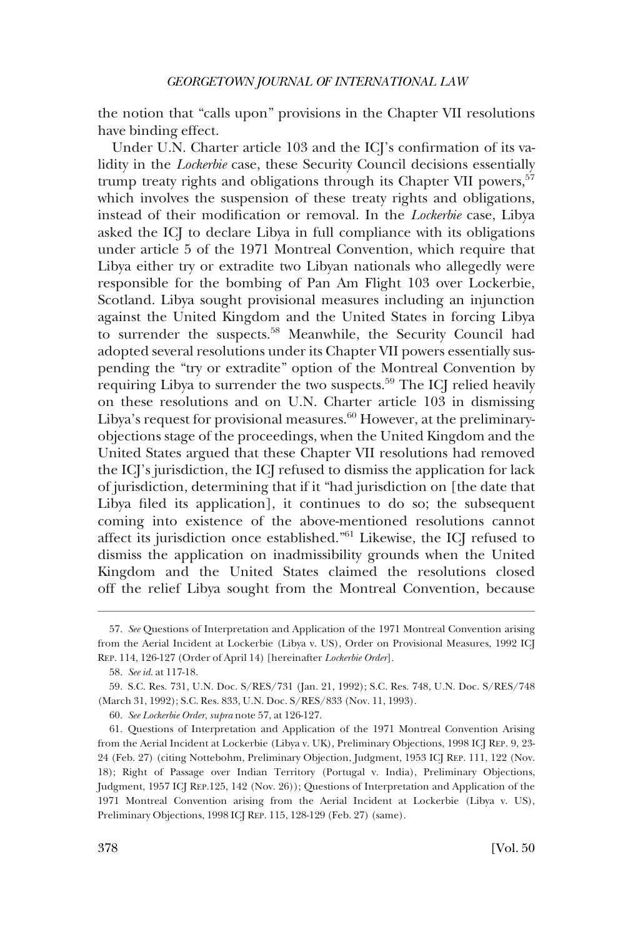the notion that "calls upon" provisions in the Chapter VII resolutions have binding effect.

Under U.N. Charter article 103 and the ICJ's confirmation of its validity in the *Lockerbie* case, these Security Council decisions essentially trump treaty rights and obligations through its Chapter VII powers,<sup>57</sup> which involves the suspension of these treaty rights and obligations, instead of their modification or removal. In the *Lockerbie* case, Libya asked the ICJ to declare Libya in full compliance with its obligations under article 5 of the 1971 Montreal Convention, which require that Libya either try or extradite two Libyan nationals who allegedly were responsible for the bombing of Pan Am Flight 103 over Lockerbie, Scotland. Libya sought provisional measures including an injunction against the United Kingdom and the United States in forcing Libya to surrender the suspects.<sup>58</sup> Meanwhile, the Security Council had adopted several resolutions under its Chapter VII powers essentially suspending the "try or extradite" option of the Montreal Convention by requiring Libya to surrender the two suspects.<sup>59</sup> The ICJ relied heavily on these resolutions and on U.N. Charter article 103 in dismissing Libya's request for provisional measures. $60$  However, at the preliminaryobjections stage of the proceedings, when the United Kingdom and the United States argued that these Chapter VII resolutions had removed the ICJ's jurisdiction, the ICJ refused to dismiss the application for lack of jurisdiction, determining that if it "had jurisdiction on [the date that Libya filed its application], it continues to do so; the subsequent coming into existence of the above-mentioned resolutions cannot affect its jurisdiction once established."61 Likewise, the ICJ refused to dismiss the application on inadmissibility grounds when the United Kingdom and the United States claimed the resolutions closed off the relief Libya sought from the Montreal Convention, because

60. *See Lockerbie Order*, *supra* note 57, at 126-127.

<sup>57.</sup> *See* Questions of Interpretation and Application of the 1971 Montreal Convention arising from the Aerial Incident at Lockerbie (Libya v. US), Order on Provisional Measures, 1992 ICJ REP. 114, 126-127 (Order of April 14) [hereinafter *Lockerbie Order*].

<sup>58.</sup> *See id*. at 117-18.

<sup>59.</sup> S.C. Res. 731, U.N. Doc. S/RES/731 (Jan. 21, 1992); S.C. Res. 748, U.N. Doc. S/RES/748 (March 31, 1992); S.C. Res. 833, U.N. Doc. S/RES/833 (Nov. 11, 1993).

<sup>61.</sup> Questions of Interpretation and Application of the 1971 Montreal Convention Arising from the Aerial Incident at Lockerbie (Libya v. UK), Preliminary Objections, 1998 ICJ REP. 9, 23- 24 (Feb. 27) (citing Nottebohm, Preliminary Objection, Judgment, 1953 ICJ REP. 111, 122 (Nov. 18); Right of Passage over Indian Territory (Portugal v. India), Preliminary Objections, Judgment, 1957 ICJ REP.125, 142 (Nov. 26)); Questions of Interpretation and Application of the 1971 Montreal Convention arising from the Aerial Incident at Lockerbie (Libya v. US), Preliminary Objections, 1998 ICJ REP. 115, 128-129 (Feb. 27) (same).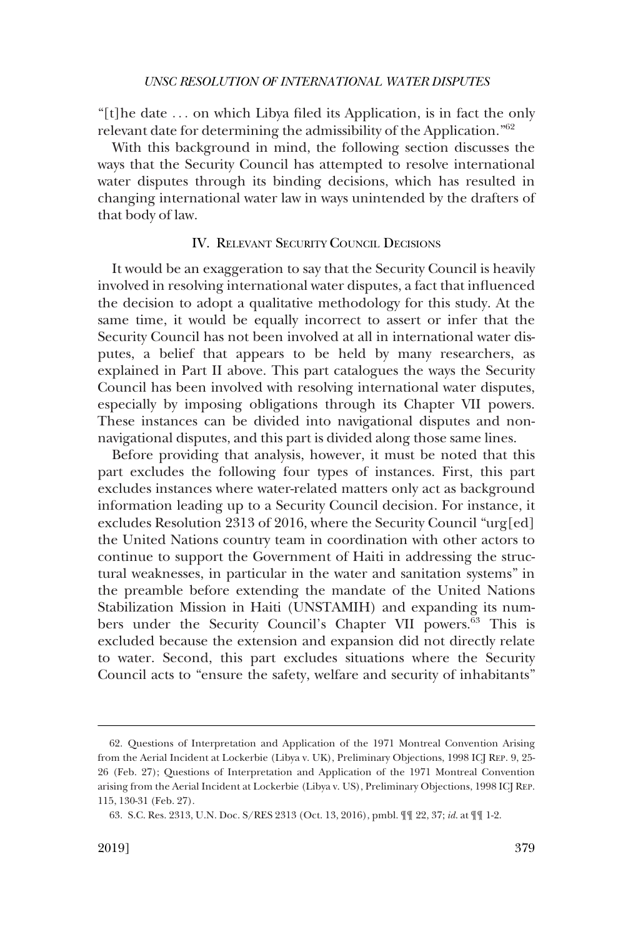<span id="page-16-0"></span>"[t]he date . . . on which Libya filed its Application, is in fact the only relevant date for determining the admissibility of the Application."62

With this background in mind, the following section discusses the ways that the Security Council has attempted to resolve international water disputes through its binding decisions, which has resulted in changing international water law in ways unintended by the drafters of that body of law.

# IV. RELEVANT SECURITY COUNCIL DECISIONS

It would be an exaggeration to say that the Security Council is heavily involved in resolving international water disputes, a fact that influenced the decision to adopt a qualitative methodology for this study. At the same time, it would be equally incorrect to assert or infer that the Security Council has not been involved at all in international water disputes, a belief that appears to be held by many researchers, as explained in Part II above. This part catalogues the ways the Security Council has been involved with resolving international water disputes, especially by imposing obligations through its Chapter VII powers. These instances can be divided into navigational disputes and nonnavigational disputes, and this part is divided along those same lines.

Before providing that analysis, however, it must be noted that this part excludes the following four types of instances. First, this part excludes instances where water-related matters only act as background information leading up to a Security Council decision. For instance, it excludes Resolution 2313 of 2016, where the Security Council "urg[ed] the United Nations country team in coordination with other actors to continue to support the Government of Haiti in addressing the structural weaknesses, in particular in the water and sanitation systems" in the preamble before extending the mandate of the United Nations Stabilization Mission in Haiti (UNSTAMIH) and expanding its numbers under the Security Council's Chapter VII powers.<sup>63</sup> This is excluded because the extension and expansion did not directly relate to water. Second, this part excludes situations where the Security Council acts to "ensure the safety, welfare and security of inhabitants"

<sup>62.</sup> Questions of Interpretation and Application of the 1971 Montreal Convention Arising from the Aerial Incident at Lockerbie (Libya v. UK), Preliminary Objections, 1998 ICJ REP. 9, 25- 26 (Feb. 27); Questions of Interpretation and Application of the 1971 Montreal Convention arising from the Aerial Incident at Lockerbie (Libya v. US), Preliminary Objections, 1998 ICJ REP. 115, 130-31 (Feb. 27).

<sup>63.</sup> S.C. Res. 2313, U.N. Doc. S/RES 2313 (Oct. 13, 2016), pmbl. ¶¶ 22, 37; *id*. at ¶¶ 1-2.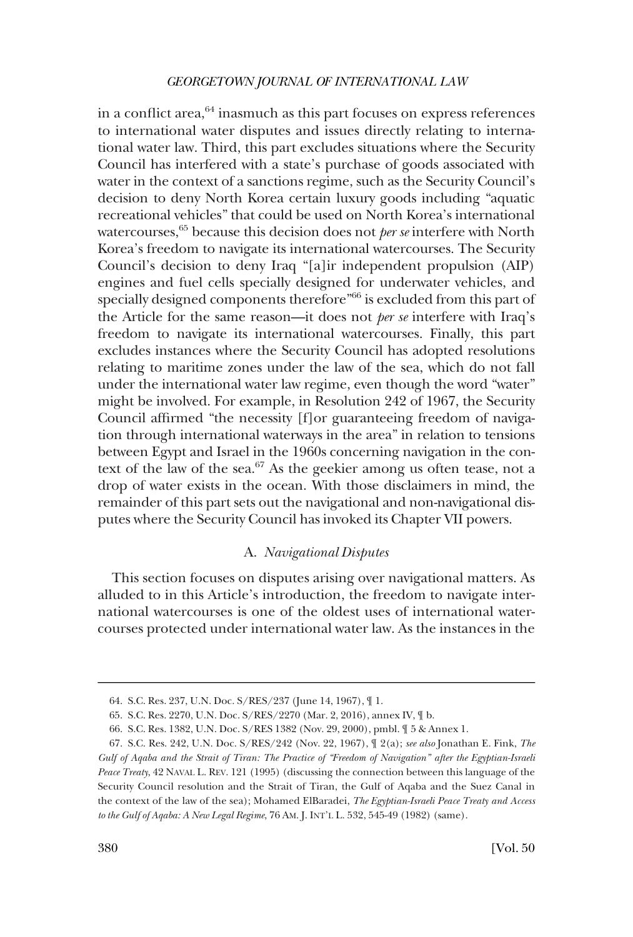<span id="page-17-0"></span>in a conflict area, $64$  inasmuch as this part focuses on express references to international water disputes and issues directly relating to international water law. Third, this part excludes situations where the Security Council has interfered with a state's purchase of goods associated with water in the context of a sanctions regime, such as the Security Council's decision to deny North Korea certain luxury goods including "aquatic recreational vehicles" that could be used on North Korea's international watercourses,<sup>65</sup> because this decision does not *per se* interfere with North Korea's freedom to navigate its international watercourses. The Security Council's decision to deny Iraq "[a]ir independent propulsion (AIP) engines and fuel cells specially designed for underwater vehicles, and specially designed components therefore"<sup>66</sup> is excluded from this part of the Article for the same reason––it does not *per se* interfere with Iraq's freedom to navigate its international watercourses. Finally, this part excludes instances where the Security Council has adopted resolutions relating to maritime zones under the law of the sea, which do not fall under the international water law regime, even though the word "water" might be involved. For example, in Resolution 242 of 1967, the Security Council affirmed "the necessity [f]or guaranteeing freedom of navigation through international waterways in the area" in relation to tensions between Egypt and Israel in the 1960s concerning navigation in the context of the law of the sea.<sup>67</sup> As the geekier among us often tease, not a drop of water exists in the ocean. With those disclaimers in mind, the remainder of this part sets out the navigational and non-navigational disputes where the Security Council has invoked its Chapter VII powers.

# A. *Navigational Disputes*

This section focuses on disputes arising over navigational matters. As alluded to in this Article's introduction, the freedom to navigate international watercourses is one of the oldest uses of international watercourses protected under international water law. As the instances in the

<sup>64.</sup> S.C. Res. 237, U.N. Doc. S/RES/237 (June 14, 1967), ¶ 1.

<sup>65.</sup> S.C. Res. 2270, U.N. Doc. S/RES/2270 (Mar. 2, 2016), annex IV, ¶ b.

<sup>66.</sup> S.C. Res. 1382, U.N. Doc. S/RES 1382 (Nov. 29, 2000), pmbl. ¶ 5 & Annex 1.

<sup>67.</sup> S.C. Res. 242, U.N. Doc. S/RES/242 (Nov. 22, 1967), ¶ 2(a); *see also* Jonathan E. Fink, *The Gulf of Aqaba and the Strait of Tiran: The Practice of "Freedom of Navigation" after the Egyptian-Israeli Peace Treaty*, 42 NAVAL L. REV. 121 (1995) (discussing the connection between this language of the Security Council resolution and the Strait of Tiran, the Gulf of Aqaba and the Suez Canal in the context of the law of the sea); Mohamed ElBaradei, *The Egyptian-Israeli Peace Treaty and Access to the Gulf of Aqaba: A New Legal Regime*, 76 AM. J. INT'L L. 532, 545-49 (1982) (same).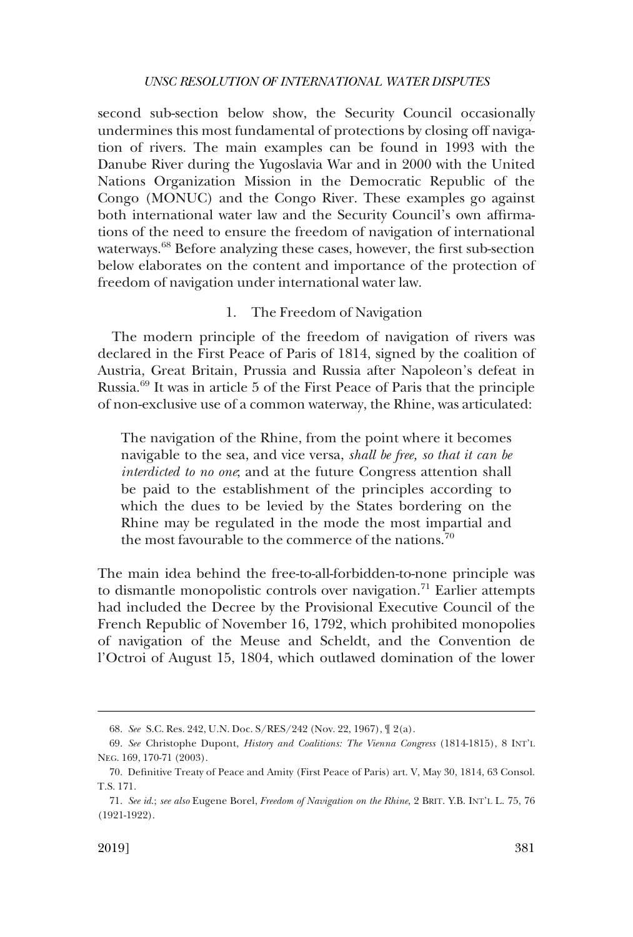<span id="page-18-0"></span>second sub-section below show, the Security Council occasionally undermines this most fundamental of protections by closing off navigation of rivers. The main examples can be found in 1993 with the Danube River during the Yugoslavia War and in 2000 with the United Nations Organization Mission in the Democratic Republic of the Congo (MONUC) and the Congo River. These examples go against both international water law and the Security Council's own affirmations of the need to ensure the freedom of navigation of international waterways.<sup>68</sup> Before analyzing these cases, however, the first sub-section below elaborates on the content and importance of the protection of freedom of navigation under international water law.

# 1. The Freedom of Navigation

The modern principle of the freedom of navigation of rivers was declared in the First Peace of Paris of 1814, signed by the coalition of Austria, Great Britain, Prussia and Russia after Napoleon's defeat in Russia.69 It was in article 5 of the First Peace of Paris that the principle of non-exclusive use of a common waterway, the Rhine, was articulated:

The navigation of the Rhine, from the point where it becomes navigable to the sea, and vice versa, *shall be free, so that it can be interdicted to no one*; and at the future Congress attention shall be paid to the establishment of the principles according to which the dues to be levied by the States bordering on the Rhine may be regulated in the mode the most impartial and the most favourable to the commerce of the nations.<sup>70</sup>

The main idea behind the free-to-all-forbidden-to-none principle was to dismantle monopolistic controls over navigation.<sup>71</sup> Earlier attempts had included the Decree by the Provisional Executive Council of the French Republic of November 16, 1792, which prohibited monopolies of navigation of the Meuse and Scheldt, and the Convention de l'Octroi of August 15, 1804, which outlawed domination of the lower

<sup>68.</sup> *See* S.C. Res. 242, U.N. Doc. S/RES/242 (Nov. 22, 1967), ¶ 2(a).

<sup>69.</sup> *See* Christophe Dupont, *History and Coalitions: The Vienna Congress* (1814-1815), 8 INT'L NEG. 169, 170-71 (2003).

<sup>70.</sup> Definitive Treaty of Peace and Amity (First Peace of Paris) art. V, May 30, 1814, 63 Consol. T.S. 171.

<sup>71.</sup> *See id*.; *see also* Eugene Borel, *Freedom of Navigation on the Rhine*, 2 BRIT. Y.B. INT'L L. 75, 76 (1921-1922).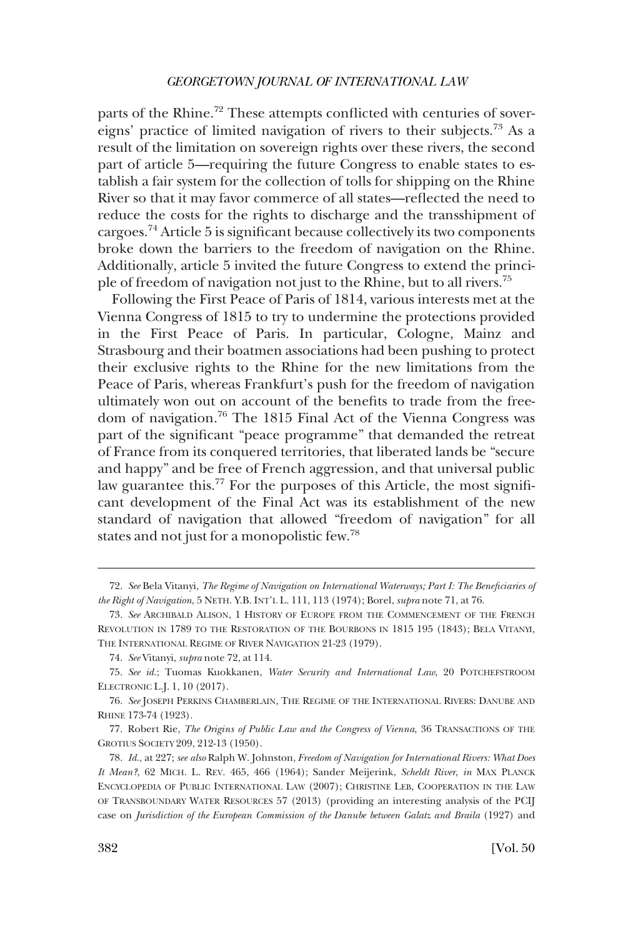parts of the Rhine.<sup>72</sup> These attempts conflicted with centuries of sovereigns' practice of limited navigation of rivers to their subjects.73 As a result of the limitation on sovereign rights over these rivers, the second part of article 5—requiring the future Congress to enable states to establish a fair system for the collection of tolls for shipping on the Rhine River so that it may favor commerce of all states—reflected the need to reduce the costs for the rights to discharge and the transshipment of cargoes.74 Article 5 is significant because collectively its two components broke down the barriers to the freedom of navigation on the Rhine. Additionally, article 5 invited the future Congress to extend the principle of freedom of navigation not just to the Rhine, but to all rivers.75

Following the First Peace of Paris of 1814, various interests met at the Vienna Congress of 1815 to try to undermine the protections provided in the First Peace of Paris. In particular, Cologne, Mainz and Strasbourg and their boatmen associations had been pushing to protect their exclusive rights to the Rhine for the new limitations from the Peace of Paris, whereas Frankfurt's push for the freedom of navigation ultimately won out on account of the benefits to trade from the freedom of navigation.76 The 1815 Final Act of the Vienna Congress was part of the significant "peace programme" that demanded the retreat of France from its conquered territories, that liberated lands be "secure and happy" and be free of French aggression, and that universal public law guarantee this.<sup>77</sup> For the purposes of this Article, the most significant development of the Final Act was its establishment of the new standard of navigation that allowed "freedom of navigation" for all states and not just for a monopolistic few.78

<sup>72.</sup> *See* Bela Vitanyi, *The Regime of Navigation on International Waterways; Part I: The Beneficiaries of the Right of Navigation*, 5 NETH. Y.B. INT'L L. 111, 113 (1974); Borel, *supra* note 71, at 76.

<sup>73.</sup> *See* ARCHIBALD ALISON, 1 HISTORY OF EUROPE FROM THE COMMENCEMENT OF THE FRENCH REVOLUTION IN 1789 TO THE RESTORATION OF THE BOURBONS IN 1815 195 (1843); BELA VITANYI, THE INTERNATIONAL REGIME OF RIVER NAVIGATION 21-23 (1979).

<sup>74.</sup> *See* Vitanyi, *supra* note 72, at 114.

<sup>75.</sup> *See id*.; Tuomas Kuokkanen, *Water Security and International Law*, 20 POTCHEFSTROOM ELECTRONIC L.J. 1, 10 (2017).

<sup>76.</sup> *See* JOSEPH PERKINS CHAMBERLAIN, THE REGIME OF THE INTERNATIONAL RIVERS: DANUBE AND RHINE 173-74 (1923).

<sup>77.</sup> Robert Rie, *The Origins of Public Law and the Congress of Vienna*, 36 TRANSACTIONS OF THE GROTIUS SOCIETY 209, 212-13 (1950).

<sup>78.</sup> *Id*., at 227; *see also* Ralph W. Johnston, *Freedom of Navigation for International Rivers: What Does It Mean?*, 62 MICH. L. REV. 465, 466 (1964); Sander Meijerink, *Scheldt River*, *in* MAX PLANCK ENCYCLOPEDIA OF PUBLIC INTERNATIONAL LAW (2007); CHRISTINE LEB, COOPERATION IN THE LAW OF TRANSBOUNDARY WATER RESOURCES 57 (2013) (providing an interesting analysis of the PCIJ case on *Jurisdiction of the European Commission of the Danube between Galatz and Braila* (1927) and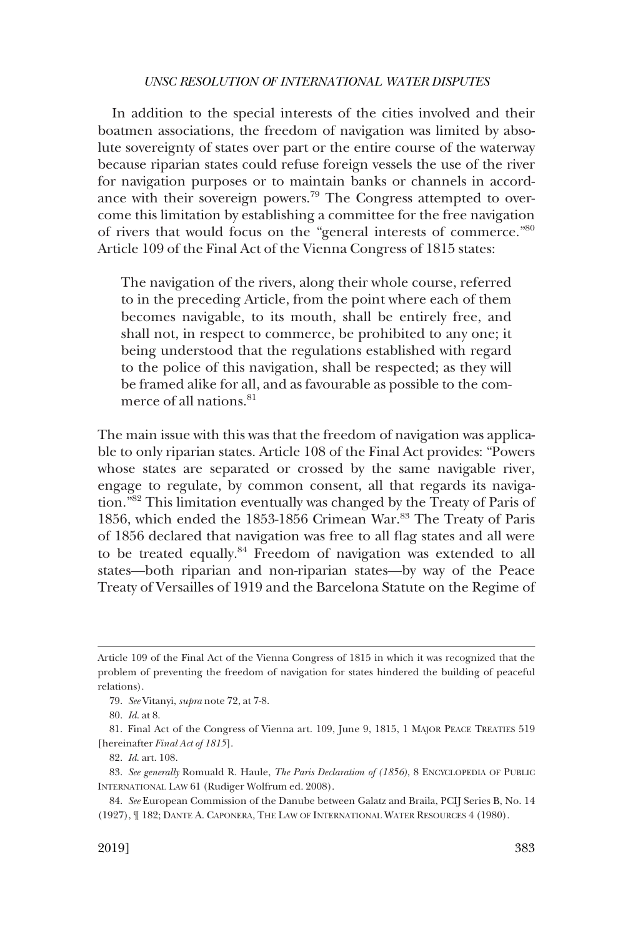In addition to the special interests of the cities involved and their boatmen associations, the freedom of navigation was limited by absolute sovereignty of states over part or the entire course of the waterway because riparian states could refuse foreign vessels the use of the river for navigation purposes or to maintain banks or channels in accordance with their sovereign powers.<sup>79</sup> The Congress attempted to overcome this limitation by establishing a committee for the free navigation of rivers that would focus on the "general interests of commerce."80 Article 109 of the Final Act of the Vienna Congress of 1815 states:

The navigation of the rivers, along their whole course, referred to in the preceding Article, from the point where each of them becomes navigable, to its mouth, shall be entirely free, and shall not, in respect to commerce, be prohibited to any one; it being understood that the regulations established with regard to the police of this navigation, shall be respected; as they will be framed alike for all, and as favourable as possible to the commerce of all nations.<sup>81</sup>

The main issue with this was that the freedom of navigation was applicable to only riparian states. Article 108 of the Final Act provides: "Powers whose states are separated or crossed by the same navigable river, engage to regulate, by common consent, all that regards its navigation."82 This limitation eventually was changed by the Treaty of Paris of 1856, which ended the 1853-1856 Crimean War.<sup>83</sup> The Treaty of Paris of 1856 declared that navigation was free to all flag states and all were to be treated equally.<sup>84</sup> Freedom of navigation was extended to all states––both riparian and non-riparian states––by way of the Peace Treaty of Versailles of 1919 and the Barcelona Statute on the Regime of

Article 109 of the Final Act of the Vienna Congress of 1815 in which it was recognized that the problem of preventing the freedom of navigation for states hindered the building of peaceful relations).

<sup>79.</sup> *See* Vitanyi, *supra* note 72, at 7-8.

<sup>80.</sup> *Id*. at 8.

<sup>81.</sup> Final Act of the Congress of Vienna art. 109, June 9, 1815, 1 MAJOR PEACE TREATIES 519 [hereinafter *Final Act of 1815*].

<sup>82.</sup> *Id*. art. 108.

<sup>83.</sup> *See generally* Romuald R. Haule, *The Paris Declaration of (1856)*, 8 ENCYCLOPEDIA OF PUBLIC INTERNATIONAL LAW 61 (Rudiger Wolfrum ed. 2008).

<sup>84.</sup> *See* European Commission of the Danube between Galatz and Braila, PCIJ Series B, No. 14 (1927), ¶ 182; DANTE A. CAPONERA, THE LAW OF INTERNATIONAL WATER RESOURCES 4 (1980).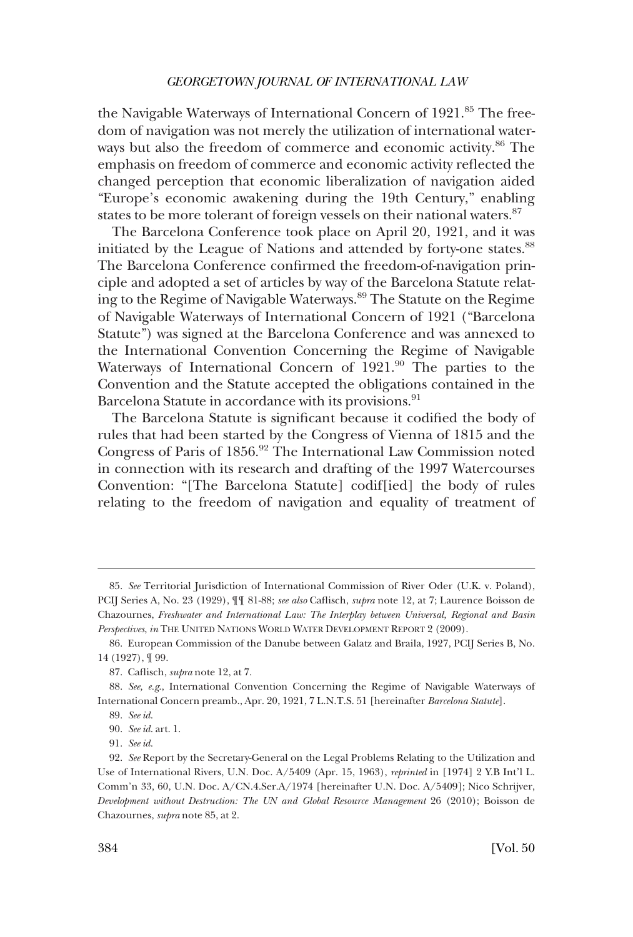the Navigable Waterways of International Concern of 1921.<sup>85</sup> The freedom of navigation was not merely the utilization of international waterways but also the freedom of commerce and economic activity.<sup>86</sup> The emphasis on freedom of commerce and economic activity reflected the changed perception that economic liberalization of navigation aided "Europe's economic awakening during the 19th Century," enabling states to be more tolerant of foreign vessels on their national waters.<sup>87</sup>

The Barcelona Conference took place on April 20, 1921, and it was initiated by the League of Nations and attended by forty-one states.<sup>88</sup> The Barcelona Conference confirmed the freedom-of-navigation principle and adopted a set of articles by way of the Barcelona Statute relating to the Regime of Navigable Waterways.<sup>89</sup> The Statute on the Regime of Navigable Waterways of International Concern of 1921 ("Barcelona Statute") was signed at the Barcelona Conference and was annexed to the International Convention Concerning the Regime of Navigable Waterways of International Concern of 1921.<sup>90</sup> The parties to the Convention and the Statute accepted the obligations contained in the Barcelona Statute in accordance with its provisions.<sup>91</sup>

The Barcelona Statute is significant because it codified the body of rules that had been started by the Congress of Vienna of 1815 and the Congress of Paris of 1856.92 The International Law Commission noted in connection with its research and drafting of the 1997 Watercourses Convention: "[The Barcelona Statute] codif[ied] the body of rules relating to the freedom of navigation and equality of treatment of

<sup>85.</sup> *See* Territorial Jurisdiction of International Commission of River Oder (U.K. v. Poland), PCIJ Series A, No. 23 (1929), ¶¶ 81-88; *see also* Caflisch, *supra* note 12, at 7; Laurence Boisson de Chazournes, *Freshwater and International Law: The Interplay between Universal, Regional and Basin Perspectives*, *in* THE UNITED NATIONS WORLD WATER DEVELOPMENT REPORT 2 (2009).

<sup>86.</sup> European Commission of the Danube between Galatz and Braila, 1927, PCIJ Series B, No. 14 (1927), ¶ 99.

<sup>87.</sup> Caflisch, *supra* note 12, at 7.

<sup>88.</sup> *See, e.g*., International Convention Concerning the Regime of Navigable Waterways of International Concern preamb., Apr. 20, 1921, 7 L.N.T.S. 51 [hereinafter *Barcelona Statute*].

<sup>89.</sup> *See id*.

<sup>90.</sup> *See id*. art. 1.

<sup>91.</sup> *See id*.

<sup>92.</sup> *See* Report by the Secretary-General on the Legal Problems Relating to the Utilization and Use of International Rivers, U.N. Doc. A/5409 (Apr. 15, 1963), *reprinted* in [1974] 2 Y.B Int'l L. Comm'n 33, 60, U.N. Doc. A/CN.4.Ser.A/1974 [hereinafter U.N. Doc. A/5409]; Nico Schrijver, *Development without Destruction: The UN and Global Resource Management* 26 (2010); Boisson de Chazournes, *supra* note 85, at 2.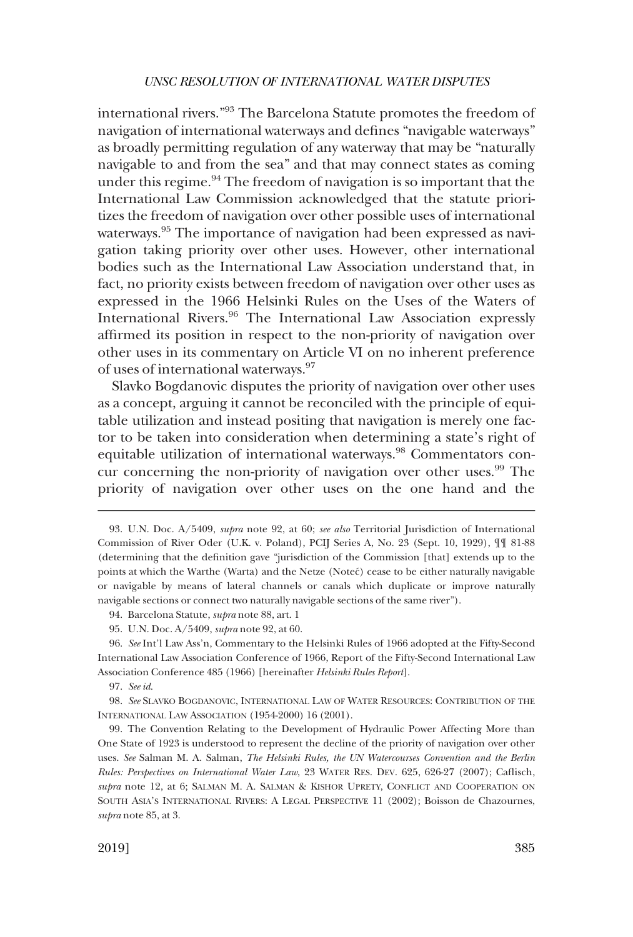international rivers."93 The Barcelona Statute promotes the freedom of navigation of international waterways and defines "navigable waterways" as broadly permitting regulation of any waterway that may be "naturally navigable to and from the sea" and that may connect states as coming under this regime. $94$  The freedom of navigation is so important that the International Law Commission acknowledged that the statute prioritizes the freedom of navigation over other possible uses of international waterways.<sup>95</sup> The importance of navigation had been expressed as navigation taking priority over other uses. However, other international bodies such as the International Law Association understand that, in fact, no priority exists between freedom of navigation over other uses as expressed in the 1966 Helsinki Rules on the Uses of the Waters of International Rivers.96 The International Law Association expressly affirmed its position in respect to the non-priority of navigation over other uses in its commentary on Article VI on no inherent preference of uses of international waterways.97

Slavko Bogdanovic disputes the priority of navigation over other uses as a concept, arguing it cannot be reconciled with the principle of equitable utilization and instead positing that navigation is merely one factor to be taken into consideration when determining a state's right of equitable utilization of international waterways.<sup>98</sup> Commentators concur concerning the non-priority of navigation over other uses.<sup>99</sup> The priority of navigation over other uses on the one hand and the

97. *See id*.

<sup>93.</sup> U.N. Doc. A/5409, *supra* note 92, at 60; *see also* Territorial Jurisdiction of International Commission of River Oder (U.K. v. Poland), PCIJ Series A, No. 23 (Sept. 10, 1929), ¶¶ 81-88 (determining that the definition gave "jurisdiction of the Commission [that] extends up to the points at which the Warthe (Warta) and the Netze (Noteć) cease to be either naturally navigable or navigable by means of lateral channels or canals which duplicate or improve naturally navigable sections or connect two naturally navigable sections of the same river").

<sup>94.</sup> Barcelona Statute, *supra* note 88, art. 1

<sup>95.</sup> U.N. Doc. A/5409, *supra* note 92, at 60.

<sup>96.</sup> *See* Int'l Law Ass'n, Commentary to the Helsinki Rules of 1966 adopted at the Fifty-Second International Law Association Conference of 1966, Report of the Fifty-Second International Law Association Conference 485 (1966) [hereinafter *Helsinki Rules Report*].

<sup>98.</sup> *See* SLAVKO BOGDANOVIC, INTERNATIONAL LAW OF WATER RESOURCES: CONTRIBUTION OF THE INTERNATIONAL LAW ASSOCIATION (1954-2000) 16 (2001).

<sup>99.</sup> The Convention Relating to the Development of Hydraulic Power Affecting More than One State of 1923 is understood to represent the decline of the priority of navigation over other uses. *See* Salman M. A. Salman, *The Helsinki Rules, the UN Watercourses Convention and the Berlin Rules: Perspectives on International Water Law*, 23 WATER RES. DEV. 625, 626-27 (2007); Caflisch, *supra* note 12, at 6; SALMAN M. A. SALMAN & KISHOR UPRETY, CONFLICT AND COOPERATION ON SOUTH ASIA'S INTERNATIONAL RIVERS: A LEGAL PERSPECTIVE 11 (2002); Boisson de Chazournes, *supra* note 85, at 3.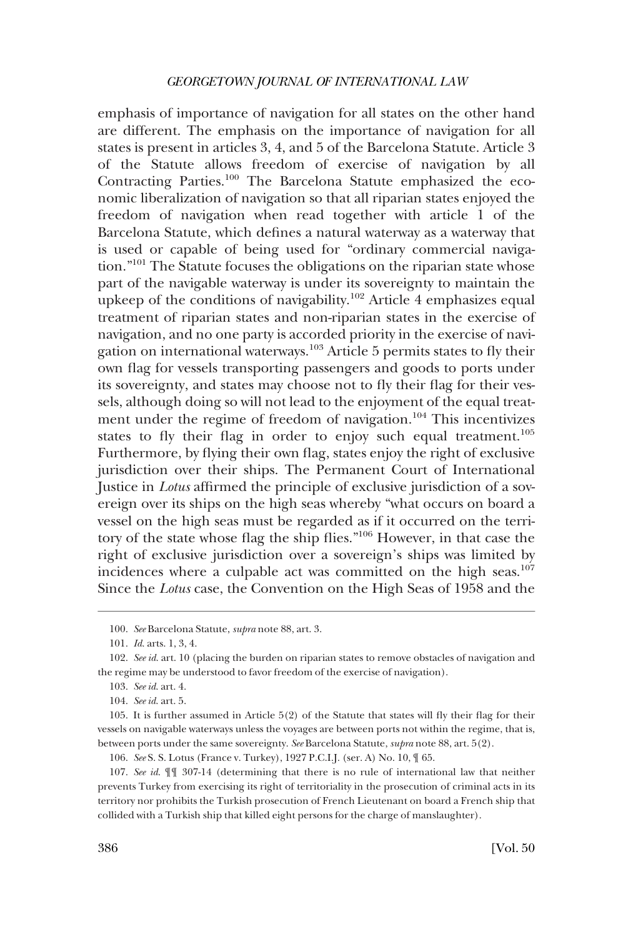emphasis of importance of navigation for all states on the other hand are different. The emphasis on the importance of navigation for all states is present in articles 3, 4, and 5 of the Barcelona Statute. Article 3 of the Statute allows freedom of exercise of navigation by all Contracting Parties.100 The Barcelona Statute emphasized the economic liberalization of navigation so that all riparian states enjoyed the freedom of navigation when read together with article 1 of the Barcelona Statute, which defines a natural waterway as a waterway that is used or capable of being used for "ordinary commercial navigation."101 The Statute focuses the obligations on the riparian state whose part of the navigable waterway is under its sovereignty to maintain the upkeep of the conditions of navigability.<sup>102</sup> Article 4 emphasizes equal treatment of riparian states and non-riparian states in the exercise of navigation, and no one party is accorded priority in the exercise of navigation on international waterways.103 Article 5 permits states to fly their own flag for vessels transporting passengers and goods to ports under its sovereignty, and states may choose not to fly their flag for their vessels, although doing so will not lead to the enjoyment of the equal treatment under the regime of freedom of navigation.<sup>104</sup> This incentivizes states to fly their flag in order to enjoy such equal treatment.<sup>105</sup> Furthermore, by flying their own flag, states enjoy the right of exclusive jurisdiction over their ships. The Permanent Court of International Justice in *Lotus* affirmed the principle of exclusive jurisdiction of a sovereign over its ships on the high seas whereby "what occurs on board a vessel on the high seas must be regarded as if it occurred on the territory of the state whose flag the ship flies."106 However, in that case the right of exclusive jurisdiction over a sovereign's ships was limited by incidences where a culpable act was committed on the high seas.<sup>107</sup> Since the *Lotus* case, the Convention on the High Seas of 1958 and the

<sup>100.</sup> *See* Barcelona Statute, *supra* note 88, art. 3.

<sup>101.</sup> *Id*. arts. 1, 3, 4.

<sup>102.</sup> *See id*. art. 10 (placing the burden on riparian states to remove obstacles of navigation and the regime may be understood to favor freedom of the exercise of navigation).

<sup>103.</sup> *See id*. art. 4.

<sup>104.</sup> *See id*. art. 5.

<sup>105.</sup> It is further assumed in Article 5(2) of the Statute that states will fly their flag for their vessels on navigable waterways unless the voyages are between ports not within the regime, that is, between ports under the same sovereignty. *See* Barcelona Statute, *supra* note 88, art. 5(2).

<sup>106.</sup> *See* S. S. Lotus (France v. Turkey), 1927 P.C.I.J. (ser. A) No. 10, ¶ 65.

<sup>107.</sup> *See id*. ¶¶ 307-14 (determining that there is no rule of international law that neither prevents Turkey from exercising its right of territoriality in the prosecution of criminal acts in its territory nor prohibits the Turkish prosecution of French Lieutenant on board a French ship that collided with a Turkish ship that killed eight persons for the charge of manslaughter).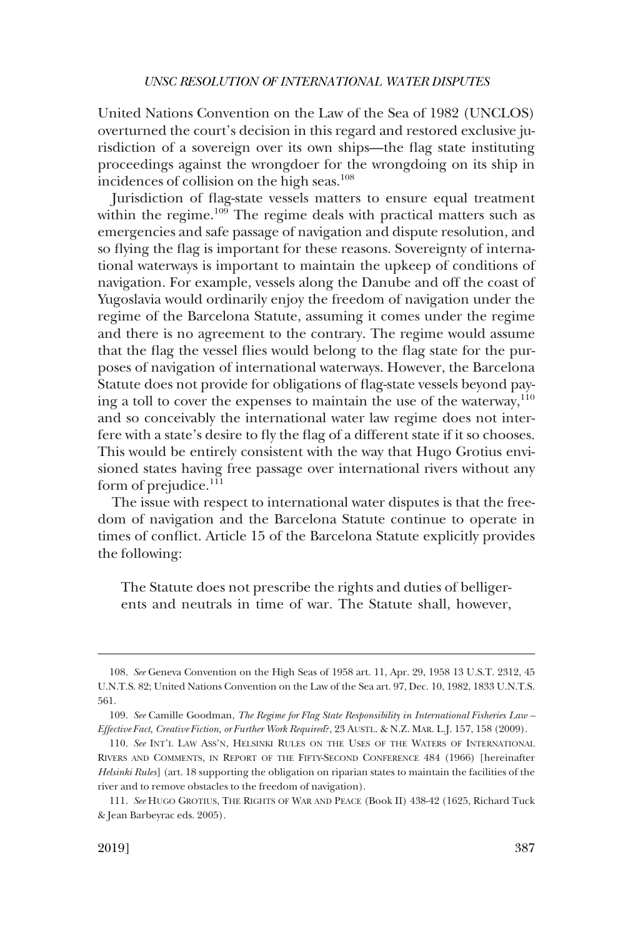United Nations Convention on the Law of the Sea of 1982 (UNCLOS) overturned the court's decision in this regard and restored exclusive jurisdiction of a sovereign over its own ships––the flag state instituting proceedings against the wrongdoer for the wrongdoing on its ship in incidences of collision on the high seas.<sup>108</sup>

Jurisdiction of flag-state vessels matters to ensure equal treatment within the regime.<sup>109</sup> The regime deals with practical matters such as emergencies and safe passage of navigation and dispute resolution, and so flying the flag is important for these reasons. Sovereignty of international waterways is important to maintain the upkeep of conditions of navigation. For example, vessels along the Danube and off the coast of Yugoslavia would ordinarily enjoy the freedom of navigation under the regime of the Barcelona Statute, assuming it comes under the regime and there is no agreement to the contrary. The regime would assume that the flag the vessel flies would belong to the flag state for the purposes of navigation of international waterways. However, the Barcelona Statute does not provide for obligations of flag-state vessels beyond paying a toll to cover the expenses to maintain the use of the waterway,  $110$ and so conceivably the international water law regime does not interfere with a state's desire to fly the flag of a different state if it so chooses. This would be entirely consistent with the way that Hugo Grotius envisioned states having free passage over international rivers without any form of prejudice. $^{111}$ 

The issue with respect to international water disputes is that the freedom of navigation and the Barcelona Statute continue to operate in times of conflict. Article 15 of the Barcelona Statute explicitly provides the following:

The Statute does not prescribe the rights and duties of belligerents and neutrals in time of war. The Statute shall, however,

<sup>108.</sup> *See* Geneva Convention on the High Seas of 1958 art. 11, Apr. 29, 1958 13 U.S.T. 2312, 45 U.N.T.S. 82; United Nations Convention on the Law of the Sea art. 97, Dec. 10, 1982, 1833 U.N.T.S. 561.

<sup>109.</sup> *See* Camille Goodman, *The Regime for Flag State Responsibility in International Fisheries Law – Effective Fact, Creative Fiction, or Further Work Required*?, 23 AUSTL. & N.Z. MAR. L.J. 157, 158 (2009).

<sup>110.</sup> *See* INT'L LAW ASS'N, HELSINKI RULES ON THE USES OF THE WATERS OF INTERNATIONAL RIVERS AND COMMENTS, IN REPORT OF THE FIFTY-SECOND CONFERENCE 484 (1966) [hereinafter *Helsinki Rules*] (art. 18 supporting the obligation on riparian states to maintain the facilities of the river and to remove obstacles to the freedom of navigation).

<sup>111.</sup> *See* HUGO GROTIUS, THE RIGHTS OF WAR AND PEACE (Book II) 438-42 (1625, Richard Tuck & Jean Barbeyrac eds. 2005).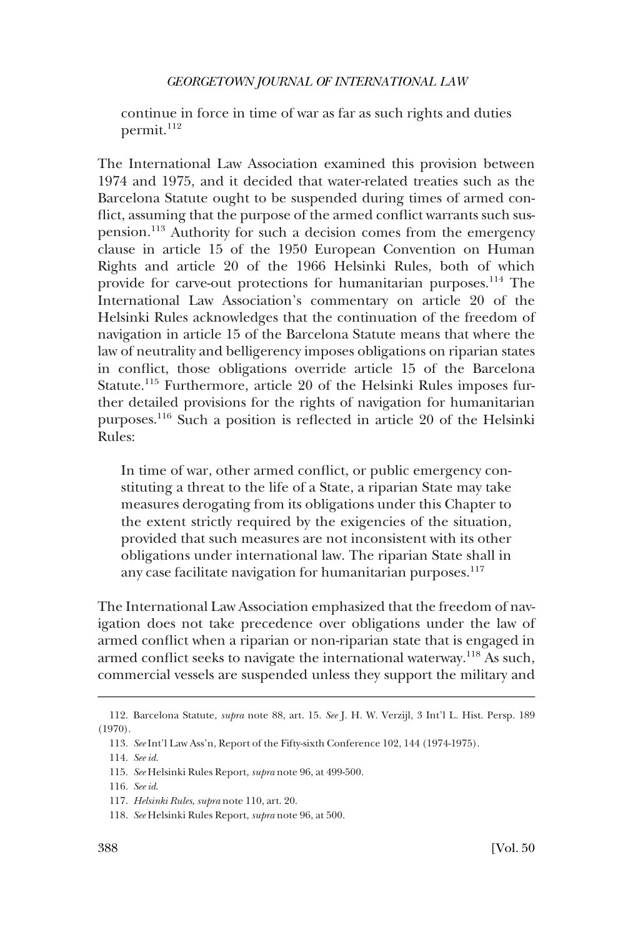continue in force in time of war as far as such rights and duties permit.<sup>112</sup>

The International Law Association examined this provision between 1974 and 1975, and it decided that water-related treaties such as the Barcelona Statute ought to be suspended during times of armed conflict, assuming that the purpose of the armed conflict warrants such suspension.113 Authority for such a decision comes from the emergency clause in article 15 of the 1950 European Convention on Human Rights and article 20 of the 1966 Helsinki Rules, both of which provide for carve-out protections for humanitarian purposes.<sup>114</sup> The International Law Association's commentary on article 20 of the Helsinki Rules acknowledges that the continuation of the freedom of navigation in article 15 of the Barcelona Statute means that where the law of neutrality and belligerency imposes obligations on riparian states in conflict, those obligations override article 15 of the Barcelona Statute.115 Furthermore, article 20 of the Helsinki Rules imposes further detailed provisions for the rights of navigation for humanitarian purposes.116 Such a position is reflected in article 20 of the Helsinki Rules:

In time of war, other armed conflict, or public emergency constituting a threat to the life of a State, a riparian State may take measures derogating from its obligations under this Chapter to the extent strictly required by the exigencies of the situation, provided that such measures are not inconsistent with its other obligations under international law. The riparian State shall in any case facilitate navigation for humanitarian purposes.<sup>117</sup>

The International Law Association emphasized that the freedom of navigation does not take precedence over obligations under the law of armed conflict when a riparian or non-riparian state that is engaged in armed conflict seeks to navigate the international waterway.<sup>118</sup> As such, commercial vessels are suspended unless they support the military and

<sup>112.</sup> Barcelona Statute, *supra* note 88, art. 15. *See* J. H. W. Verzijl, 3 Int'l L. Hist. Persp. 189 (1970).

<sup>113.</sup> *See* Int'l Law Ass'n, Report of the Fifty-sixth Conference 102, 144 (1974-1975).

<sup>114.</sup> *See id*.

<sup>115.</sup> *See* Helsinki Rules Report, *supra* note 96, at 499-500.

<sup>116.</sup> *See id*.

<sup>117.</sup> *Helsinki Rules*, *supra* note 110, art. 20.

<sup>118.</sup> *See* Helsinki Rules Report, *supra* note 96, at 500.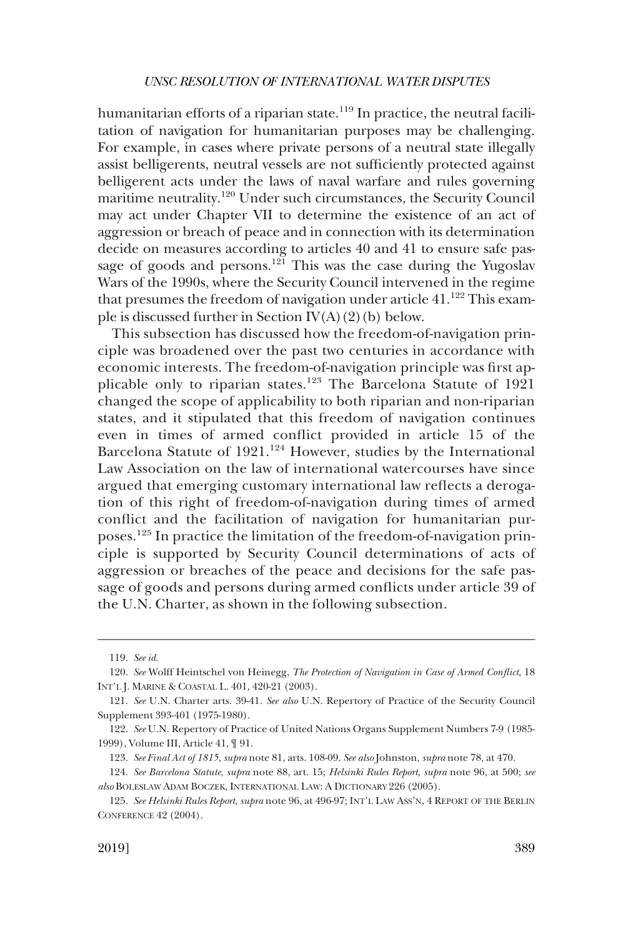humanitarian efforts of a riparian state.<sup>119</sup> In practice, the neutral facilitation of navigation for humanitarian purposes may be challenging. For example, in cases where private persons of a neutral state illegally assist belligerents, neutral vessels are not sufficiently protected against belligerent acts under the laws of naval warfare and rules governing maritime neutrality.120 Under such circumstances, the Security Council may act under Chapter VII to determine the existence of an act of aggression or breach of peace and in connection with its determination decide on measures according to articles 40 and 41 to ensure safe passage of goods and persons.<sup>121</sup> This was the case during the Yugoslav Wars of the 1990s, where the Security Council intervened in the regime that presumes the freedom of navigation under article  $41.^{122}$  This example is discussed further in Section  $IV(A)(2)(b)$  below.

This subsection has discussed how the freedom-of-navigation principle was broadened over the past two centuries in accordance with economic interests. The freedom-of-navigation principle was first applicable only to riparian states.123 The Barcelona Statute of 1921 changed the scope of applicability to both riparian and non-riparian states, and it stipulated that this freedom of navigation continues even in times of armed conflict provided in article 15 of the Barcelona Statute of 1921.<sup>124</sup> However, studies by the International Law Association on the law of international watercourses have since argued that emerging customary international law reflects a derogation of this right of freedom-of-navigation during times of armed conflict and the facilitation of navigation for humanitarian purposes.125 In practice the limitation of the freedom-of-navigation principle is supported by Security Council determinations of acts of aggression or breaches of the peace and decisions for the safe passage of goods and persons during armed conflicts under article 39 of the U.N. Charter, as shown in the following subsection.

<sup>119.</sup> *See id*.

<sup>120.</sup> *See* Wolff Heintschel von Heinegg, *The Protection of Navigation in Case of Armed Conflict*, 18 INT'L J. MARINE & COASTAL L. 401, 420-21 (2003).

<sup>121.</sup> *See* U.N. Charter arts. 39-41. *See also* U.N. Repertory of Practice of the Security Council Supplement 393-401 (1975-1980).

<sup>122.</sup> *See* U.N. Repertory of Practice of United Nations Organs Supplement Numbers 7-9 (1985- 1999), Volume III, Article 41, ¶ 91.

<sup>123.</sup> *See Final Act of 1815*, *supra* note 81, arts. 108-09. *See also* Johnston, *supra* note 78, at 470.

<sup>124.</sup> *See Barcelona Statute*, *supra* note 88, art. 15; *Helsinki Rules Report*, *supra* note 96, at 500; *see also* BOLESLAW ADAM BOCZEK, INTERNATIONAL LAW: A DICTIONARY 226 (2005).

<sup>125.</sup> *See Helsinki Rules Report*, *supra* note 96, at 496-97; INT'L LAW ASS'N, 4 REPORT OF THE BERLIN CONFERENCE 42 (2004).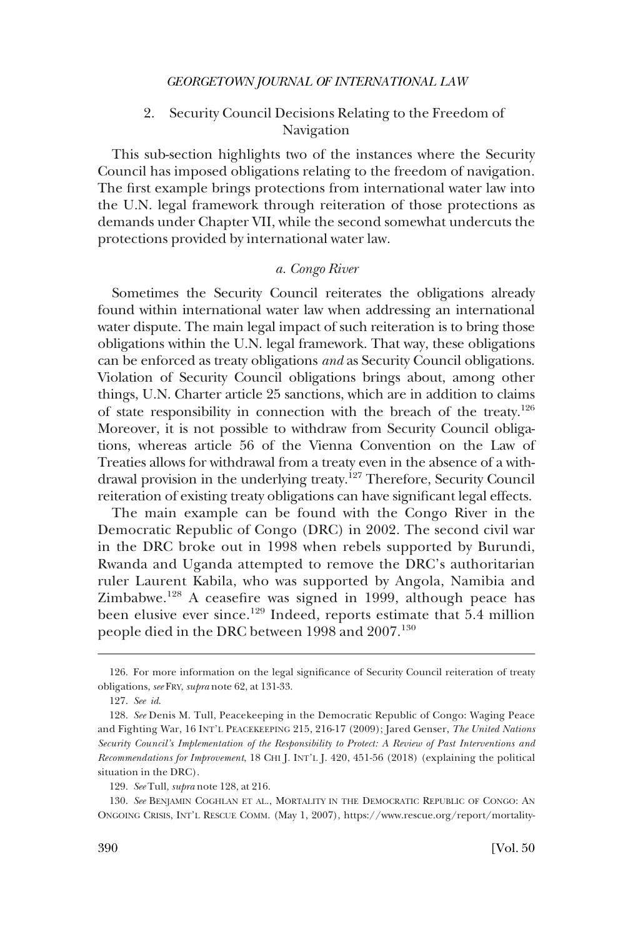2. Security Council Decisions Relating to the Freedom of Navigation

<span id="page-27-0"></span>This sub-section highlights two of the instances where the Security Council has imposed obligations relating to the freedom of navigation. The first example brings protections from international water law into the U.N. legal framework through reiteration of those protections as demands under Chapter VII, while the second somewhat undercuts the protections provided by international water law.

# *a. Congo River*

Sometimes the Security Council reiterates the obligations already found within international water law when addressing an international water dispute. The main legal impact of such reiteration is to bring those obligations within the U.N. legal framework. That way, these obligations can be enforced as treaty obligations *and* as Security Council obligations. Violation of Security Council obligations brings about, among other things, U.N. Charter article 25 sanctions, which are in addition to claims of state responsibility in connection with the breach of the treaty.<sup>126</sup> Moreover, it is not possible to withdraw from Security Council obligations, whereas article 56 of the Vienna Convention on the Law of Treaties allows for withdrawal from a treaty even in the absence of a withdrawal provision in the underlying treaty.<sup>127</sup> Therefore, Security Council reiteration of existing treaty obligations can have significant legal effects.

The main example can be found with the Congo River in the Democratic Republic of Congo (DRC) in 2002. The second civil war in the DRC broke out in 1998 when rebels supported by Burundi, Rwanda and Uganda attempted to remove the DRC's authoritarian ruler Laurent Kabila, who was supported by Angola, Namibia and Zimbabwe.<sup>128</sup> A ceasefire was signed in 1999, although peace has been elusive ever since.<sup>129</sup> Indeed, reports estimate that 5.4 million people died in the DRC between 1998 and 2007.<sup>130</sup>

<sup>126.</sup> For more information on the legal significance of Security Council reiteration of treaty obligations, *see* FRY, *supra* note 62, at 131-33.

<sup>127.</sup> *See id*.

<sup>128.</sup> *See* Denis M. Tull, Peacekeeping in the Democratic Republic of Congo: Waging Peace and Fighting War, 16 INT'L PEACEKEEPING 215, 216-17 (2009); Jared Genser, *The United Nations Security Council's Implementation of the Responsibility to Protect: A Review of Past Interventions and Recommendations for Improvement*, 18 CHI J. INT'L J. 420, 451-56 (2018) (explaining the political situation in the DRC).

<sup>129.</sup> *See* Tull, *supra* note 128, at 216.

<sup>130.</sup> *See* BENJAMIN COGHLAN ET AL., MORTALITY IN THE DEMOCRATIC REPUBLIC OF CONGO: AN ONGOING CRISIS, INT'L RESCUE COMM. (May 1, 2007), https://www.rescue.org/report/mortality-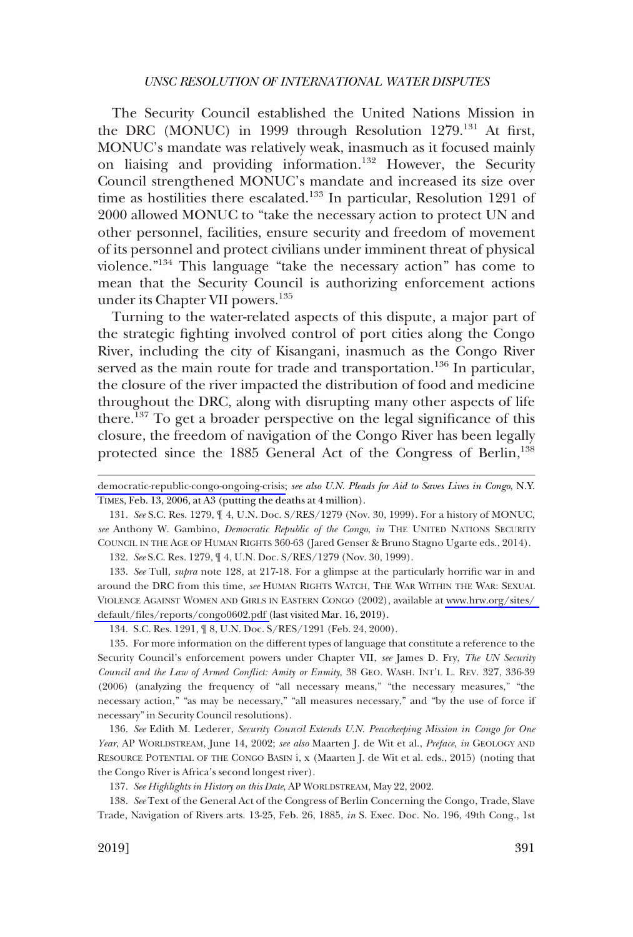The Security Council established the United Nations Mission in the DRC (MONUC) in 1999 through Resolution  $1279$ .<sup>131</sup> At first, MONUC's mandate was relatively weak, inasmuch as it focused mainly on liaising and providing information.132 However, the Security Council strengthened MONUC's mandate and increased its size over time as hostilities there escalated.<sup>133</sup> In particular, Resolution 1291 of 2000 allowed MONUC to "take the necessary action to protect UN and other personnel, facilities, ensure security and freedom of movement of its personnel and protect civilians under imminent threat of physical violence."134 This language "take the necessary action" has come to mean that the Security Council is authorizing enforcement actions under its Chapter VII powers.<sup>135</sup>

Turning to the water-related aspects of this dispute, a major part of the strategic fighting involved control of port cities along the Congo River, including the city of Kisangani, inasmuch as the Congo River served as the main route for trade and transportation.<sup>136</sup> In particular, the closure of the river impacted the distribution of food and medicine throughout the DRC, along with disrupting many other aspects of life there.137 To get a broader perspective on the legal significance of this closure, the freedom of navigation of the Congo River has been legally protected since the 1885 General Act of the Congress of Berlin,<sup>138</sup>

131. *See* S.C. Res. 1279, ¶ 4, U.N. Doc. S/RES/1279 (Nov. 30, 1999). For a history of MONUC, *see* Anthony W. Gambino, *Democratic Republic of the Congo*, *in* THE UNITED NATIONS SECURITY COUNCIL IN THE AGE OF HUMAN RIGHTS 360-63 (Jared Genser & Bruno Stagno Ugarte eds., 2014).

132. *See* S.C. Res. 1279, ¶ 4, U.N. Doc. S/RES/1279 (Nov. 30, 1999).

133. *See* Tull, *supra* note 128, at 217-18. For a glimpse at the particularly horrific war in and around the DRC from this time, *see* HUMAN RIGHTS WATCH, THE WAR WITHIN THE WAR: SEXUAL VIOLENCE AGAINST WOMEN AND GIRLS IN EASTERN CONGO (2002), available at [www.hrw.org/sites/](http://www.hrw.org/sites/default/files/reports/congo0602.pdf)  [default/files/reports/congo0602.pdf \(](http://www.hrw.org/sites/default/files/reports/congo0602.pdf)last visited Mar. 16, 2019).

134. S.C. Res. 1291, ¶ 8, U.N. Doc. S/RES/1291 (Feb. 24, 2000).

135. For more information on the different types of language that constitute a reference to the Security Council's enforcement powers under Chapter VII, *see* James D. Fry, *The UN Security Council and the Law of Armed Conflict: Amity or Enmity*, 38 GEO. WASH. INT'L L. REV. 327, 336-39 (2006) (analyzing the frequency of "all necessary means," "the necessary measures," "the necessary action," "as may be necessary," "all measures necessary," and "by the use of force if necessary" in Security Council resolutions).

136. *See* Edith M. Lederer, *Security Council Extends U.N. Peacekeeping Mission in Congo for One Year*, AP WORLDSTREAM, June 14, 2002; *see also* Maarten J. de Wit et al., *Preface*, *in* GEOLOGY AND RESOURCE POTENTIAL OF THE CONGO BASIN i, x (Maarten J. de Wit et al. eds., 2015) (noting that the Congo River is Africa's second longest river).

137. *See Highlights in History on this Date*, AP WORLDSTREAM, May 22, 2002.

138. *See* Text of the General Act of the Congress of Berlin Concerning the Congo, Trade, Slave Trade, Navigation of Rivers arts. 13-25, Feb. 26, 1885, *in* S. Exec. Doc. No. 196, 49th Cong., 1st

[democratic-republic-congo-ongoing-crisis;](https://www.rescue.org/report/mortality-democratic-republic-congo-ongoing-crisis) *see also U.N. Pleads for Aid to Saves Lives in Congo*, N.Y. TIMES, Feb. 13, 2006, at A3 (putting the deaths at 4 million).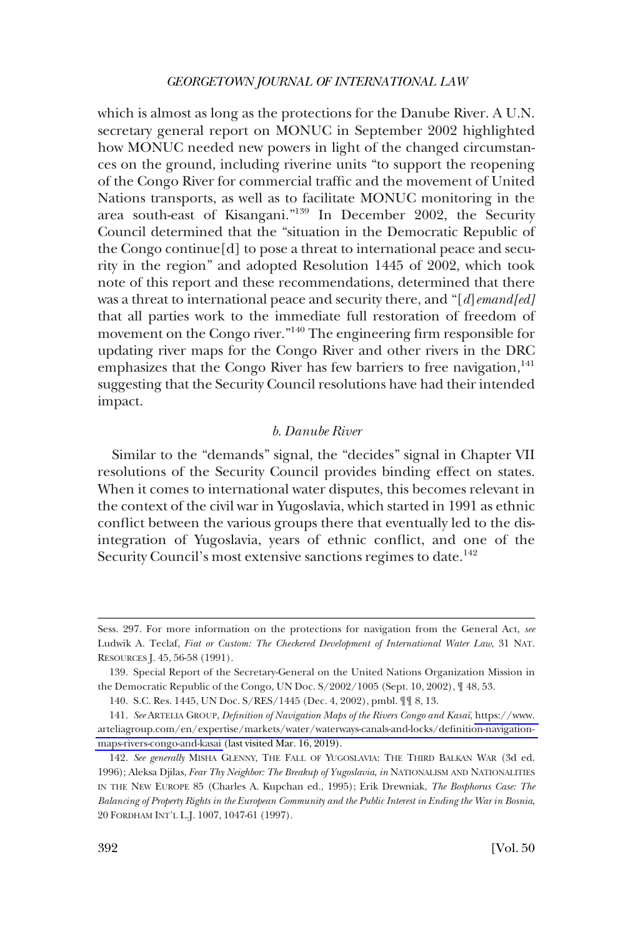<span id="page-29-0"></span>which is almost as long as the protections for the Danube River. A U.N. secretary general report on MONUC in September 2002 highlighted how MONUC needed new powers in light of the changed circumstances on the ground, including riverine units "to support the reopening of the Congo River for commercial traffic and the movement of United Nations transports, as well as to facilitate MONUC monitoring in the area south-east of Kisangani."139 In December 2002, the Security Council determined that the "situation in the Democratic Republic of the Congo continue[d] to pose a threat to international peace and security in the region" and adopted Resolution 1445 of 2002, which took note of this report and these recommendations, determined that there was a threat to international peace and security there, and "[*d*]*emand[ed]*  that all parties work to the immediate full restoration of freedom of movement on the Congo river."<sup>140</sup> The engineering firm responsible for updating river maps for the Congo River and other rivers in the DRC emphasizes that the Congo River has few barriers to free navigation, $141$ suggesting that the Security Council resolutions have had their intended impact.

# *b. Danube River*

Similar to the "demands" signal, the "decides" signal in Chapter VII resolutions of the Security Council provides binding effect on states. When it comes to international water disputes, this becomes relevant in the context of the civil war in Yugoslavia, which started in 1991 as ethnic conflict between the various groups there that eventually led to the disintegration of Yugoslavia, years of ethnic conflict, and one of the Security Council's most extensive sanctions regimes to date.<sup>142</sup>

Sess. 297. For more information on the protections for navigation from the General Act, *see*  Ludwik A. Teclaf, *Fiat or Custom: The Checkered Development of International Water Law*, 31 NAT. RESOURCES J. 45, 56-58 (1991).

<sup>139.</sup> Special Report of the Secretary-General on the United Nations Organization Mission in the Democratic Republic of the Congo, UN Doc. S/2002/1005 (Sept. 10, 2002), ¶ 48, 53.

<sup>140.</sup> S.C. Res. 1445, UN Doc. S/RES/1445 (Dec. 4, 2002), pmbl. ¶¶ 8, 13.

<sup>141.</sup> See ARTELIA GROUP, *Definition of Navigation Maps of the Rivers Congo and Kasai*, https://www. [arteliagroup.com/en/expertise/markets/water/waterways-canals-and-locks/definition-navigation](https://www.arteliagroup.com/en/expertise/markets/water/waterways-canals-and-locks/definition-navigation-maps-rivers-congo-and-kasai)[maps-rivers-congo-and-kasai](https://www.arteliagroup.com/en/expertise/markets/water/waterways-canals-and-locks/definition-navigation-maps-rivers-congo-and-kasai) (last visited Mar. 16, 2019).

<sup>142.</sup> *See generally* MISHA GLENNY, THE FALL OF YUGOSLAVIA: THE THIRD BALKAN WAR (3d ed. 1996); Aleksa Djilas, *Fear Thy Neighbor: The Breakup of Yugoslavia*, *in* NATIONALISM AND NATIONALITIES IN THE NEW EUROPE 85 (Charles A. Kupchan ed., 1995); Erik Drewniak, *The Bosphorus Case: The Balancing of Property Rights in the European Community and the Public Interest in Ending the War in Bosnia*, 20 FORDHAM INT'L L.J. 1007, 1047-61 (1997).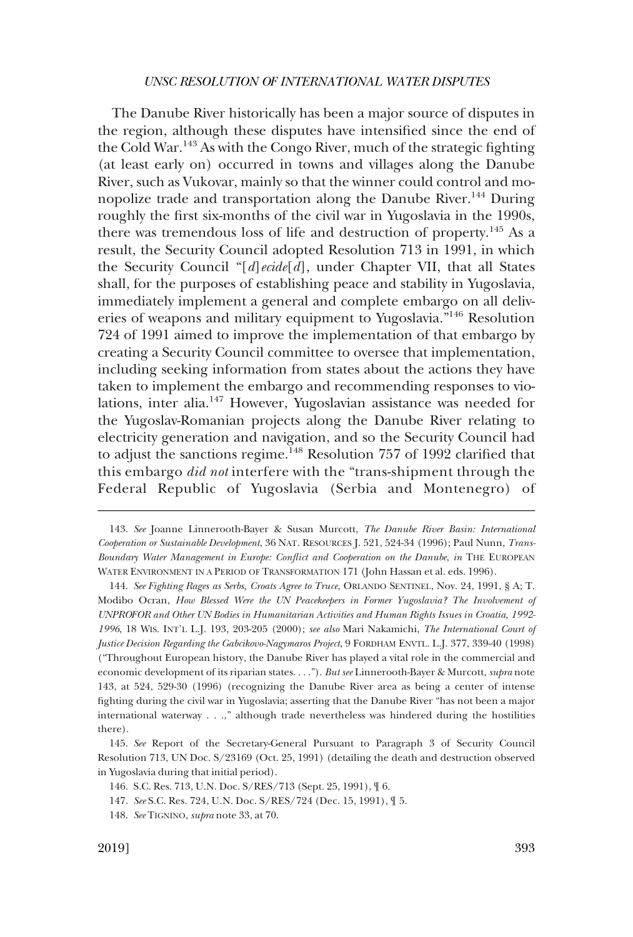The Danube River historically has been a major source of disputes in the region, although these disputes have intensified since the end of the Cold War.<sup>143</sup> As with the Congo River, much of the strategic fighting (at least early on) occurred in towns and villages along the Danube River, such as Vukovar, mainly so that the winner could control and monopolize trade and transportation along the Danube River.<sup>144</sup> During roughly the first six-months of the civil war in Yugoslavia in the 1990s, there was tremendous loss of life and destruction of property.145 As a result, the Security Council adopted Resolution 713 in 1991, in which the Security Council "[*d*]*ecide*[*d*], under Chapter VII, that all States shall, for the purposes of establishing peace and stability in Yugoslavia, immediately implement a general and complete embargo on all deliveries of weapons and military equipment to Yugoslavia."146 Resolution 724 of 1991 aimed to improve the implementation of that embargo by creating a Security Council committee to oversee that implementation, including seeking information from states about the actions they have taken to implement the embargo and recommending responses to violations, inter alia.147 However, Yugoslavian assistance was needed for the Yugoslav-Romanian projects along the Danube River relating to electricity generation and navigation, and so the Security Council had to adjust the sanctions regime.<sup>148</sup> Resolution 757 of 1992 clarified that this embargo *did not* interfere with the "trans-shipment through the Federal Republic of Yugoslavia (Serbia and Montenegro) of

<sup>143.</sup> *See* Joanne Linnerooth-Bayer & Susan Murcott, *The Danube River Basin: International Cooperation or Sustainable Development*, 36 NAT. RESOURCES J. 521, 524-34 (1996); Paul Nunn, *Trans-Boundary Water Management in Europe: Conflict and Cooperation on the Danube*, *in* THE EUROPEAN WATER ENVIRONMENT IN A PERIOD OF TRANSFORMATION 171 (John Hassan et al. eds. 1996).

<sup>144.</sup> *See Fighting Rages as Serbs, Croats Agree to Truce*, ORLANDO SENTINEL, Nov. 24, 1991, § A; T. Modibo Ocran, *How Blessed Were the UN Peacekeepers in Former Yugoslavia? The Involvement of UNPROFOR and Other UN Bodies in Humanitarian Activities and Human Rights Issues in Croatia, 1992- 1996*, 18 WIS. INT'L L.J. 193, 203-205 (2000); *see also* Mari Nakamichi, *The International Court of Justice Decision Regarding the Gabcikovo-Nagymaros Project*, 9 FORDHAM ENVTL. L.J. 377, 339-40 (1998) ("Throughout European history, the Danube River has played a vital role in the commercial and economic development of its riparian states. . . ."). *But see* Linnerooth-Bayer & Murcott, *supra* note 143, at 524, 529-30 (1996) (recognizing the Danube River area as being a center of intense fighting during the civil war in Yugoslavia; asserting that the Danube River "has not been a major international waterway . . .," although trade nevertheless was hindered during the hostilities there).

<sup>145.</sup> *See* Report of the Secretary-General Pursuant to Paragraph 3 of Security Council Resolution 713, UN Doc. S/23169 (Oct. 25, 1991) (detailing the death and destruction observed in Yugoslavia during that initial period).

<sup>146.</sup> S.C. Res. 713, U.N. Doc. S/RES/713 (Sept. 25, 1991), ¶ 6.

<sup>147.</sup> *See* S.C. Res. 724, U.N. Doc. S/RES/724 (Dec. 15, 1991), ¶ 5.

<sup>148.</sup> *See* TIGNINO, *supra* note 33, at 70.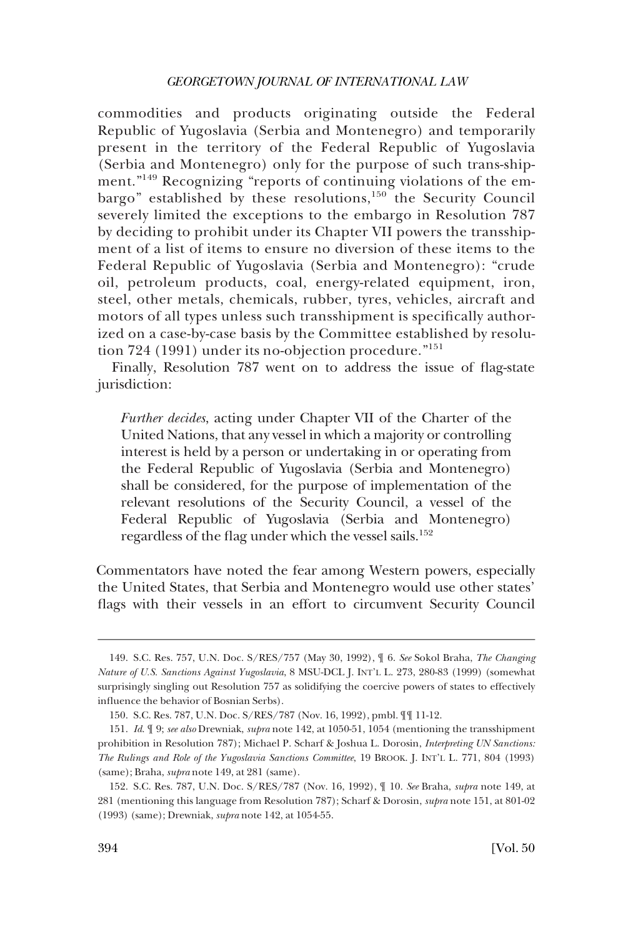commodities and products originating outside the Federal Republic of Yugoslavia (Serbia and Montenegro) and temporarily present in the territory of the Federal Republic of Yugoslavia (Serbia and Montenegro) only for the purpose of such trans-shipment."149 Recognizing "reports of continuing violations of the embargo" established by these resolutions,<sup>150</sup> the Security Council severely limited the exceptions to the embargo in Resolution 787 by deciding to prohibit under its Chapter VII powers the transshipment of a list of items to ensure no diversion of these items to the Federal Republic of Yugoslavia (Serbia and Montenegro): "crude oil, petroleum products, coal, energy-related equipment, iron, steel, other metals, chemicals, rubber, tyres, vehicles, aircraft and motors of all types unless such transshipment is specifically authorized on a case-by-case basis by the Committee established by resolution 724 (1991) under its no-objection procedure."<sup>151</sup>

Finally, Resolution 787 went on to address the issue of flag-state jurisdiction:

*Further decides*, acting under Chapter VII of the Charter of the United Nations, that any vessel in which a majority or controlling interest is held by a person or undertaking in or operating from the Federal Republic of Yugoslavia (Serbia and Montenegro) shall be considered, for the purpose of implementation of the relevant resolutions of the Security Council, a vessel of the Federal Republic of Yugoslavia (Serbia and Montenegro) regardless of the flag under which the vessel sails.<sup>152</sup>

Commentators have noted the fear among Western powers, especially the United States, that Serbia and Montenegro would use other states' flags with their vessels in an effort to circumvent Security Council

<sup>149.</sup> S.C. Res. 757, U.N. Doc. S/RES/757 (May 30, 1992), ¶ 6. *See* Sokol Braha, *The Changing Nature of U.S. Sanctions Against Yugoslavia*, 8 MSU-DCL J. INT'L L. 273, 280-83 (1999) (somewhat surprisingly singling out Resolution 757 as solidifying the coercive powers of states to effectively influence the behavior of Bosnian Serbs).

<sup>150.</sup> S.C. Res. 787, U.N. Doc. S/RES/787 (Nov. 16, 1992), pmbl. ¶¶ 11-12.

<sup>151.</sup> *Id*. ¶ 9; *see also* Drewniak, *supra* note 142, at 1050-51, 1054 (mentioning the transshipment prohibition in Resolution 787); Michael P. Scharf & Joshua L. Dorosin, *Interpreting UN Sanctions: The Rulings and Role of the Yugoslavia Sanctions Committee*, 19 BROOK. J. INT'L L. 771, 804 (1993) (same); Braha, *supra* note 149, at 281 (same).

<sup>152.</sup> S.C. Res. 787, U.N. Doc. S/RES/787 (Nov. 16, 1992), ¶ 10. *See* Braha, *supra* note 149, at 281 (mentioning this language from Resolution 787); Scharf & Dorosin, *supra* note 151, at 801-02 (1993) (same); Drewniak, *supra* note 142, at 1054-55.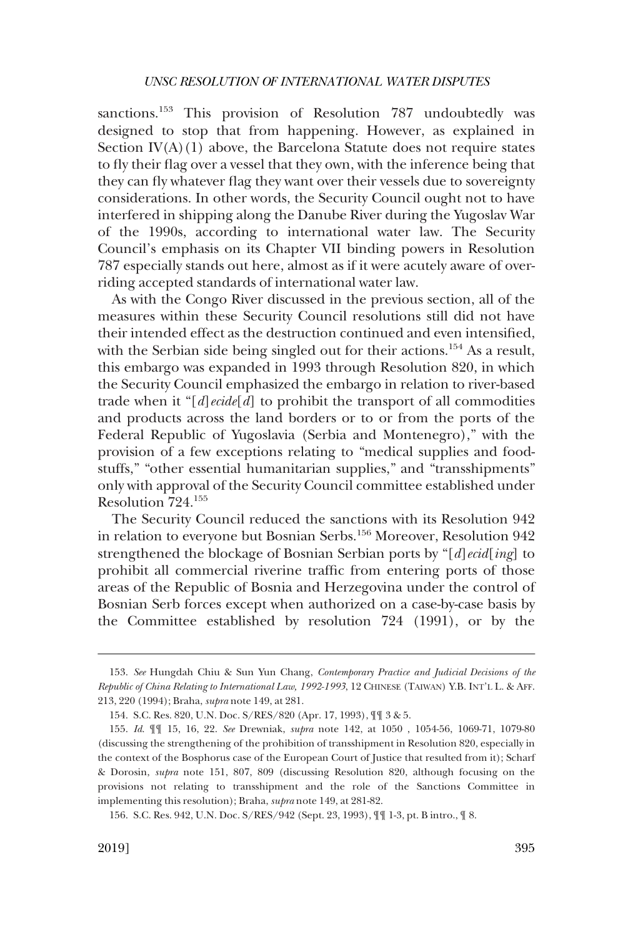sanctions.<sup>153</sup> This provision of Resolution 787 undoubtedly was designed to stop that from happening. However, as explained in Section  $IV(A)(1)$  above, the Barcelona Statute does not require states to fly their flag over a vessel that they own, with the inference being that they can fly whatever flag they want over their vessels due to sovereignty considerations. In other words, the Security Council ought not to have interfered in shipping along the Danube River during the Yugoslav War of the 1990s, according to international water law. The Security Council's emphasis on its Chapter VII binding powers in Resolution 787 especially stands out here, almost as if it were acutely aware of overriding accepted standards of international water law.

As with the Congo River discussed in the previous section, all of the measures within these Security Council resolutions still did not have their intended effect as the destruction continued and even intensified, with the Serbian side being singled out for their actions.<sup>154</sup> As a result, this embargo was expanded in 1993 through Resolution 820, in which the Security Council emphasized the embargo in relation to river-based trade when it "[*d*]*ecide*[*d*] to prohibit the transport of all commodities and products across the land borders or to or from the ports of the Federal Republic of Yugoslavia (Serbia and Montenegro)," with the provision of a few exceptions relating to "medical supplies and foodstuffs," "other essential humanitarian supplies," and "transshipments" only with approval of the Security Council committee established under Resolution 724.155

The Security Council reduced the sanctions with its Resolution 942 in relation to everyone but Bosnian Serbs.<sup>156</sup> Moreover, Resolution 942 strengthened the blockage of Bosnian Serbian ports by "[*d*]*ecid*[*ing*] to prohibit all commercial riverine traffic from entering ports of those areas of the Republic of Bosnia and Herzegovina under the control of Bosnian Serb forces except when authorized on a case-by-case basis by the Committee established by resolution 724 (1991), or by the

<sup>153.</sup> *See* Hungdah Chiu & Sun Yun Chang, *Contemporary Practice and Judicial Decisions of the Republic of China Relating to International Law, 1992-1993*, 12 CHINESE (TAIWAN) Y.B. INT'L L. & AFF. 213, 220 (1994); Braha, *supra* note 149, at 281.

<sup>154.</sup> S.C. Res. 820, U.N. Doc. S/RES/820 (Apr. 17, 1993), ¶¶ 3 & 5.

<sup>155.</sup> *Id*. ¶¶ 15, 16, 22. *See* Drewniak, *supra* note 142, at 1050 , 1054-56, 1069-71, 1079-80 (discussing the strengthening of the prohibition of transshipment in Resolution 820, especially in the context of the Bosphorus case of the European Court of Justice that resulted from it); Scharf & Dorosin, *supra* note 151, 807, 809 (discussing Resolution 820, although focusing on the provisions not relating to transshipment and the role of the Sanctions Committee in implementing this resolution); Braha, *supra* note 149, at 281-82.

<sup>156.</sup> S.C. Res. 942, U.N. Doc. S/RES/942 (Sept. 23, 1993), ¶¶ 1-3, pt. B intro., ¶ 8.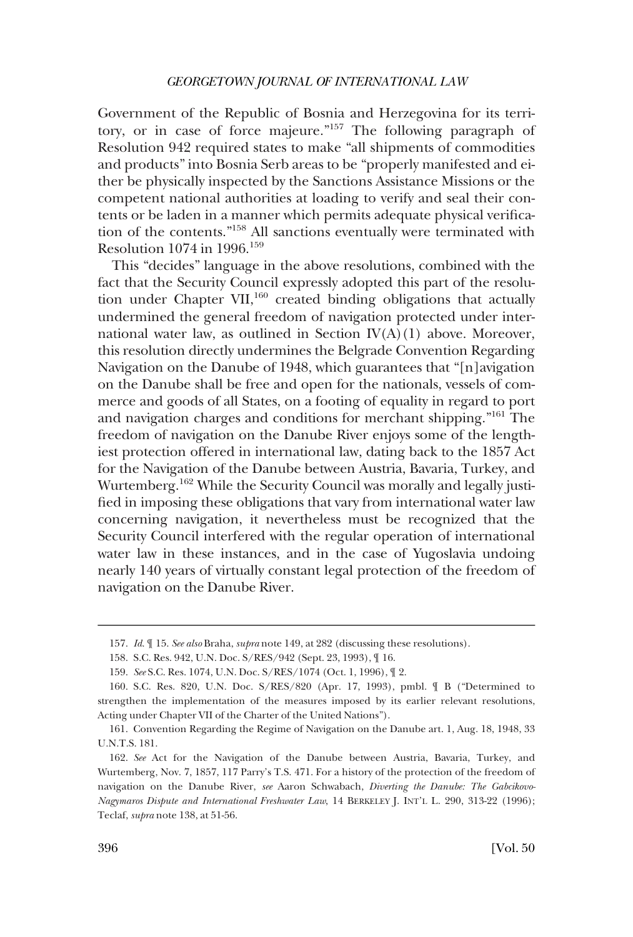Government of the Republic of Bosnia and Herzegovina for its territory, or in case of force majeure."157 The following paragraph of Resolution 942 required states to make "all shipments of commodities and products" into Bosnia Serb areas to be "properly manifested and either be physically inspected by the Sanctions Assistance Missions or the competent national authorities at loading to verify and seal their contents or be laden in a manner which permits adequate physical verification of the contents."158 All sanctions eventually were terminated with Resolution 1074 in 1996.<sup>159</sup>

This "decides" language in the above resolutions, combined with the fact that the Security Council expressly adopted this part of the resolution under Chapter VII,<sup>160</sup> created binding obligations that actually undermined the general freedom of navigation protected under international water law, as outlined in Section  $IV(A)(1)$  above. Moreover, this resolution directly undermines the Belgrade Convention Regarding Navigation on the Danube of 1948, which guarantees that "[n]avigation on the Danube shall be free and open for the nationals, vessels of commerce and goods of all States, on a footing of equality in regard to port and navigation charges and conditions for merchant shipping."161 The freedom of navigation on the Danube River enjoys some of the lengthiest protection offered in international law, dating back to the 1857 Act for the Navigation of the Danube between Austria, Bavaria, Turkey, and Wurtemberg.162 While the Security Council was morally and legally justified in imposing these obligations that vary from international water law concerning navigation, it nevertheless must be recognized that the Security Council interfered with the regular operation of international water law in these instances, and in the case of Yugoslavia undoing nearly 140 years of virtually constant legal protection of the freedom of navigation on the Danube River.

<sup>157.</sup> *Id*. ¶ 15. *See also* Braha, *supra* note 149, at 282 (discussing these resolutions).

<sup>158.</sup> S.C. Res. 942, U.N. Doc. S/RES/942 (Sept. 23, 1993), ¶ 16.

<sup>159.</sup> *See* S.C. Res. 1074, U.N. Doc. S/RES/1074 (Oct. 1, 1996), ¶ 2.

<sup>160.</sup> S.C. Res. 820, U.N. Doc. S/RES/820 (Apr. 17, 1993), pmbl. ¶ B ("Determined to strengthen the implementation of the measures imposed by its earlier relevant resolutions, Acting under Chapter VII of the Charter of the United Nations").

<sup>161.</sup> Convention Regarding the Regime of Navigation on the Danube art. 1, Aug. 18, 1948, 33 U.N.T.S. 181.

<sup>162.</sup> *See* Act for the Navigation of the Danube between Austria, Bavaria, Turkey, and Wurtemberg, Nov. 7, 1857, 117 Parry's T.S. 471. For a history of the protection of the freedom of navigation on the Danube River, *see* Aaron Schwabach, *Diverting the Danube: The Gabcikovo-Nagymaros Dispute and International Freshwater Law*, 14 BERKELEY J. INT'L L. 290, 313-22 (1996); Teclaf, *supra* note 138, at 51-56.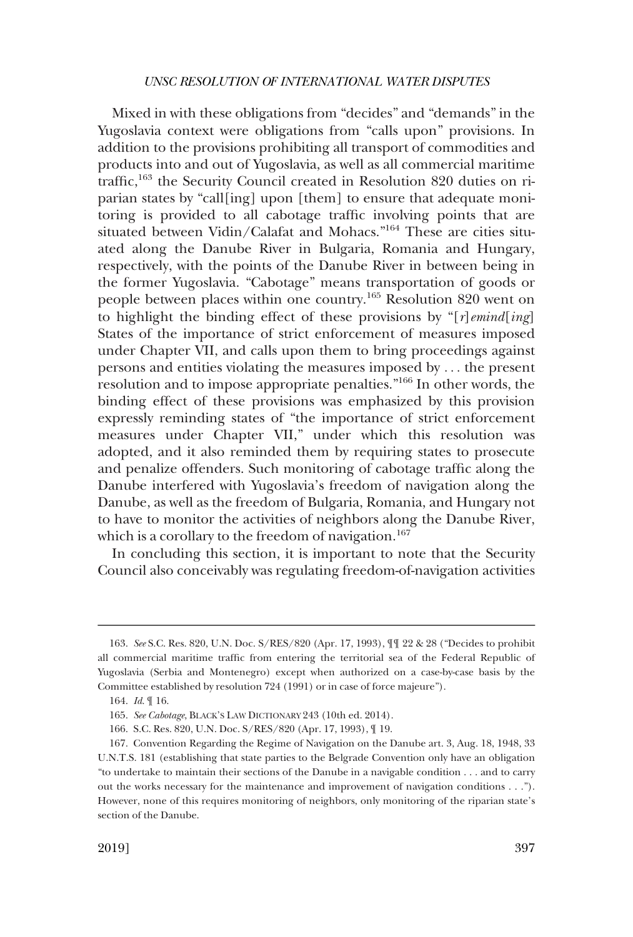Mixed in with these obligations from "decides" and "demands" in the Yugoslavia context were obligations from "calls upon" provisions. In addition to the provisions prohibiting all transport of commodities and products into and out of Yugoslavia, as well as all commercial maritime traffic,<sup>163</sup> the Security Council created in Resolution 820 duties on riparian states by "call[ing] upon [them] to ensure that adequate monitoring is provided to all cabotage traffic involving points that are situated between Vidin/Calafat and Mohacs."164 These are cities situated along the Danube River in Bulgaria, Romania and Hungary, respectively, with the points of the Danube River in between being in the former Yugoslavia. "Cabotage" means transportation of goods or people between places within one country.165 Resolution 820 went on to highlight the binding effect of these provisions by "[*r*]*emind*[*ing*] States of the importance of strict enforcement of measures imposed under Chapter VII, and calls upon them to bring proceedings against persons and entities violating the measures imposed by . . . the present resolution and to impose appropriate penalties."166 In other words, the binding effect of these provisions was emphasized by this provision expressly reminding states of "the importance of strict enforcement measures under Chapter VII," under which this resolution was adopted, and it also reminded them by requiring states to prosecute and penalize offenders. Such monitoring of cabotage traffic along the Danube interfered with Yugoslavia's freedom of navigation along the Danube, as well as the freedom of Bulgaria, Romania, and Hungary not to have to monitor the activities of neighbors along the Danube River, which is a corollary to the freedom of navigation.<sup>167</sup>

In concluding this section, it is important to note that the Security Council also conceivably was regulating freedom-of-navigation activities

164. *Id*. ¶ 16.

<sup>163.</sup> *See* S.C. Res. 820, U.N. Doc. S/RES/820 (Apr. 17, 1993), ¶¶ 22 & 28 ("Decides to prohibit all commercial maritime traffic from entering the territorial sea of the Federal Republic of Yugoslavia (Serbia and Montenegro) except when authorized on a case-by-case basis by the Committee established by resolution 724 (1991) or in case of force majeure").

<sup>165.</sup> *See Cabotage*, BLACK'S LAW DICTIONARY 243 (10th ed. 2014).

<sup>166.</sup> S.C. Res. 820, U.N. Doc. S/RES/820 (Apr. 17, 1993), ¶ 19.

<sup>167.</sup> Convention Regarding the Regime of Navigation on the Danube art. 3, Aug. 18, 1948, 33 U.N.T.S. 181 (establishing that state parties to the Belgrade Convention only have an obligation "to undertake to maintain their sections of the Danube in a navigable condition . . . and to carry out the works necessary for the maintenance and improvement of navigation conditions . . ."). However, none of this requires monitoring of neighbors, only monitoring of the riparian state's section of the Danube.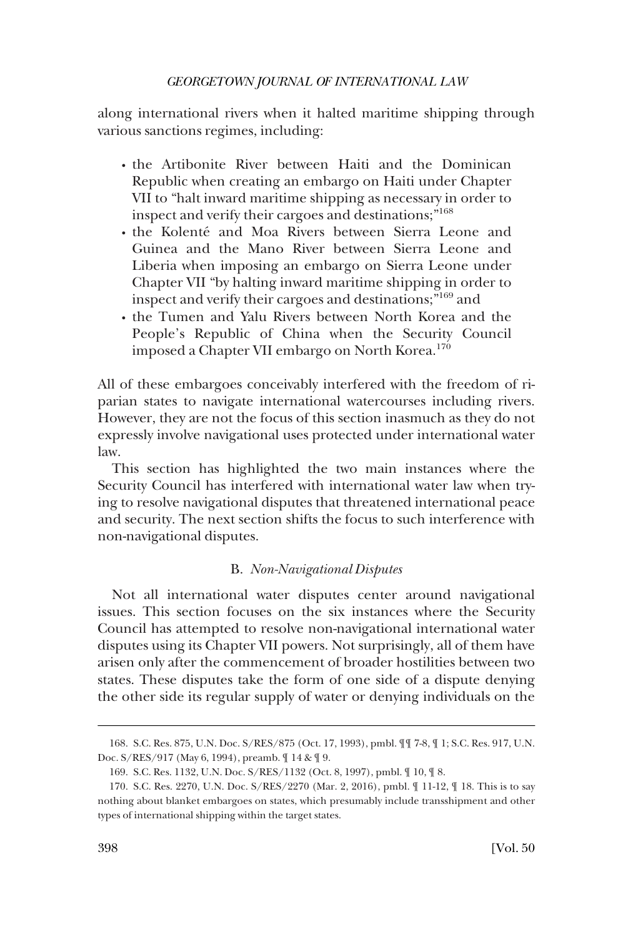<span id="page-35-0"></span>along international rivers when it halted maritime shipping through various sanctions regimes, including:

- � the Artibonite River between Haiti and the Dominican Republic when creating an embargo on Haiti under Chapter VII to "halt inward maritime shipping as necessary in order to inspect and verify their cargoes and destinations;"<sup>168</sup>
- $\cdot$  the Kolenté and Moa Rivers between Sierra Leone and Guinea and the Mano River between Sierra Leone and Liberia when imposing an embargo on Sierra Leone under Chapter VII "by halting inward maritime shipping in order to inspect and verify their cargoes and destinations;"169 and
- � the Tumen and Yalu Rivers between North Korea and the People's Republic of China when the Security Council imposed a Chapter VII embargo on North Korea.<sup>170</sup>

All of these embargoes conceivably interfered with the freedom of riparian states to navigate international watercourses including rivers. However, they are not the focus of this section inasmuch as they do not expressly involve navigational uses protected under international water law.

This section has highlighted the two main instances where the Security Council has interfered with international water law when trying to resolve navigational disputes that threatened international peace and security. The next section shifts the focus to such interference with non-navigational disputes.

# B. *Non-Navigational Disputes*

Not all international water disputes center around navigational issues. This section focuses on the six instances where the Security Council has attempted to resolve non-navigational international water disputes using its Chapter VII powers. Not surprisingly, all of them have arisen only after the commencement of broader hostilities between two states. These disputes take the form of one side of a dispute denying the other side its regular supply of water or denying individuals on the

<sup>168.</sup> S.C. Res. 875, U.N. Doc. S/RES/875 (Oct. 17, 1993), pmbl. ¶¶ 7-8, ¶ 1; S.C. Res. 917, U.N. Doc. S/RES/917 (May 6, 1994), preamb. ¶ 14 & ¶ 9.

<sup>169.</sup> S.C. Res. 1132, U.N. Doc. S/RES/1132 (Oct. 8, 1997), pmbl. ¶ 10, ¶ 8.

<sup>170.</sup> S.C. Res. 2270, U.N. Doc. S/RES/2270 (Mar. 2, 2016), pmbl. ¶ 11-12, ¶ 18. This is to say nothing about blanket embargoes on states, which presumably include transshipment and other types of international shipping within the target states.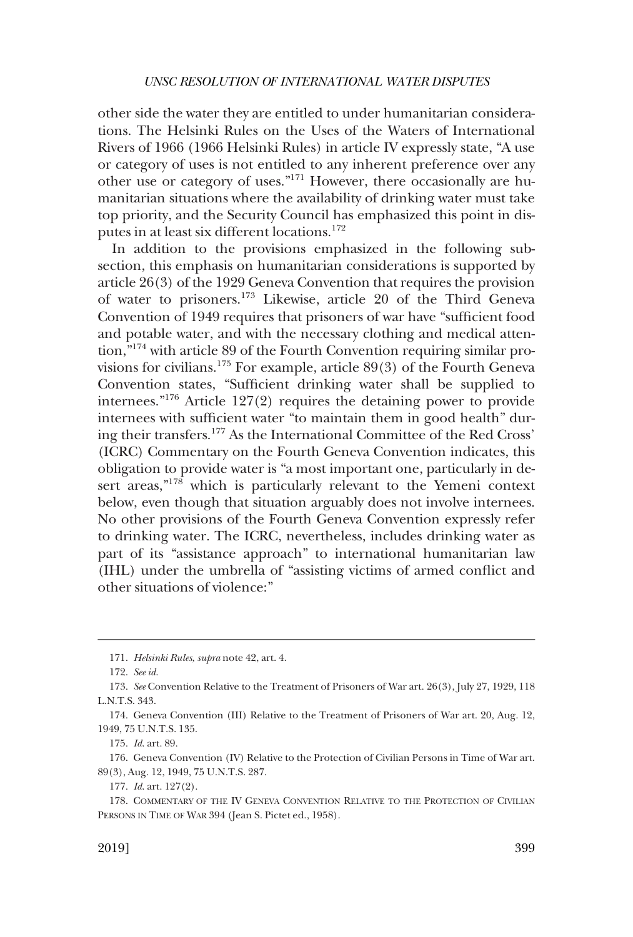other side the water they are entitled to under humanitarian considerations. The Helsinki Rules on the Uses of the Waters of International Rivers of 1966 (1966 Helsinki Rules) in article IV expressly state, "A use or category of uses is not entitled to any inherent preference over any other use or category of uses."171 However, there occasionally are humanitarian situations where the availability of drinking water must take top priority, and the Security Council has emphasized this point in disputes in at least six different locations.<sup>172</sup>

In addition to the provisions emphasized in the following subsection, this emphasis on humanitarian considerations is supported by article 26(3) of the 1929 Geneva Convention that requires the provision of water to prisoners.173 Likewise, article 20 of the Third Geneva Convention of 1949 requires that prisoners of war have "sufficient food and potable water, and with the necessary clothing and medical attention,"174 with article 89 of the Fourth Convention requiring similar provisions for civilians.<sup>175</sup> For example, article 89 $(3)$  of the Fourth Geneva Convention states, "Sufficient drinking water shall be supplied to internees."176 Article 127(2) requires the detaining power to provide internees with sufficient water "to maintain them in good health" during their transfers.177 As the International Committee of the Red Cross' (ICRC) Commentary on the Fourth Geneva Convention indicates, this obligation to provide water is "a most important one, particularly in desert areas,"<sup>178</sup> which is particularly relevant to the Yemeni context below, even though that situation arguably does not involve internees. No other provisions of the Fourth Geneva Convention expressly refer to drinking water. The ICRC, nevertheless, includes drinking water as part of its "assistance approach" to international humanitarian law (IHL) under the umbrella of "assisting victims of armed conflict and other situations of violence:"

<sup>171.</sup> *Helsinki Rules*, *supra* note 42, art. 4.

<sup>172.</sup> *See id*.

<sup>173.</sup> *See* Convention Relative to the Treatment of Prisoners of War art. 26(3), July 27, 1929, 118 L.N.T.S. 343.

<sup>174.</sup> Geneva Convention (III) Relative to the Treatment of Prisoners of War art. 20, Aug. 12, 1949, 75 U.N.T.S. 135.

<sup>175.</sup> *Id*. art. 89.

<sup>176.</sup> Geneva Convention (IV) Relative to the Protection of Civilian Persons in Time of War art. 89(3), Aug. 12, 1949, 75 U.N.T.S. 287.

<sup>177.</sup> *Id*. art. 127(2).

<sup>178.</sup> COMMENTARY OF THE IV GENEVA CONVENTION RELATIVE TO THE PROTECTION OF CIVILIAN PERSONS IN TIME OF WAR 394 (Jean S. Pictet ed., 1958).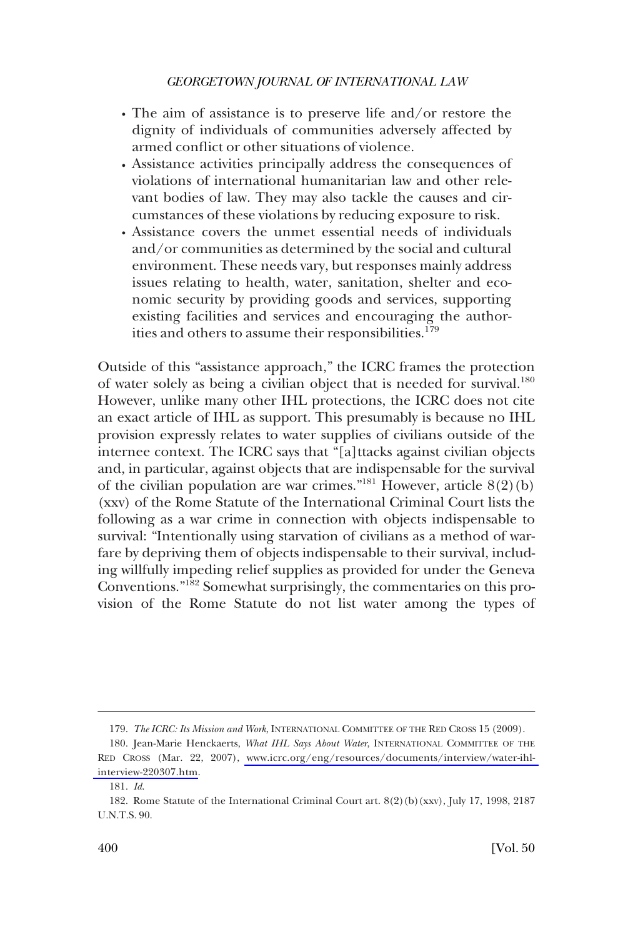- The aim of assistance is to preserve life and/or restore the dignity of individuals of communities adversely affected by armed conflict or other situations of violence.
- � Assistance activities principally address the consequences of violations of international humanitarian law and other relevant bodies of law. They may also tackle the causes and circumstances of these violations by reducing exposure to risk.
- � Assistance covers the unmet essential needs of individuals and/or communities as determined by the social and cultural environment. These needs vary, but responses mainly address issues relating to health, water, sanitation, shelter and economic security by providing goods and services, supporting existing facilities and services and encouraging the authorities and others to assume their responsibilities.<sup>179</sup>

Outside of this "assistance approach," the ICRC frames the protection of water solely as being a civilian object that is needed for survival.<sup>180</sup> However, unlike many other IHL protections, the ICRC does not cite an exact article of IHL as support. This presumably is because no IHL provision expressly relates to water supplies of civilians outside of the internee context. The ICRC says that "[a]ttacks against civilian objects and, in particular, against objects that are indispensable for the survival of the civilian population are war crimes."<sup>181</sup> However, article  $8(2)(b)$ (xxv) of the Rome Statute of the International Criminal Court lists the following as a war crime in connection with objects indispensable to survival: "Intentionally using starvation of civilians as a method of warfare by depriving them of objects indispensable to their survival, including willfully impeding relief supplies as provided for under the Geneva Conventions."182 Somewhat surprisingly, the commentaries on this provision of the Rome Statute do not list water among the types of

<sup>179.</sup> *The ICRC: Its Mission and Work*, INTERNATIONAL COMMITTEE OF THE RED CROSS 15 (2009).

<sup>180.</sup> Jean-Marie Henckaerts, What IHL Says About Water, INTERNATIONAL COMMITTEE OF THE RED CROSS (Mar. 22, 2007), [www.icrc.org/eng/resources/documents/interview/water-ihl](http://www.icrc.org/eng/resources/documents/interview/water-ihl-interview-220307.htm)[interview-220307.htm.](http://www.icrc.org/eng/resources/documents/interview/water-ihl-interview-220307.htm)

<sup>181.</sup> *Id*.

<sup>182.</sup> Rome Statute of the International Criminal Court art. 8(2)(b)(xxv), July 17, 1998, 2187 U.N.T.S. 90.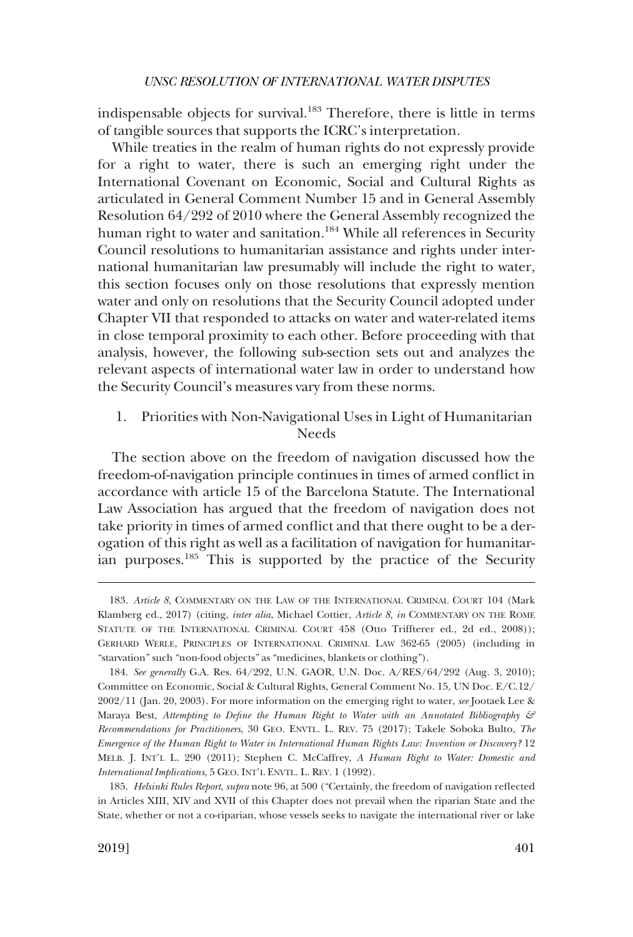<span id="page-38-0"></span>indispensable objects for survival.<sup>183</sup> Therefore, there is little in terms of tangible sources that supports the ICRC's interpretation.

While treaties in the realm of human rights do not expressly provide for a right to water, there is such an emerging right under the International Covenant on Economic, Social and Cultural Rights as articulated in General Comment Number 15 and in General Assembly Resolution 64/292 of 2010 where the General Assembly recognized the human right to water and sanitation.<sup>184</sup> While all references in Security Council resolutions to humanitarian assistance and rights under international humanitarian law presumably will include the right to water, this section focuses only on those resolutions that expressly mention water and only on resolutions that the Security Council adopted under Chapter VII that responded to attacks on water and water-related items in close temporal proximity to each other. Before proceeding with that analysis, however, the following sub-section sets out and analyzes the relevant aspects of international water law in order to understand how the Security Council's measures vary from these norms.

1. Priorities with Non-Navigational Uses in Light of Humanitarian Needs

The section above on the freedom of navigation discussed how the freedom-of-navigation principle continues in times of armed conflict in accordance with article 15 of the Barcelona Statute. The International Law Association has argued that the freedom of navigation does not take priority in times of armed conflict and that there ought to be a derogation of this right as well as a facilitation of navigation for humanitarian purposes.185 This is supported by the practice of the Security

<sup>183.</sup> *Article 8*, COMMENTARY ON THE LAW OF THE INTERNATIONAL CRIMINAL COURT 104 (Mark Klamberg ed., 2017) (citing, *inter alia*, Michael Cottier, *Article 8*, *in* COMMENTARY ON THE ROME STATUTE OF THE INTERNATIONAL CRIMINAL COURT 458 (Otto Triffterer ed., 2d ed., 2008)); GERHARD WERLE, PRINCIPLES OF INTERNATIONAL CRIMINAL LAW 362-65 (2005) (including in "starvation" such "non-food objects" as "medicines, blankets or clothing").

<sup>184.</sup> *See generally* G.A. Res. 64/292, U.N. GAOR, U.N. Doc. A/RES/64/292 (Aug. 3, 2010); Committee on Economic, Social & Cultural Rights, General Comment No. 15, UN Doc. E/C.12/ 2002/11 (Jan. 20, 2003). For more information on the emerging right to water, *see* Jootaek Lee & Maraya Best, *Attempting to Define the Human Right to Water with an Annotated Bibliography*  $\mathcal{F}$ *Recommendations for Practitioners*, 30 GEO. ENVTL. L. REV. 75 (2017); Takele Soboka Bulto, *The Emergence of the Human Right to Water in International Human Rights Law: Invention or Discovery?* 12 MELB. J. INT'L L. 290 (2011); Stephen C. McCaffrey, *A Human Right to Water: Domestic and International Implications*, 5 GEO. INT'L ENVTL. L. REV. 1 (1992).

<sup>185.</sup> *Helsinki Rules Report*, *supra* note 96, at 500 ("Certainly, the freedom of navigation reflected in Articles XIII, XIV and XVII of this Chapter does not prevail when the riparian State and the State, whether or not a co-riparian, whose vessels seeks to navigate the international river or lake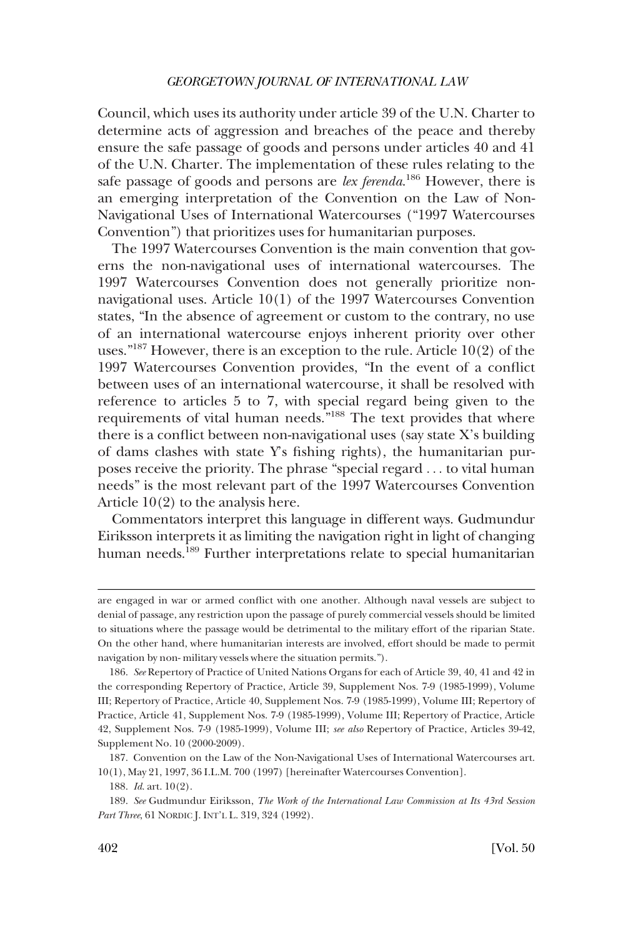Council, which uses its authority under article 39 of the U.N. Charter to determine acts of aggression and breaches of the peace and thereby ensure the safe passage of goods and persons under articles 40 and 41 of the U.N. Charter. The implementation of these rules relating to the safe passage of goods and persons are *lex ferenda*. 186 However, there is an emerging interpretation of the Convention on the Law of Non-Navigational Uses of International Watercourses ("1997 Watercourses Convention") that prioritizes uses for humanitarian purposes.

The 1997 Watercourses Convention is the main convention that governs the non-navigational uses of international watercourses. The 1997 Watercourses Convention does not generally prioritize nonnavigational uses. Article 10(1) of the 1997 Watercourses Convention states, "In the absence of agreement or custom to the contrary, no use of an international watercourse enjoys inherent priority over other uses."<sup>187</sup> However, there is an exception to the rule. Article  $10(2)$  of the 1997 Watercourses Convention provides, "In the event of a conflict between uses of an international watercourse, it shall be resolved with reference to articles 5 to 7, with special regard being given to the requirements of vital human needs."188 The text provides that where there is a conflict between non-navigational uses (say state X's building of dams clashes with state Y's fishing rights), the humanitarian purposes receive the priority. The phrase "special regard . . . to vital human needs" is the most relevant part of the 1997 Watercourses Convention Article 10(2) to the analysis here.

Commentators interpret this language in different ways. Gudmundur Eiriksson interprets it as limiting the navigation right in light of changing human needs.<sup>189</sup> Further interpretations relate to special humanitarian

are engaged in war or armed conflict with one another. Although naval vessels are subject to denial of passage, any restriction upon the passage of purely commercial vessels should be limited to situations where the passage would be detrimental to the military effort of the riparian State. On the other hand, where humanitarian interests are involved, effort should be made to permit navigation by non- military vessels where the situation permits.").

<sup>186.</sup> *See* Repertory of Practice of United Nations Organs for each of Article 39, 40, 41 and 42 in the corresponding Repertory of Practice, Article 39, Supplement Nos. 7-9 (1985-1999), Volume III; Repertory of Practice, Article 40, Supplement Nos. 7-9 (1985-1999), Volume III; Repertory of Practice, Article 41, Supplement Nos. 7-9 (1985-1999), Volume III; Repertory of Practice, Article 42, Supplement Nos. 7-9 (1985-1999), Volume III; *see also* Repertory of Practice, Articles 39-42, Supplement No. 10 (2000-2009).

<sup>187.</sup> Convention on the Law of the Non-Navigational Uses of International Watercourses art. 10(1), May 21, 1997, 36 I.L.M. 700 (1997) [hereinafter Watercourses Convention].

<sup>188.</sup> *Id*. art. 10(2).

<sup>189.</sup> *See* Gudmundur Eiriksson, *The Work of the International Law Commission at Its 43rd Session*  Part Three, 61 NORDIC J. INT'L L. 319, 324 (1992).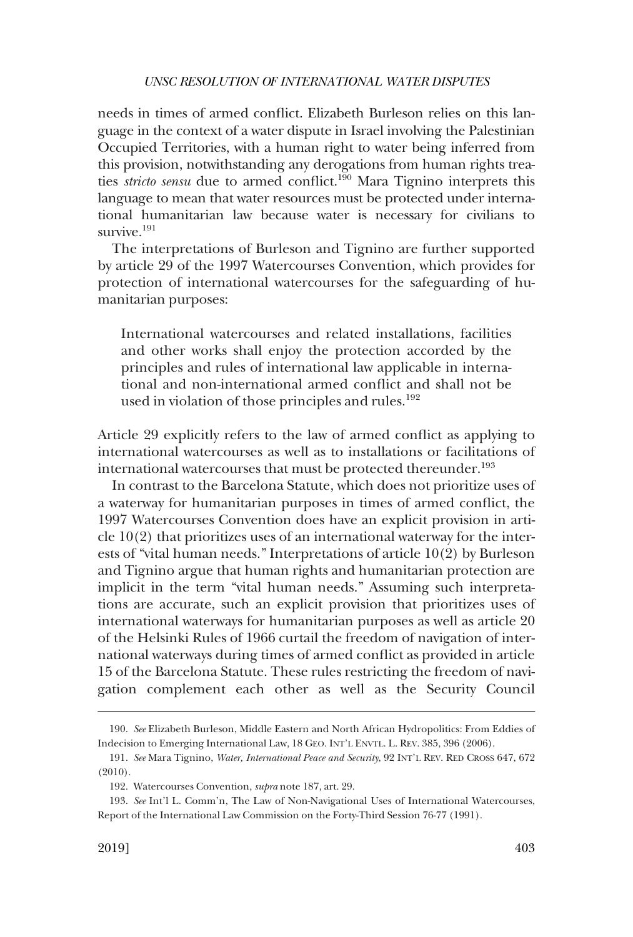needs in times of armed conflict. Elizabeth Burleson relies on this language in the context of a water dispute in Israel involving the Palestinian Occupied Territories, with a human right to water being inferred from this provision, notwithstanding any derogations from human rights treaties *stricto sensu* due to armed conflict.<sup>190</sup> Mara Tignino interprets this language to mean that water resources must be protected under international humanitarian law because water is necessary for civilians to survive<sup>191</sup>

The interpretations of Burleson and Tignino are further supported by article 29 of the 1997 Watercourses Convention, which provides for protection of international watercourses for the safeguarding of humanitarian purposes:

International watercourses and related installations, facilities and other works shall enjoy the protection accorded by the principles and rules of international law applicable in international and non-international armed conflict and shall not be used in violation of those principles and rules.<sup>192</sup>

Article 29 explicitly refers to the law of armed conflict as applying to international watercourses as well as to installations or facilitations of international watercourses that must be protected thereunder.<sup>193</sup>

In contrast to the Barcelona Statute, which does not prioritize uses of a waterway for humanitarian purposes in times of armed conflict, the 1997 Watercourses Convention does have an explicit provision in article  $10(2)$  that prioritizes uses of an international waterway for the interests of "vital human needs." Interpretations of article 10(2) by Burleson and Tignino argue that human rights and humanitarian protection are implicit in the term "vital human needs." Assuming such interpretations are accurate, such an explicit provision that prioritizes uses of international waterways for humanitarian purposes as well as article 20 of the Helsinki Rules of 1966 curtail the freedom of navigation of international waterways during times of armed conflict as provided in article 15 of the Barcelona Statute. These rules restricting the freedom of navigation complement each other as well as the Security Council

<sup>190.</sup> *See* Elizabeth Burleson, Middle Eastern and North African Hydropolitics: From Eddies of Indecision to Emerging International Law, 18 GEO. INT'L ENVTL. L. REV. 385, 396 (2006).

<sup>191.</sup> *See* Mara Tignino, *Water, International Peace and Security*, 92 INT'L REV. RED CROSS 647, 672 (2010).

<sup>192.</sup> Watercourses Convention, *supra* note 187, art. 29.

<sup>193.</sup> *See* Int'l L. Comm'n, The Law of Non-Navigational Uses of International Watercourses, Report of the International Law Commission on the Forty-Third Session 76-77 (1991).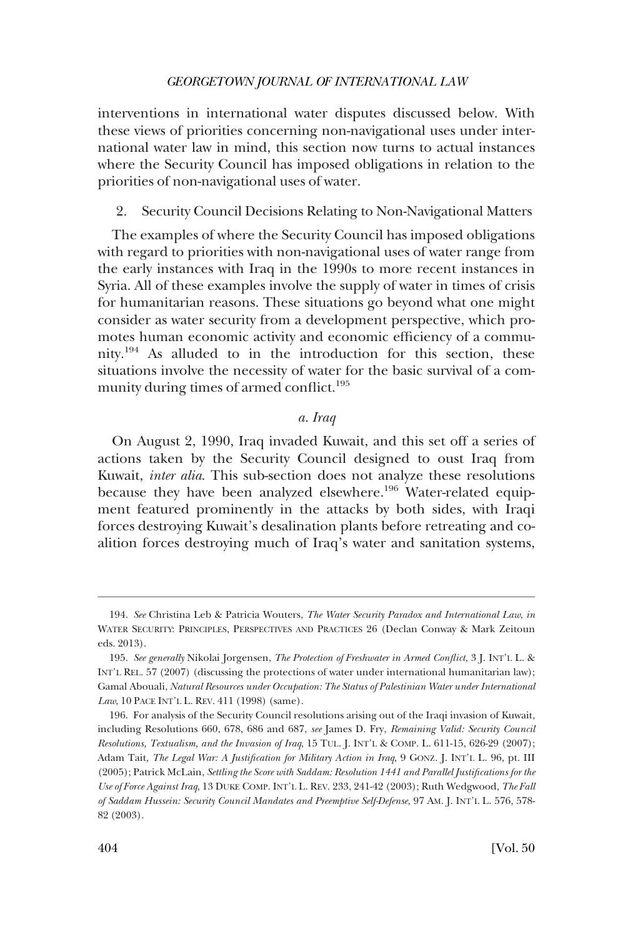<span id="page-41-0"></span>interventions in international water disputes discussed below. With these views of priorities concerning non-navigational uses under international water law in mind, this section now turns to actual instances where the Security Council has imposed obligations in relation to the priorities of non-navigational uses of water.

# 2. Security Council Decisions Relating to Non-Navigational Matters

The examples of where the Security Council has imposed obligations with regard to priorities with non-navigational uses of water range from the early instances with Iraq in the 1990s to more recent instances in Syria. All of these examples involve the supply of water in times of crisis for humanitarian reasons. These situations go beyond what one might consider as water security from a development perspective, which promotes human economic activity and economic efficiency of a community.194 As alluded to in the introduction for this section, these situations involve the necessity of water for the basic survival of a community during times of armed conflict.<sup>195</sup>

### *a. Iraq*

On August 2, 1990, Iraq invaded Kuwait, and this set off a series of actions taken by the Security Council designed to oust Iraq from Kuwait, *inter alia*. This sub-section does not analyze these resolutions because they have been analyzed elsewhere.<sup>196</sup> Water-related equipment featured prominently in the attacks by both sides, with Iraqi forces destroying Kuwait's desalination plants before retreating and coalition forces destroying much of Iraq's water and sanitation systems,

<sup>194.</sup> *See* Christina Leb & Patricia Wouters, *The Water Security Paradox and International Law*, *in*  WATER SECURITY: PRINCIPLES, PERSPECTIVES AND PRACTICES 26 (Declan Conway & Mark Zeitoun eds. 2013).

<sup>195.</sup> *See generally* Nikolai Jorgensen, *The Protection of Freshwater in Armed Conflict*, 3 J. INT'L L. & INT'L REL. 57 (2007) (discussing the protections of water under international humanitarian law); Gamal Abouali, *Natural Resources under Occupation: The Status of Palestinian Water under International Law*, 10 PACE INT'L L. REV. 411 (1998) (same).

<sup>196.</sup> For analysis of the Security Council resolutions arising out of the Iraqi invasion of Kuwait, including Resolutions 660, 678, 686 and 687, *see* James D. Fry, *Remaining Valid: Security Council Resolutions, Textualism, and the Invasion of Iraq*, 15 TUL. J. INT'L & COMP. L. 611-15, 626-29 (2007); Adam Tait, *The Legal War: A Justification for Military Action in Iraq*, 9 GONZ. J. INT'L L. 96, pt. III (2005); Patrick McLain, *Settling the Score with Saddam: Resolution 1441 and Parallel Justifications for the Use of Force Against Iraq*, 13 DUKE COMP. INT'L L. REV. 233, 241-42 (2003); Ruth Wedgwood, *The Fall of Saddam Hussein: Security Council Mandates and Preemptive Self-Defense*, 97 AM. J. INT'L L. 576, 578- 82 (2003).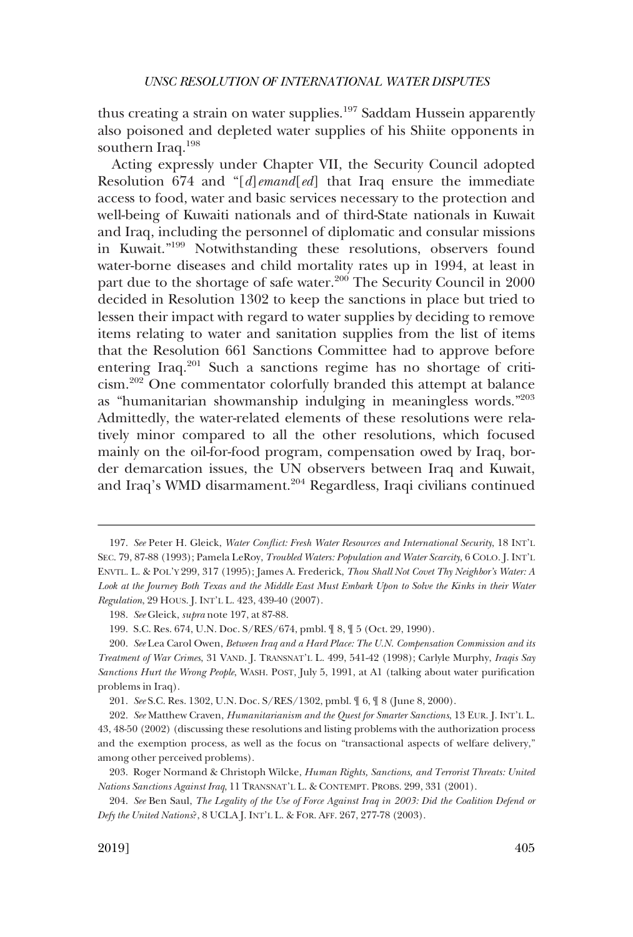thus creating a strain on water supplies.<sup>197</sup> Saddam Hussein apparently also poisoned and depleted water supplies of his Shiite opponents in southern Iraq.198

Acting expressly under Chapter VII, the Security Council adopted Resolution 674 and "[*d*]*emand*[*ed*] that Iraq ensure the immediate access to food, water and basic services necessary to the protection and well-being of Kuwaiti nationals and of third-State nationals in Kuwait and Iraq, including the personnel of diplomatic and consular missions in Kuwait."199 Notwithstanding these resolutions, observers found water-borne diseases and child mortality rates up in 1994, at least in part due to the shortage of safe water.<sup>200</sup> The Security Council in 2000 decided in Resolution 1302 to keep the sanctions in place but tried to lessen their impact with regard to water supplies by deciding to remove items relating to water and sanitation supplies from the list of items that the Resolution 661 Sanctions Committee had to approve before entering Iraq.201 Such a sanctions regime has no shortage of criticism.202 One commentator colorfully branded this attempt at balance as "humanitarian showmanship indulging in meaningless words."203 Admittedly, the water-related elements of these resolutions were relatively minor compared to all the other resolutions, which focused mainly on the oil-for-food program, compensation owed by Iraq, border demarcation issues, the UN observers between Iraq and Kuwait, and Iraq's WMD disarmament.<sup>204</sup> Regardless, Iraqi civilians continued

<sup>197.</sup> *See* Peter H. Gleick, *Water Conflict: Fresh Water Resources and International Security*, 18 INT'L SEC. 79, 87-88 (1993); Pamela LeRoy, *Troubled Waters: Population and Water Scarcity*, 6 COLO. J. INT'L ENVTL. L. & POL'Y 299, 317 (1995); James A. Frederick, *Thou Shall Not Covet Thy Neighbor's Water: A Look at the Journey Both Texas and the Middle East Must Embark Upon to Solve the Kinks in their Water Regulation*, 29 HOUS. J. INT'L L. 423, 439-40 (2007).

<sup>198.</sup> *See* Gleick, *supra* note 197, at 87-88.

<sup>199.</sup> S.C. Res. 674, U.N. Doc. S/RES/674, pmbl. ¶ 8, ¶ 5 (Oct. 29, 1990).

<sup>200.</sup> *See* Lea Carol Owen, *Between Iraq and a Hard Place: The U.N. Compensation Commission and its Treatment of War Crimes*, 31 VAND. J. TRANSNAT'L L. 499, 541-42 (1998); Carlyle Murphy, *Iraqis Say Sanctions Hurt the Wrong People*, WASH. POST, July 5, 1991, at A1 (talking about water purification problems in Iraq).

<sup>201.</sup> *See* S.C. Res. 1302, U.N. Doc. S/RES/1302, pmbl. ¶ 6, ¶ 8 (June 8, 2000).

<sup>202.</sup> *See* Matthew Craven, *Humanitarianism and the Quest for Smarter Sanctions*, 13 EUR. J. INT'L L. 43, 48-50 (2002) (discussing these resolutions and listing problems with the authorization process and the exemption process, as well as the focus on "transactional aspects of welfare delivery," among other perceived problems).

<sup>203.</sup> Roger Normand & Christoph Wilcke, *Human Rights, Sanctions, and Terrorist Threats: United Nations Sanctions Against Iraq*, 11 TRANSNAT'L L. & CONTEMPT. PROBS. 299, 331 (2001).

<sup>204.</sup> *See* Ben Saul, *The Legality of the Use of Force Against Iraq in 2003: Did the Coalition Defend or Defy the United Nations*?, 8 UCLA J. INT'L L. & FOR. AFF. 267, 277-78 (2003).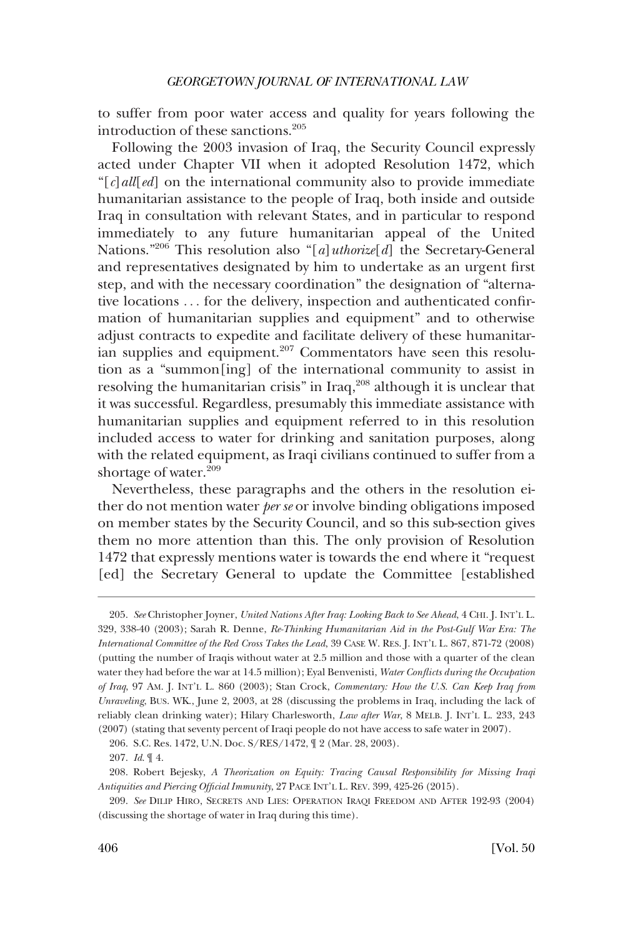to suffer from poor water access and quality for years following the introduction of these sanctions.<sup>205</sup>

Following the 2003 invasion of Iraq, the Security Council expressly acted under Chapter VII when it adopted Resolution 1472, which "[*c*]*all*[*ed*] on the international community also to provide immediate humanitarian assistance to the people of Iraq, both inside and outside Iraq in consultation with relevant States, and in particular to respond immediately to any future humanitarian appeal of the United Nations."206 This resolution also "[*a*]*uthorize*[*d*] the Secretary-General and representatives designated by him to undertake as an urgent first step, and with the necessary coordination" the designation of "alternative locations . . . for the delivery, inspection and authenticated confirmation of humanitarian supplies and equipment" and to otherwise adjust contracts to expedite and facilitate delivery of these humanitarian supplies and equipment.<sup>207</sup> Commentators have seen this resolution as a "summon[ing] of the international community to assist in resolving the humanitarian crisis" in Iraq,<sup>208</sup> although it is unclear that it was successful. Regardless, presumably this immediate assistance with humanitarian supplies and equipment referred to in this resolution included access to water for drinking and sanitation purposes, along with the related equipment, as Iraqi civilians continued to suffer from a shortage of water.<sup>209</sup>

Nevertheless, these paragraphs and the others in the resolution either do not mention water *per se* or involve binding obligations imposed on member states by the Security Council, and so this sub-section gives them no more attention than this. The only provision of Resolution 1472 that expressly mentions water is towards the end where it "request [ed] the Secretary General to update the Committee [established

<sup>205.</sup> *See* Christopher Joyner, *United Nations After Iraq: Looking Back to See Ahead*, 4 CHI. J. INT'L L. 329, 338-40 (2003); Sarah R. Denne, *Re-Thinking Humanitarian Aid in the Post-Gulf War Era: The International Committee of the Red Cross Takes the Lead*, 39 CASE W. RES. J. INT'L L. 867, 871-72 (2008) (putting the number of Iraqis without water at 2.5 million and those with a quarter of the clean water they had before the war at 14.5 million); Eyal Benvenisti, *Water Conflicts during the Occupation of Iraq*, 97 AM. J. INT'L L. 860 (2003); Stan Crock, *Commentary: How the U.S. Can Keep Iraq from Unraveling*, BUS. WK., June 2, 2003, at 28 (discussing the problems in Iraq, including the lack of reliably clean drinking water); Hilary Charlesworth, *Law after War*, 8 MELB. J. INT'L L. 233, 243 (2007) (stating that seventy percent of Iraqi people do not have access to safe water in 2007).

<sup>206.</sup> S.C. Res. 1472, U.N. Doc. S/RES/1472, ¶ 2 (Mar. 28, 2003).

<sup>207.</sup> *Id*. ¶ 4.

<sup>208.</sup> Robert Bejesky, *A Theorization on Equity: Tracing Causal Responsibility for Missing Iraqi Antiquities and Piercing Official Immunity*, 27 PACE INT'L L. REV. 399, 425-26 (2015).

<sup>209.</sup> *See* DILIP HIRO, SECRETS AND LIES: OPERATION IRAQI FREEDOM AND AFTER 192-93 (2004) (discussing the shortage of water in Iraq during this time).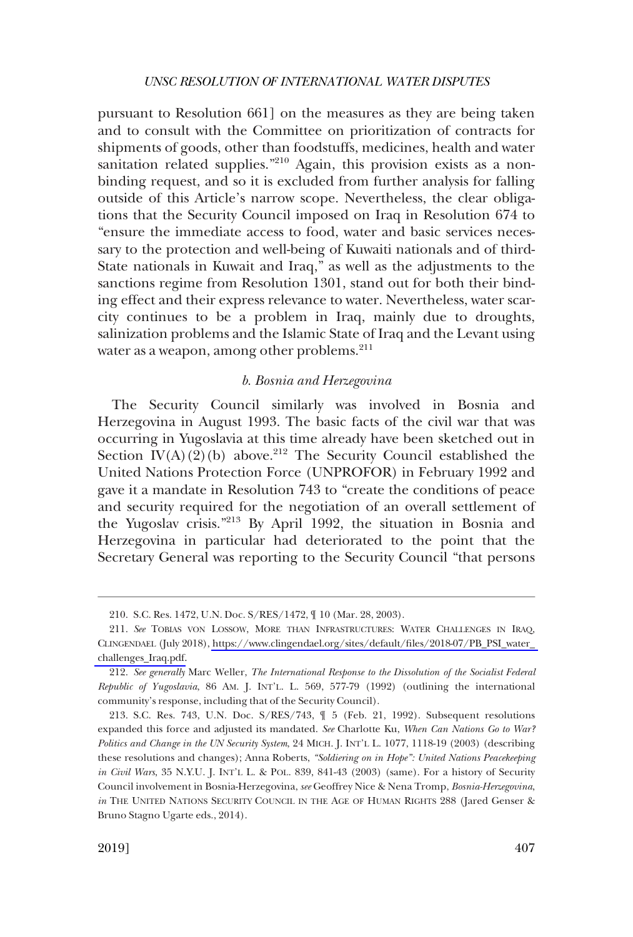<span id="page-44-0"></span>pursuant to Resolution 661] on the measures as they are being taken and to consult with the Committee on prioritization of contracts for shipments of goods, other than foodstuffs, medicines, health and water sanitation related supplies."<sup>210</sup> Again, this provision exists as a nonbinding request, and so it is excluded from further analysis for falling outside of this Article's narrow scope. Nevertheless, the clear obligations that the Security Council imposed on Iraq in Resolution 674 to "ensure the immediate access to food, water and basic services necessary to the protection and well-being of Kuwaiti nationals and of third-State nationals in Kuwait and Iraq," as well as the adjustments to the sanctions regime from Resolution 1301, stand out for both their binding effect and their express relevance to water. Nevertheless, water scarcity continues to be a problem in Iraq, mainly due to droughts, salinization problems and the Islamic State of Iraq and the Levant using water as a weapon, among other problems.<sup>211</sup>

# *b. Bosnia and Herzegovina*

The Security Council similarly was involved in Bosnia and Herzegovina in August 1993. The basic facts of the civil war that was occurring in Yugoslavia at this time already have been sketched out in Section  $\tilde{I}V(A)(2)(b)$  above.<sup>212</sup> The Security Council established the United Nations Protection Force (UNPROFOR) in February 1992 and gave it a mandate in Resolution 743 to "create the conditions of peace and security required for the negotiation of an overall settlement of the Yugoslav crisis."213 By April 1992, the situation in Bosnia and Herzegovina in particular had deteriorated to the point that the Secretary General was reporting to the Security Council "that persons

<sup>210.</sup> S.C. Res. 1472, U.N. Doc. S/RES/1472, ¶ 10 (Mar. 28, 2003).

*See* TOBIAS VON LOSSOW, MORE THAN INFRASTRUCTURES: WATER CHALLENGES IN IRAQ, 211. CLINGENDAEL (July 2018), [https://www.clingendael.org/sites/default/files/2018-07/PB\\_PSI\\_water\\_](https://www.clingendael.org/sites/default/files/2018-07/PB_PSI_water_challenges_Iraq.pdf)  [challenges\\_Iraq.pdf.](https://www.clingendael.org/sites/default/files/2018-07/PB_PSI_water_challenges_Iraq.pdf)

<sup>212.</sup> *See generally* Marc Weller, *The International Response to the Dissolution of the Socialist Federal Republic of Yugoslavia*, 86 AM. J. INT'L. L. 569, 577-79 (1992) (outlining the international community's response, including that of the Security Council).

<sup>213.</sup> S.C. Res. 743, U.N. Doc. S/RES/743, ¶ 5 (Feb. 21, 1992). Subsequent resolutions expanded this force and adjusted its mandated. *See* Charlotte Ku, *When Can Nations Go to War? Politics and Change in the UN Security System*, 24 MICH. J. INT'L L. 1077, 1118-19 (2003) (describing these resolutions and changes); Anna Roberts, *"Soldiering on in Hope": United Nations Peacekeeping in Civil Wars*, 35 N.Y.U. J. INT'L L. & POL. 839, 841-43 (2003) (same). For a history of Security Council involvement in Bosnia-Herzegovina, *see* Geoffrey Nice & Nena Tromp, *Bosnia-Herzegovina*, *in* THE UNITED NATIONS SECURITY COUNCIL IN THE AGE OF HUMAN RIGHTS 288 (Jared Genser & Bruno Stagno Ugarte eds., 2014).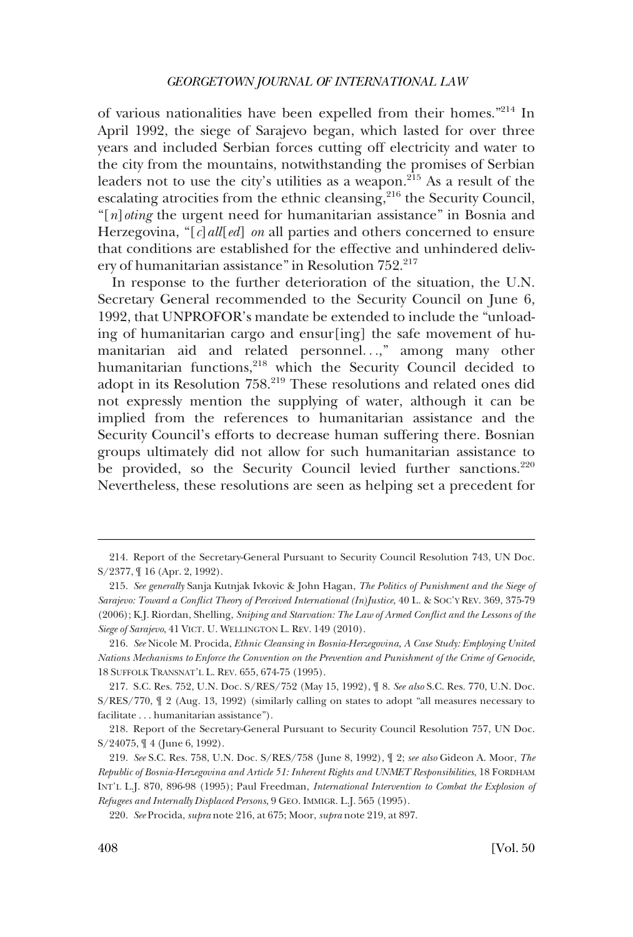of various nationalities have been expelled from their homes."214 In April 1992, the siege of Sarajevo began, which lasted for over three years and included Serbian forces cutting off electricity and water to the city from the mountains, notwithstanding the promises of Serbian leaders not to use the city's utilities as a weapon.<sup>215</sup> As a result of the escalating atrocities from the ethnic cleansing,<sup>216</sup> the Security Council, "[*n*]*oting* the urgent need for humanitarian assistance" in Bosnia and Herzegovina, "[*c*]*all*[*ed*] *on* all parties and others concerned to ensure that conditions are established for the effective and unhindered delivery of humanitarian assistance" in Resolution 752.<sup>217</sup>

In response to the further deterioration of the situation, the U.N. Secretary General recommended to the Security Council on June 6, 1992, that UNPROFOR's mandate be extended to include the "unloading of humanitarian cargo and ensur[ing] the safe movement of humanitarian aid and related personnel. . .," among many other humanitarian functions,<sup>218</sup> which the Security Council decided to adopt in its Resolution 758.<sup>219</sup> These resolutions and related ones did not expressly mention the supplying of water, although it can be implied from the references to humanitarian assistance and the Security Council's efforts to decrease human suffering there. Bosnian groups ultimately did not allow for such humanitarian assistance to be provided, so the Security Council levied further sanctions.<sup>220</sup> Nevertheless, these resolutions are seen as helping set a precedent for

<sup>214.</sup> Report of the Secretary-General Pursuant to Security Council Resolution 743, UN Doc. S/2377, ¶ 16 (Apr. 2, 1992).

<sup>215.</sup> *See generally* Sanja Kutnjak Ivkovic & John Hagan, *The Politics of Punishment and the Siege of Sarajevo: Toward a Conflict Theory of Perceived International (In)Justice*, 40 L. & SOC'Y REV. 369, 375-79 (2006); K.J. Riordan, Shelling, *Sniping and Starvation: The Law of Armed Conflict and the Lessons of the Siege of Sarajevo*, 41 VICT. U. WELLINGTON L. REV. 149 (2010).

<sup>216.</sup> *See* Nicole M. Procida, *Ethnic Cleansing in Bosnia-Herzegovina, A Case Study: Employing United Nations Mechanisms to Enforce the Convention on the Prevention and Punishment of the Crime of Genocide*, 18 SUFFOLK TRANSNAT'L L. REV. 655, 674-75 (1995).

<sup>217.</sup> S.C. Res. 752, U.N. Doc. S/RES/752 (May 15, 1992), ¶ 8. *See also* S.C. Res. 770, U.N. Doc. S/RES/770, ¶ 2 (Aug. 13, 1992) (similarly calling on states to adopt "all measures necessary to facilitate . . . humanitarian assistance").

<sup>218.</sup> Report of the Secretary-General Pursuant to Security Council Resolution 757, UN Doc. S/24075, ¶ 4 (June 6, 1992).

<sup>219.</sup> *See* S.C. Res. 758, U.N. Doc. S/RES/758 (June 8, 1992), ¶ 2; *see also* Gideon A. Moor, *The Republic of Bosnia-Herzegovina and Article 51: Inherent Rights and UNMET Responsibilities*, 18 FORDHAM INT'L L.J. 870, 896-98 (1995); Paul Freedman, *International Intervention to Combat the Explosion of Refugees and Internally Displaced Persons*, 9 GEO. IMMIGR. L.J. 565 (1995).

<sup>220.</sup> *See* Procida, *supra* note 216, at 675; Moor, *supra* note 219, at 897.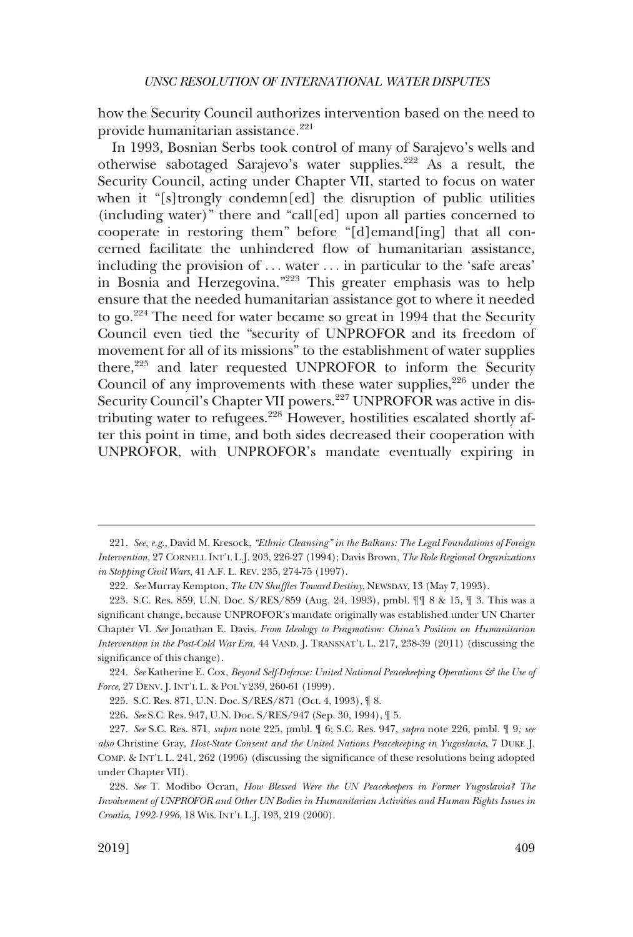how the Security Council authorizes intervention based on the need to provide humanitarian assistance.<sup>221</sup>

In 1993, Bosnian Serbs took control of many of Sarajevo's wells and otherwise sabotaged Sarajevo's water supplies.222 As a result, the Security Council, acting under Chapter VII, started to focus on water when it "[s]trongly condemn[ed] the disruption of public utilities (including water)" there and "call[ed] upon all parties concerned to cooperate in restoring them" before "[d]emand[ing] that all concerned facilitate the unhindered flow of humanitarian assistance, including the provision of ... water ... in particular to the 'safe areas' in Bosnia and Herzegovina."223 This greater emphasis was to help ensure that the needed humanitarian assistance got to where it needed to go.224 The need for water became so great in 1994 that the Security Council even tied the "security of UNPROFOR and its freedom of movement for all of its missions" to the establishment of water supplies there,<sup>225</sup> and later requested UNPROFOR to inform the Security Council of any improvements with these water supplies,  $226$  under the Security Council's Chapter VII powers.<sup>227</sup> UNPROFOR was active in distributing water to refugees.<sup>228</sup> However, hostilities escalated shortly after this point in time, and both sides decreased their cooperation with UNPROFOR, with UNPROFOR's mandate eventually expiring in

224. *See* Katherine E. Cox, *Beyond Self-Defense: United National Peacekeeping Operations & the Use of Force*, 27 DENV. J. INT'L L. & POL'Y 239, 260-61 (1999).

225. S.C. Res. 871, U.N. Doc. S/RES/871 (Oct. 4, 1993), ¶ 8.

226. *See* S.C. Res. 947, U.N. Doc. S/RES/947 (Sep. 30, 1994), ¶ 5.

<sup>221.</sup> *See, e.g*., David M. Kresock, *"Ethnic Cleansing" in the Balkans: The Legal Foundations of Foreign Intervention*, 27 CORNELL INT'L L.J. 203, 226-27 (1994); Davis Brown, *The Role Regional Organizations in Stopping Civil Wars*, 41 A.F. L. REV. 235, 274-75 (1997).

<sup>222.</sup> *See* Murray Kempton, *The UN Shuffles Toward Destiny*, NEWSDAY, 13 (May 7, 1993).

<sup>223.</sup> S.C. Res. 859, U.N. Doc. S/RES/859 (Aug. 24, 1993), pmbl. ¶¶ 8 & 15, ¶ 3. This was a significant change, because UNPROFOR's mandate originally was established under UN Charter Chapter VI. *See* Jonathan E. Davis, *From Ideology to Pragmatism: China's Position on Humanitarian Intervention in the Post-Cold War Era*, 44 VAND. J. TRANSNAT'L L. 217, 238-39 (2011) (discussing the significance of this change).

<sup>227.</sup> *See* S.C. Res. 871, *supra* note 225, pmbl. ¶ 6; S.C. Res. 947, *supra* note 226, pmbl. ¶ 9*; see also* Christine Gray, *Host-State Consent and the United Nations Peacekeeping in Yugoslavia*, 7 DUKE J. COMP. & INT'L L. 241, 262 (1996) (discussing the significance of these resolutions being adopted under Chapter VII).

<sup>228.</sup> *See* T. Modibo Ocran, *How Blessed Were the UN Peacekeepers in Former Yugoslavia? The Involvement of UNPROFOR and Other UN Bodies in Humanitarian Activities and Human Rights Issues in Croatia, 1992-1996*, 18 WIS. INT'L L.J. 193, 219 (2000).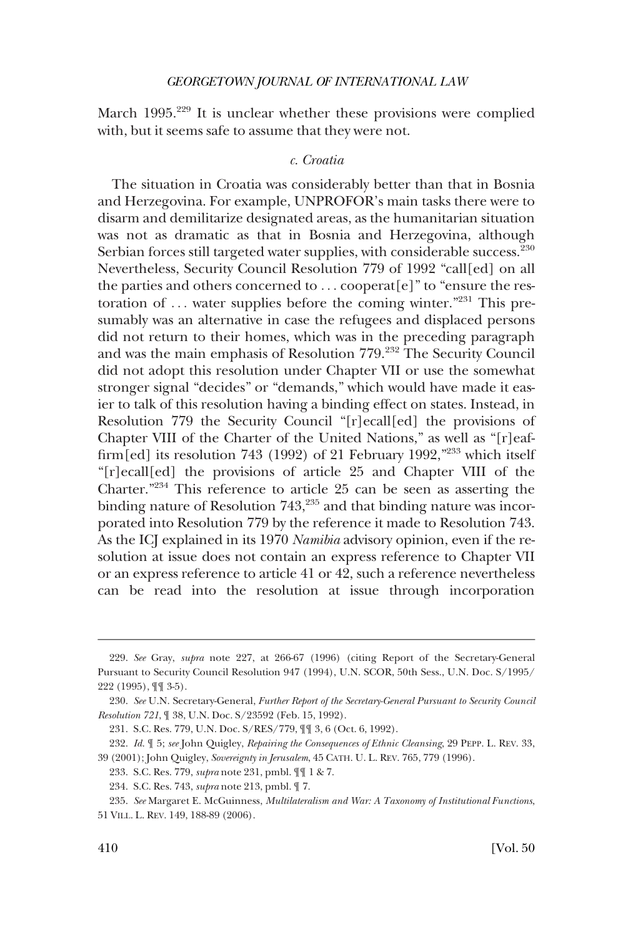<span id="page-47-0"></span>March 1995.<sup>229</sup> It is unclear whether these provisions were complied with, but it seems safe to assume that they were not.

# *c. Croatia*

The situation in Croatia was considerably better than that in Bosnia and Herzegovina. For example, UNPROFOR's main tasks there were to disarm and demilitarize designated areas, as the humanitarian situation was not as dramatic as that in Bosnia and Herzegovina, although Serbian forces still targeted water supplies, with considerable success.<sup>230</sup> Nevertheless, Security Council Resolution 779 of 1992 "call[ed] on all the parties and others concerned to . . . cooperat[e]" to "ensure the restoration of ... water supplies before the coming winter."<sup>231</sup> This presumably was an alternative in case the refugees and displaced persons did not return to their homes, which was in the preceding paragraph and was the main emphasis of Resolution 779.232 The Security Council did not adopt this resolution under Chapter VII or use the somewhat stronger signal "decides" or "demands," which would have made it easier to talk of this resolution having a binding effect on states. Instead, in Resolution 779 the Security Council "[r]ecall[ed] the provisions of Chapter VIII of the Charter of the United Nations," as well as "[r]eaffirm[ed] its resolution 743 (1992) of 21 February 1992," $^{233}$  which itself "[r]ecall[ed] the provisions of article 25 and Chapter VIII of the Charter."234 This reference to article 25 can be seen as asserting the binding nature of Resolution  $743,^{235}$  and that binding nature was incorporated into Resolution 779 by the reference it made to Resolution 743. As the ICJ explained in its 1970 *Namibia* advisory opinion, even if the resolution at issue does not contain an express reference to Chapter VII or an express reference to article 41 or 42, such a reference nevertheless can be read into the resolution at issue through incorporation

<sup>229.</sup> *See* Gray, *supra* note 227, at 266-67 (1996) (citing Report of the Secretary-General Pursuant to Security Council Resolution 947 (1994), U.N. SCOR, 50th Sess., U.N. Doc. S/1995/ 222 (1995), ¶¶ 3-5).

<sup>230.</sup> *See* U.N. Secretary-General, *Further Report of the Secretary-General Pursuant to Security Council Resolution 721*, ¶ 38, U.N. Doc. S/23592 (Feb. 15, 1992).

<sup>231.</sup> S.C. Res. 779, U.N. Doc. S/RES/779, ¶¶ 3, 6 (Oct. 6, 1992).

<sup>232.</sup> *Id*. ¶ 5; *see* John Quigley, *Repairing the Consequences of Ethnic Cleansing*, 29 PEPP. L. REV. 33, 39 (2001); John Quigley, *Sovereignty in Jerusalem*, 45 CATH. U. L. REV. 765, 779 (1996).

<sup>233.</sup> S.C. Res. 779, *supra* note 231, pmbl. ¶¶ 1 & 7.

<sup>234.</sup> S.C. Res. 743, *supra* note 213, pmbl. ¶ 7.

<sup>235.</sup> *See* Margaret E. McGuinness, *Multilateralism and War: A Taxonomy of Institutional Functions*, 51 VILL. L. REV. 149, 188-89 (2006).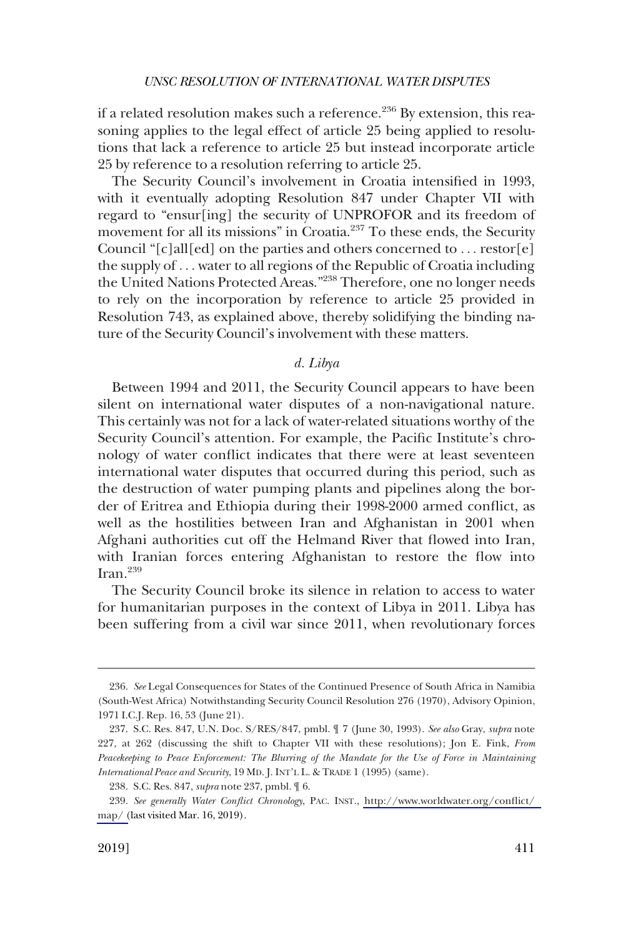<span id="page-48-0"></span>if a related resolution makes such a reference.<sup>236</sup> By extension, this reasoning applies to the legal effect of article 25 being applied to resolutions that lack a reference to article 25 but instead incorporate article 25 by reference to a resolution referring to article 25.

The Security Council's involvement in Croatia intensified in 1993, with it eventually adopting Resolution 847 under Chapter VII with regard to "ensur[ing] the security of UNPROFOR and its freedom of movement for all its missions" in Croatia.<sup>237</sup> To these ends, the Security Council " $[c]$ all $[ed]$  on the parties and others concerned to ... restor $[e]$ the supply of . . . water to all regions of the Republic of Croatia including the United Nations Protected Areas."238 Therefore, one no longer needs to rely on the incorporation by reference to article 25 provided in Resolution 743, as explained above, thereby solidifying the binding nature of the Security Council's involvement with these matters.

# *d. Libya*

Between 1994 and 2011, the Security Council appears to have been silent on international water disputes of a non-navigational nature. This certainly was not for a lack of water-related situations worthy of the Security Council's attention. For example, the Pacific Institute's chronology of water conflict indicates that there were at least seventeen international water disputes that occurred during this period, such as the destruction of water pumping plants and pipelines along the border of Eritrea and Ethiopia during their 1998-2000 armed conflict, as well as the hostilities between Iran and Afghanistan in 2001 when Afghani authorities cut off the Helmand River that flowed into Iran, with Iranian forces entering Afghanistan to restore the flow into Iran. $^{239}$ 

The Security Council broke its silence in relation to access to water for humanitarian purposes in the context of Libya in 2011. Libya has been suffering from a civil war since 2011, when revolutionary forces

<sup>236.</sup> *See* Legal Consequences for States of the Continued Presence of South Africa in Namibia (South-West Africa) Notwithstanding Security Council Resolution 276 (1970), Advisory Opinion, 1971 I.C.J. Rep. 16, 53 (June 21).

<sup>237.</sup> S.C. Res. 847, U.N. Doc. S/RES/847, pmbl. ¶ 7 (June 30, 1993). *See also* Gray, *supra* note 227, at 262 (discussing the shift to Chapter VII with these resolutions); Jon E. Fink, *From Peacekeeping to Peace Enforcement: The Blurring of the Mandate for the Use of Force in Maintaining International Peace and Security*, 19 MD. J. INT'L L. & TRADE 1 (1995) (same).

<sup>238.</sup> S.C. Res. 847, *supra* note 237, pmbl. ¶ 6.

*See generally Water Conflict Chronology*, PAC. INST., [http://www.worldwater.org/conflict/](http://www.worldwater.org/conflict/map/)  239. [map/ \(](http://www.worldwater.org/conflict/map/)last visited Mar. 16, 2019).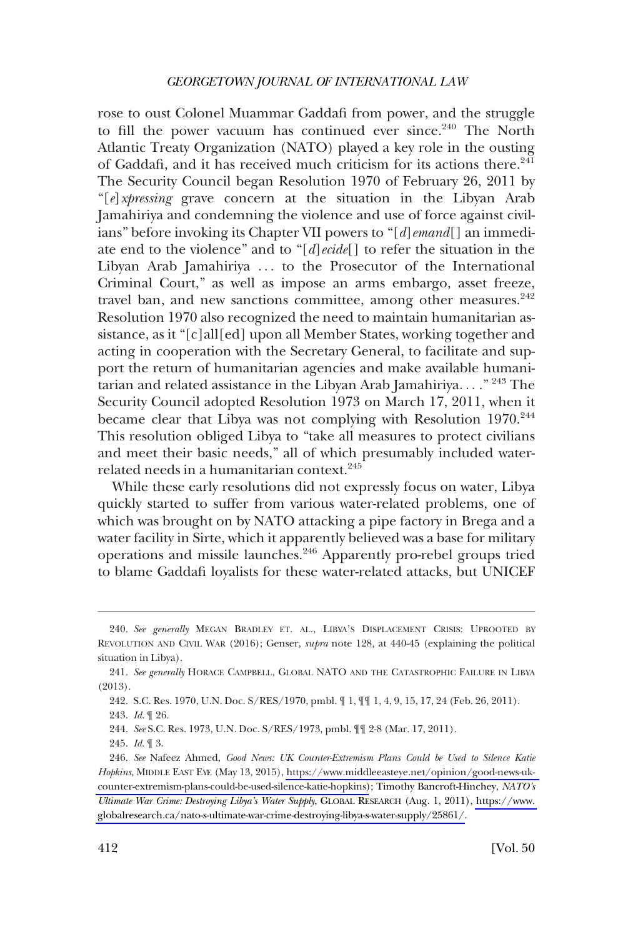rose to oust Colonel Muammar Gaddafi from power, and the struggle to fill the power vacuum has continued ever since.<sup>240</sup> The North Atlantic Treaty Organization (NATO) played a key role in the ousting of Gaddafi, and it has received much criticism for its actions there.<sup>241</sup> The Security Council began Resolution 1970 of February 26, 2011 by "[*e*]*xpressing* grave concern at the situation in the Libyan Arab Jamahiriya and condemning the violence and use of force against civilians" before invoking its Chapter VII powers to "[*d*]*emand*[] an immediate end to the violence" and to "[*d*]*ecide*[] to refer the situation in the Libyan Arab Jamahiriya ... to the Prosecutor of the International Criminal Court," as well as impose an arms embargo, asset freeze, travel ban, and new sanctions committee, among other measures.<sup>242</sup> Resolution 1970 also recognized the need to maintain humanitarian assistance, as it "[c]all[ed] upon all Member States, working together and acting in cooperation with the Secretary General, to facilitate and support the return of humanitarian agencies and make available humanitarian and related assistance in the Libyan Arab Jamahiriya. . . ." 243 The Security Council adopted Resolution 1973 on March 17, 2011, when it became clear that Libya was not complying with Resolution 1970.<sup>244</sup> This resolution obliged Libya to "take all measures to protect civilians and meet their basic needs," all of which presumably included waterrelated needs in a humanitarian context.<sup>245</sup>

While these early resolutions did not expressly focus on water, Libya quickly started to suffer from various water-related problems, one of which was brought on by NATO attacking a pipe factory in Brega and a water facility in Sirte, which it apparently believed was a base for military operations and missile launches.<sup>246</sup> Apparently pro-rebel groups tried to blame Gaddafi loyalists for these water-related attacks, but UNICEF

244. *See* S.C. Res. 1973, U.N. Doc. S/RES/1973, pmbl. ¶¶ 2-8 (Mar. 17, 2011).

<sup>240.</sup> *See generally* MEGAN BRADLEY ET. AL., LIBYA'S DISPLACEMENT CRISIS: UPROOTED BY REVOLUTION AND CIVIL WAR (2016); Genser, *supra* note 128, at 440-45 (explaining the political situation in Libya).

<sup>241.</sup> *See generally* HORACE CAMPBELL, GLOBAL NATO AND THE CATASTROPHIC FAILURE IN LIBYA (2013).

<sup>242.</sup> S.C. Res. 1970, U.N. Doc. S/RES/1970, pmbl. ¶ 1, ¶¶ 1, 4, 9, 15, 17, 24 (Feb. 26, 2011). 243. *Id*. ¶ 26.

<sup>245.</sup> *Id*. ¶ 3.

<sup>246.</sup> *See* Nafeez Ahmed, *Good News: UK Counter-Extremism Plans Could be Used to Silence Katie Hopkins*, MIDDLE EAST EYE (May 13, 2015), [https://www.middleeasteye.net/opinion/good-news-uk](https://www.middleeasteye.net/opinion/good-news-uk-counter-extremism-plans-could-be-used-silence-katie-hopkins)[counter-extremism-plans-could-be-used-silence-katie-hopkins\)](https://www.middleeasteye.net/opinion/good-news-uk-counter-extremism-plans-could-be-used-silence-katie-hopkins); Timothy Bancroft-Hinchey, *NATO's Ultimate War Crime: Destroying Libya's Water Supply*, GLOBAL RESEARCH (Aug. 1, 2011), [https://www.](https://www.globalresearch.ca/nato-s-ultimate-war-crime-destroying-libya-s-water-supply/25861/)  [globalresearch.ca/nato-s-ultimate-war-crime-destroying-libya-s-water-supply/25861/.](https://www.globalresearch.ca/nato-s-ultimate-war-crime-destroying-libya-s-water-supply/25861/)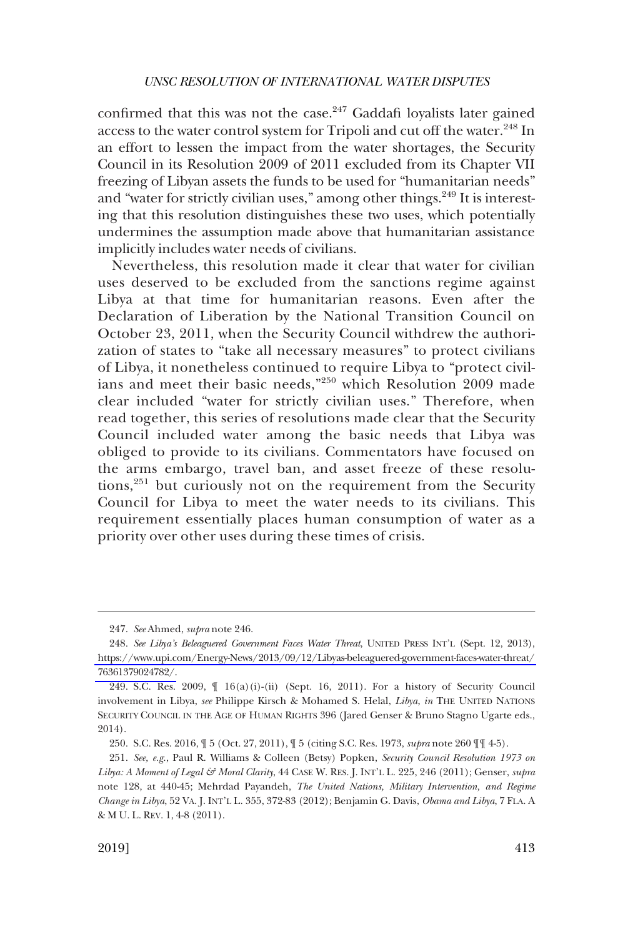confirmed that this was not the case.<sup>247</sup> Gaddafi loyalists later gained access to the water control system for Tripoli and cut off the water.<sup>248</sup> In an effort to lessen the impact from the water shortages, the Security Council in its Resolution 2009 of 2011 excluded from its Chapter VII freezing of Libyan assets the funds to be used for "humanitarian needs" and "water for strictly civilian uses," among other things.<sup>249</sup> It is interesting that this resolution distinguishes these two uses, which potentially undermines the assumption made above that humanitarian assistance implicitly includes water needs of civilians.

Nevertheless, this resolution made it clear that water for civilian uses deserved to be excluded from the sanctions regime against Libya at that time for humanitarian reasons. Even after the Declaration of Liberation by the National Transition Council on October 23, 2011, when the Security Council withdrew the authorization of states to "take all necessary measures" to protect civilians of Libya, it nonetheless continued to require Libya to "protect civilians and meet their basic needs,"250 which Resolution 2009 made clear included "water for strictly civilian uses." Therefore, when read together, this series of resolutions made clear that the Security Council included water among the basic needs that Libya was obliged to provide to its civilians. Commentators have focused on the arms embargo, travel ban, and asset freeze of these resolutions, $^{251}$  but curiously not on the requirement from the Security Council for Libya to meet the water needs to its civilians. This requirement essentially places human consumption of water as a priority over other uses during these times of crisis.

<sup>247.</sup> *See* Ahmed, *supra* note 246.

*See Libya's Beleaguered Government Faces Water Threat*, UNITED PRESS INT'L (Sept. 12, 2013), 248. [https://www.upi.com/Energy-News/2013/09/12/Libyas-beleaguered-government-faces-water-threat/](https://www.upi.com/Energy-News/2013/09/12/Libyas-beleaguered-government-faces-water-threat/76361379024782/)  [76361379024782/.](https://www.upi.com/Energy-News/2013/09/12/Libyas-beleaguered-government-faces-water-threat/76361379024782/)

<sup>249.</sup> S.C. Res. 2009, ¶ 16(a)(i)-(ii) (Sept. 16, 2011). For a history of Security Council involvement in Libya, *see* Philippe Kirsch & Mohamed S. Helal, *Libya*, *in* THE UNITED NATIONS SECURITY COUNCIL IN THE AGE OF HUMAN RIGHTS 396 (Jared Genser & Bruno Stagno Ugarte eds., 2014).

<sup>250.</sup> S.C. Res. 2016, ¶ 5 (Oct. 27, 2011), ¶ 5 (citing S.C. Res. 1973, *supra* note 260 ¶¶ 4-5).

<sup>251.</sup> *See, e.g*., Paul R. Williams & Colleen (Betsy) Popken, *Security Council Resolution 1973 on Libya: A Moment of Legal & Moral Clarity*, 44 CASE W. RES. J. INT'L L. 225, 246 (2011); Genser, *supra*  note 128, at 440-45; Mehrdad Payandeh, *The United Nations, Military Intervention, and Regime Change in Libya*, 52 VA. J. INT'L L. 355, 372-83 (2012); Benjamin G. Davis, *Obama and Libya*, 7 FLA. A & M U. L. REV. 1, 4-8 (2011).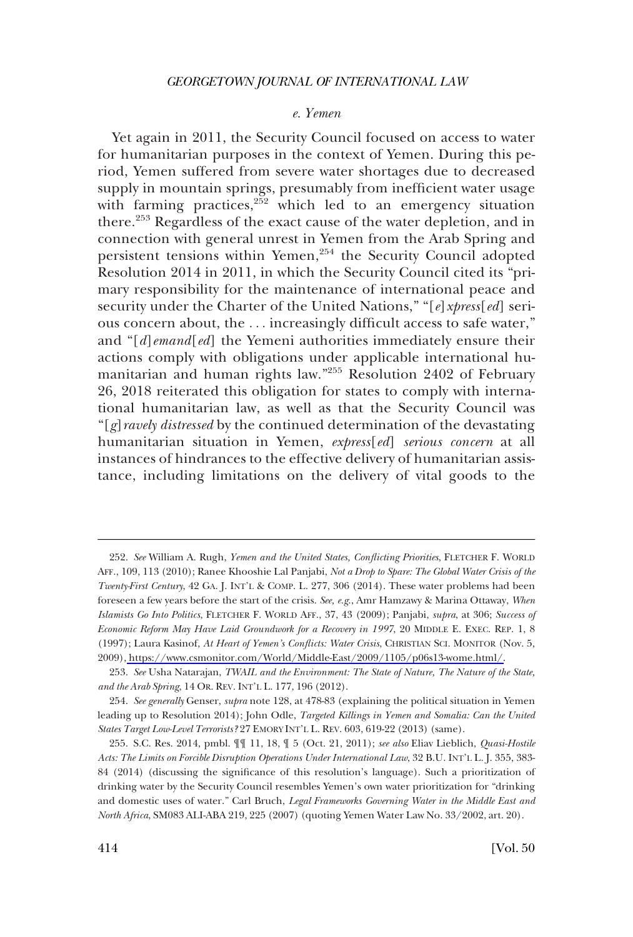### *e. Yemen*

<span id="page-51-0"></span>Yet again in 2011, the Security Council focused on access to water for humanitarian purposes in the context of Yemen. During this period, Yemen suffered from severe water shortages due to decreased supply in mountain springs, presumably from inefficient water usage with farming practices, $252$  which led to an emergency situation there.<sup>253</sup> Regardless of the exact cause of the water depletion, and in connection with general unrest in Yemen from the Arab Spring and persistent tensions within Yemen,<sup>254</sup> the Security Council adopted Resolution 2014 in 2011, in which the Security Council cited its "primary responsibility for the maintenance of international peace and security under the Charter of the United Nations," "[*e*]*xpress*[*ed*] serious concern about, the . . . increasingly difficult access to safe water," and "[*d*]*emand*[*ed*] the Yemeni authorities immediately ensure their actions comply with obligations under applicable international humanitarian and human rights law."255 Resolution 2402 of February 26, 2018 reiterated this obligation for states to comply with international humanitarian law, as well as that the Security Council was "[*g*]*ravely distressed* by the continued determination of the devastating humanitarian situation in Yemen, *express*[*ed*] *serious concern* at all instances of hindrances to the effective delivery of humanitarian assistance, including limitations on the delivery of vital goods to the

*See* William A. Rugh, *Yemen and the United States, Conflicting Priorities*, FLETCHER F. WORLD 252. AFF., 109, 113 (2010); Ranee Khooshie Lal Panjabi, *Not a Drop to Spare: The Global Water Crisis of the Twenty-First Century*, 42 GA. J. INT'L & COMP. L. 277, 306 (2014). These water problems had been foreseen a few years before the start of the crisis. *See, e.g*., Amr Hamzawy & Marina Ottaway, *When Islamists Go Into Politics*, FLETCHER F. WORLD AFF., 37, 43 (2009); Panjabi, *supra*, at 306; *Success of Economic Reform May Have Laid Groundwork for a Recovery in 1997*, 20 MIDDLE E. EXEC. REP. 1, 8 (1997); Laura Kasinof, *At Heart of Yemen's Conflicts: Water Crisis*, CHRISTIAN SCI. MONITOR (Nov. 5, 2009), [https://www.csmonitor.com/World/Middle-East/2009/1105/p06s13-wome.html/.](https://www.csmonitor.com/World/Middle-East/2009/1105/p06s13-wome.html/)

<sup>253.</sup> *See* Usha Natarajan, *TWAIL and the Environment: The State of Nature, The Nature of the State, and the Arab Spring*, 14 OR. REV. INT'L L. 177, 196 (2012).

<sup>254.</sup> *See generally* Genser, *supra* note 128, at 478-83 (explaining the political situation in Yemen leading up to Resolution 2014); John Odle, *Targeted Killings in Yemen and Somalia: Can the United States Target Low-Level Terrorists?* 27 EMORY INT'L L. REV. 603, 619-22 (2013) (same).

<sup>255.</sup> S.C. Res. 2014, pmbl. ¶¶ 11, 18, ¶ 5 (Oct. 21, 2011); *see also* Eliav Lieblich, *Quasi-Hostile Acts: The Limits on Forcible Disruption Operations Under International Law*, 32 B.U. INT'L L. J. 355, 383- 84 (2014) (discussing the significance of this resolution's language). Such a prioritization of drinking water by the Security Council resembles Yemen's own water prioritization for "drinking and domestic uses of water." Carl Bruch, *Legal Frameworks Governing Water in the Middle East and North Africa*, SM083 ALI-ABA 219, 225 (2007) (quoting Yemen Water Law No. 33/2002, art. 20).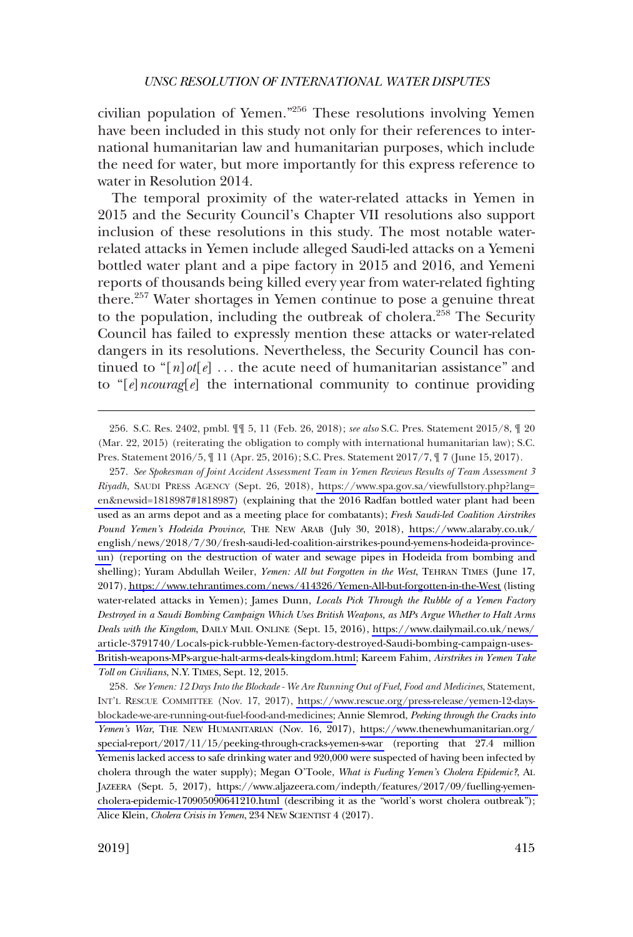civilian population of Yemen."256 These resolutions involving Yemen have been included in this study not only for their references to international humanitarian law and humanitarian purposes, which include the need for water, but more importantly for this express reference to water in Resolution 2014.

The temporal proximity of the water-related attacks in Yemen in 2015 and the Security Council's Chapter VII resolutions also support inclusion of these resolutions in this study. The most notable waterrelated attacks in Yemen include alleged Saudi-led attacks on a Yemeni bottled water plant and a pipe factory in 2015 and 2016, and Yemeni reports of thousands being killed every year from water-related fighting there.<sup>257</sup> Water shortages in Yemen continue to pose a genuine threat to the population, including the outbreak of cholera.<sup>258</sup> The Security Council has failed to expressly mention these attacks or water-related dangers in its resolutions. Nevertheless, the Security Council has continued to "[*n*]*ot*[*e*] . . . the acute need of humanitarian assistance" and to "[*e*]*ncourag*[*e*] the international community to continue providing

*See Spokesman of Joint Accident Assessment Team in Yemen Reviews Results of Team Assessment 3*  257. *Riyadh*, SAUDI PRESS AGENCY (Sept. 26, 2018), [https://www.spa.gov.sa/viewfullstory.php?lang=](https://www.spa.gov.sa/viewfullstory.php?lang=en&newsid=1818987#1818987)  [en&newsid=1818987#1818987\)](https://www.spa.gov.sa/viewfullstory.php?lang=en&newsid=1818987#1818987) (explaining that the 2016 Radfan bottled water plant had been used as an arms depot and as a meeting place for combatants); *Fresh Saudi-led Coalition Airstrikes Pound Yemen's Hodeida Province*, THE NEW ARAB (July 30, 2018), [https://www.alaraby.co.uk/](https://www.alaraby.co.uk/english/news/2018/7/30/fresh-saudi-led-coalition-airstrikes-pound-yemens-hodeida-province-un)  [english/news/2018/7/30/fresh-saudi-led-coalition-airstrikes-pound-yemens-hodeida-province](https://www.alaraby.co.uk/english/news/2018/7/30/fresh-saudi-led-coalition-airstrikes-pound-yemens-hodeida-province-un)[un\)](https://www.alaraby.co.uk/english/news/2018/7/30/fresh-saudi-led-coalition-airstrikes-pound-yemens-hodeida-province-un) (reporting on the destruction of water and sewage pipes in Hodeida from bombing and shelling); Yuram Abdullah Weiler, *Yemen: All but Forgotten in the West*, TEHRAN TIMES (June 17, 2017),<https://www.tehrantimes.com/news/414326/Yemen-All-but-forgotten-in-the-West>(listing water-related attacks in Yemen); James Dunn, *Locals Pick Through the Rubble of a Yemen Factory Destroyed in a Saudi Bombing Campaign Which Uses British Weapons, as MPs Argue Whether to Halt Arms Deals with the Kingdom*, DAILY MAIL ONLINE (Sept. 15, 2016), [https://www.dailymail.co.uk/news/](https://www.dailymail.co.uk/news/article-3791740/Locals-pick-rubble-Yemen-factory-destroyed-Saudi-bombing-campaign-uses-British-weapons-MPs-argue-halt-arms-deals-kingdom.html)  [article-3791740/Locals-pick-rubble-Yemen-factory-destroyed-Saudi-bombing-campaign-uses-](https://www.dailymail.co.uk/news/article-3791740/Locals-pick-rubble-Yemen-factory-destroyed-Saudi-bombing-campaign-uses-British-weapons-MPs-argue-halt-arms-deals-kingdom.html)[British-weapons-MPs-argue-halt-arms-deals-kingdom.html;](https://www.dailymail.co.uk/news/article-3791740/Locals-pick-rubble-Yemen-factory-destroyed-Saudi-bombing-campaign-uses-British-weapons-MPs-argue-halt-arms-deals-kingdom.html) Kareem Fahim, *Airstrikes in Yemen Take Toll on Civilians*, N.Y. TIMES, Sept. 12, 2015.

*See Yemen: 12 Days Into the Blockade - We Are Running Out of Fuel, Food and Medicines*, Statement, 258. INT'L RESCUE COMMITTEE (Nov. 17, 2017), [https://www.rescue.org/press-release/yemen-12-days](https://www.rescue.org/press-release/yemen-12-days-blockade-we-are-running-out-fuel-food-and-medicines)[blockade-we-are-running-out-fuel-food-and-medicines](https://www.rescue.org/press-release/yemen-12-days-blockade-we-are-running-out-fuel-food-and-medicines); Annie Slemrod, *Peeking through the Cracks into Yemen's War*, THE NEW HUMANITARIAN (Nov. 16, 2017), [https://www.thenewhumanitarian.org/](https://www.thenewhumanitarian.org/special-report/2017/11/15/peeking-through-cracks-yemen-s-war)  [special-report/2017/11/15/peeking-through-cracks-yemen-s-war](https://www.thenewhumanitarian.org/special-report/2017/11/15/peeking-through-cracks-yemen-s-war) (reporting that 27.4 million Yemenis lacked access to safe drinking water and 920,000 were suspected of having been infected by cholera through the water supply); Megan O'Toole, *What is Fueling Yemen's Cholera Epidemic?*, AL JAZEERA (Sept. 5, 2017), [https://www.aljazeera.com/indepth/features/2017/09/fuelling-yemen](https://www.aljazeera.com/indepth/features/2017/09/fuelling-yemen-cholera-epidemic-170905090641210.html)[cholera-epidemic-170905090641210.html](https://www.aljazeera.com/indepth/features/2017/09/fuelling-yemen-cholera-epidemic-170905090641210.html) (describing it as the "world's worst cholera outbreak"); Alice Klein, *Cholera Crisis in Yemen*, 234 NEW SCIENTIST 4 (2017).

<sup>256.</sup> S.C. Res. 2402, pmbl. ¶¶ 5, 11 (Feb. 26, 2018); *see also* S.C. Pres. Statement 2015/8, ¶ 20 (Mar. 22, 2015) (reiterating the obligation to comply with international humanitarian law); S.C. Pres. Statement 2016/5, ¶ 11 (Apr. 25, 2016); S.C. Pres. Statement 2017/7, ¶ 7 (June 15, 2017).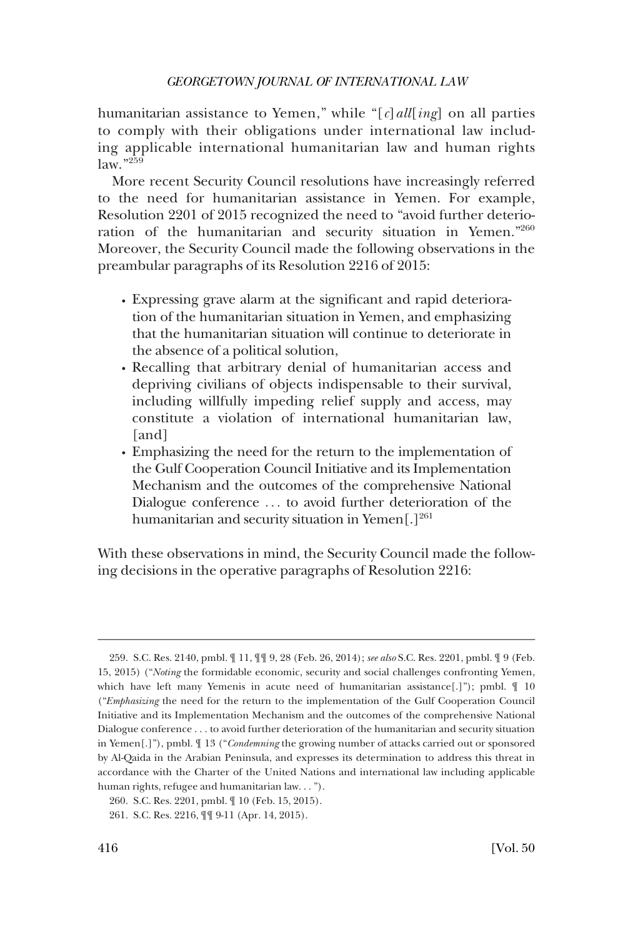humanitarian assistance to Yemen," while "[*c*]*all*[*ing*] on all parties to comply with their obligations under international law including applicable international humanitarian law and human rights  $law.$ "<sup>259</sup>

More recent Security Council resolutions have increasingly referred to the need for humanitarian assistance in Yemen. For example, Resolution 2201 of 2015 recognized the need to "avoid further deterioration of the humanitarian and security situation in Yemen."<sup>260</sup> Moreover, the Security Council made the following observations in the preambular paragraphs of its Resolution 2216 of 2015:

- � Expressing grave alarm at the significant and rapid deterioration of the humanitarian situation in Yemen, and emphasizing that the humanitarian situation will continue to deteriorate in the absence of a political solution,
- � Recalling that arbitrary denial of humanitarian access and depriving civilians of objects indispensable to their survival, including willfully impeding relief supply and access, may constitute a violation of international humanitarian law, [and]
- Emphasizing the need for the return to the implementation of the Gulf Cooperation Council Initiative and its Implementation Mechanism and the outcomes of the comprehensive National Dialogue conference . . . to avoid further deterioration of the humanitarian and security situation in Yemen<sup>[1]261</sup>

With these observations in mind, the Security Council made the following decisions in the operative paragraphs of Resolution 2216:

<sup>259.</sup> S.C. Res. 2140, pmbl. ¶ 11, ¶¶ 9, 28 (Feb. 26, 2014); *see also* S.C. Res. 2201, pmbl. ¶ 9 (Feb. 15, 2015) ("*Noting* the formidable economic, security and social challenges confronting Yemen, which have left many Yemenis in acute need of humanitarian assistance[.]"); pmbl.  $\llbracket 10 \rrbracket$ ("*Emphasizing* the need for the return to the implementation of the Gulf Cooperation Council Initiative and its Implementation Mechanism and the outcomes of the comprehensive National Dialogue conference . . . to avoid further deterioration of the humanitarian and security situation in Yemen[.]"), pmbl. ¶ 13 ("*Condemning* the growing number of attacks carried out or sponsored by Al-Qaida in the Arabian Peninsula, and expresses its determination to address this threat in accordance with the Charter of the United Nations and international law including applicable human rights, refugee and humanitarian law. . . ").

<sup>260.</sup> S.C. Res. 2201, pmbl. ¶ 10 (Feb. 15, 2015).

<sup>261.</sup> S.C. Res. 2216, ¶¶ 9-11 (Apr. 14, 2015).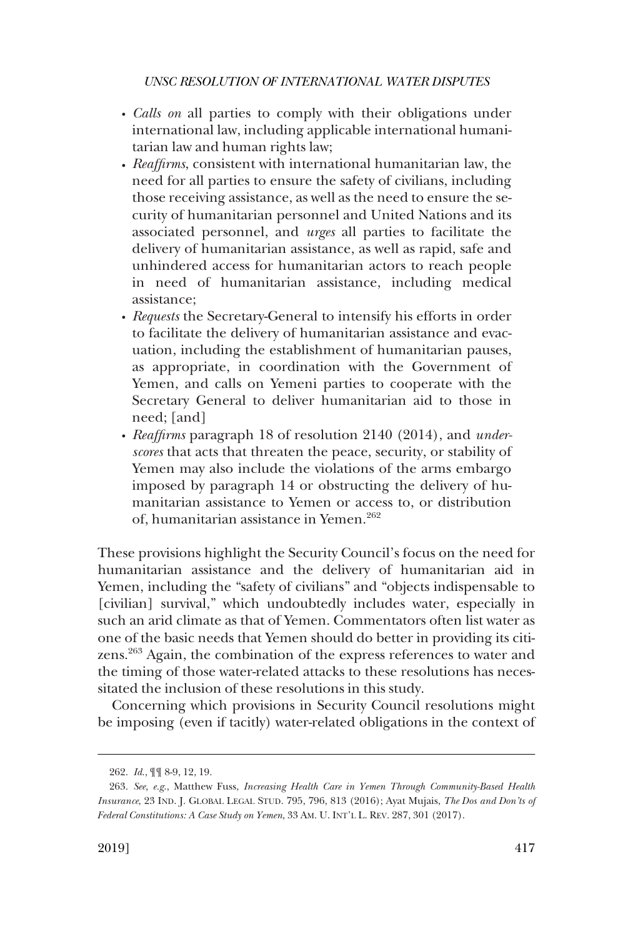- � *Calls on* all parties to comply with their obligations under international law, including applicable international humanitarian law and human rights law;
- � *Reaffirms*, consistent with international humanitarian law, the need for all parties to ensure the safety of civilians, including those receiving assistance, as well as the need to ensure the security of humanitarian personnel and United Nations and its associated personnel, and *urges* all parties to facilitate the delivery of humanitarian assistance, as well as rapid, safe and unhindered access for humanitarian actors to reach people in need of humanitarian assistance, including medical assistance;
- � *Requests* the Secretary-General to intensify his efforts in order to facilitate the delivery of humanitarian assistance and evacuation, including the establishment of humanitarian pauses, as appropriate, in coordination with the Government of Yemen, and calls on Yemeni parties to cooperate with the Secretary General to deliver humanitarian aid to those in need; [and]
- � *Reaffirms* paragraph 18 of resolution 2140 (2014), and *underscores* that acts that threaten the peace, security, or stability of Yemen may also include the violations of the arms embargo imposed by paragraph 14 or obstructing the delivery of humanitarian assistance to Yemen or access to, or distribution of, humanitarian assistance in Yemen.<sup>262</sup>

These provisions highlight the Security Council's focus on the need for humanitarian assistance and the delivery of humanitarian aid in Yemen, including the "safety of civilians" and "objects indispensable to [civilian] survival," which undoubtedly includes water, especially in such an arid climate as that of Yemen. Commentators often list water as one of the basic needs that Yemen should do better in providing its citizens.263 Again, the combination of the express references to water and the timing of those water-related attacks to these resolutions has necessitated the inclusion of these resolutions in this study.

Concerning which provisions in Security Council resolutions might be imposing (even if tacitly) water-related obligations in the context of

<sup>262.</sup> *Id*., ¶¶ 8-9, 12, 19.

<sup>263.</sup> *See, e.g*., Matthew Fuss, *Increasing Health Care in Yemen Through Community-Based Health Insurance*, 23 IND. J. GLOBAL LEGAL STUD. 795, 796, 813 (2016); Ayat Mujais, *The Dos and Don'ts of Federal Constitutions: A Case Study on Yemen*, 33 AM. U. INT'L L. REV. 287, 301 (2017).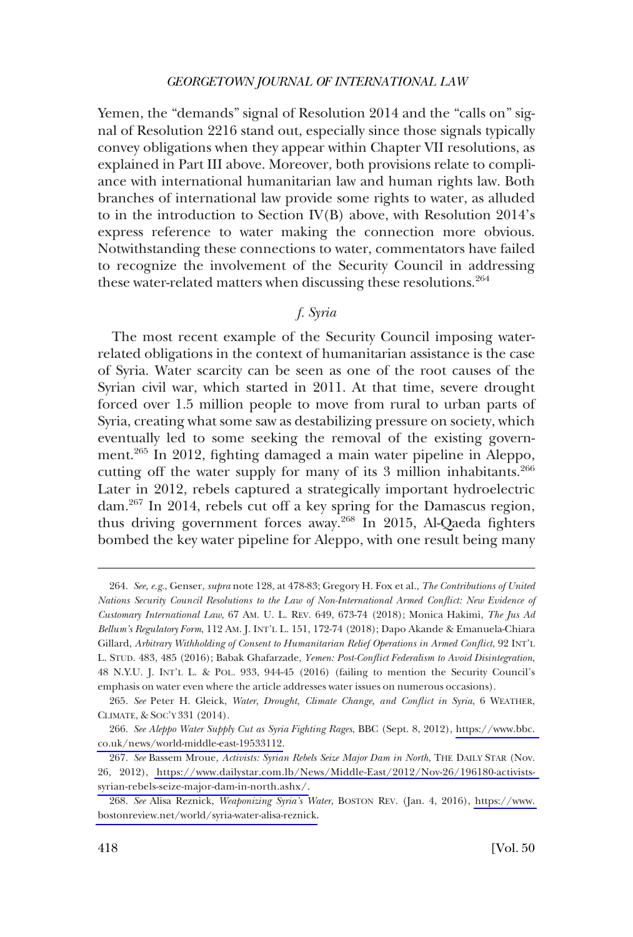<span id="page-55-0"></span>Yemen, the "demands" signal of Resolution 2014 and the "calls on" signal of Resolution 2216 stand out, especially since those signals typically convey obligations when they appear within Chapter VII resolutions, as explained in Part III above. Moreover, both provisions relate to compliance with international humanitarian law and human rights law. Both branches of international law provide some rights to water, as alluded to in the introduction to Section IV(B) above, with Resolution 2014's express reference to water making the connection more obvious. Notwithstanding these connections to water, commentators have failed to recognize the involvement of the Security Council in addressing these water-related matters when discussing these resolutions.<sup>264</sup>

# *f. Syria*

The most recent example of the Security Council imposing waterrelated obligations in the context of humanitarian assistance is the case of Syria. Water scarcity can be seen as one of the root causes of the Syrian civil war, which started in 2011. At that time, severe drought forced over 1.5 million people to move from rural to urban parts of Syria, creating what some saw as destabilizing pressure on society, which eventually led to some seeking the removal of the existing government.265 In 2012, fighting damaged a main water pipeline in Aleppo, cutting off the water supply for many of its 3 million inhabitants.<sup>266</sup> Later in 2012, rebels captured a strategically important hydroelectric dam.267 In 2014, rebels cut off a key spring for the Damascus region, thus driving government forces away.<sup>268</sup> In 2015, Al-Qaeda fighters bombed the key water pipeline for Aleppo, with one result being many

<sup>264.</sup> *See, e.g*., Genser, *supra* note 128, at 478-83; Gregory H. Fox et al., *The Contributions of United Nations Security Council Resolutions to the Law of Non-International Armed Conflict: New Evidence of Customary International Law*, 67 AM. U. L. REV. 649, 673-74 (2018); Monica Hakimi, *The Jus Ad Bellum's Regulatory Form*, 112 AM. J. INT'L L. 151, 172-74 (2018); Dapo Akande & Emanuela-Chiara Gillard, *Arbitrary Withholding of Consent to Humanitarian Relief Operations in Armed Conflict*, 92 INT'L L. STUD. 483, 485 (2016); Babak Ghafarzade, *Yemen: Post-Conflict Federalism to Avoid Disintegration*, 48 N.Y.U. J. INT'L L. & POL. 933, 944-45 (2016) (failing to mention the Security Council's emphasis on water even where the article addresses water issues on numerous occasions).

<sup>265.</sup> *See* Peter H. Gleick, *Water, Drought, Climate Change, and Conflict in Syria*, 6 WEATHER, CLIMATE, & SOC'Y 331 (2014).

*See Aleppo Water Supply Cut as Syria Fighting Rages*, BBC (Sept. 8, 2012), [https://www.bbc.](https://www.bbc.co.uk/news/world-middle-east-19533112)  266. [co.uk/news/world-middle-east-19533112.](https://www.bbc.co.uk/news/world-middle-east-19533112)

*See* Bassem Mroue*, Activists: Syrian Rebels Seize Major Dam in North*, THE DAILY STAR (Nov. 267. 26, 2012), [https://www.dailystar.com.lb/News/Middle-East/2012/Nov-26/196180-activists](https://www.dailystar.com.lb/News/Middle-East/2012/Nov-26/196180-activists-syrian-rebels-seize-major-dam-in-north.ashx)[syrian-rebels-seize-major-dam-in-north.ashx/.](https://www.dailystar.com.lb/News/Middle-East/2012/Nov-26/196180-activists-syrian-rebels-seize-major-dam-in-north.ashx)

*See* Alisa Reznick, *Weaponizing Syria's Water*, BOSTON REV. (Jan. 4, 2016), [https://www.](https://www.bostonreview.net/world/syria-water-alisa-reznick)  268. [bostonreview.net/world/syria-water-alisa-reznick.](https://www.bostonreview.net/world/syria-water-alisa-reznick)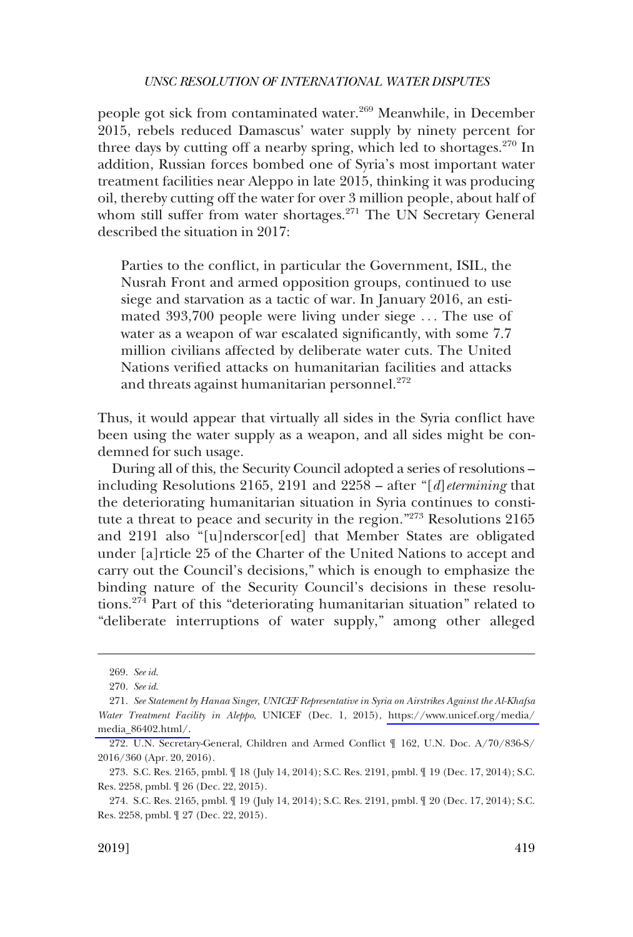people got sick from contaminated water.<sup>269</sup> Meanwhile, in December 2015, rebels reduced Damascus' water supply by ninety percent for three days by cutting off a nearby spring, which led to shortages. $270 \text{ In}$ addition, Russian forces bombed one of Syria's most important water treatment facilities near Aleppo in late 2015, thinking it was producing oil, thereby cutting off the water for over 3 million people, about half of whom still suffer from water shortages.<sup>271</sup> The UN Secretary General described the situation in 2017:

Parties to the conflict, in particular the Government, ISIL, the Nusrah Front and armed opposition groups, continued to use siege and starvation as a tactic of war. In January 2016, an estimated 393,700 people were living under siege . . . The use of water as a weapon of war escalated significantly, with some 7.7 million civilians affected by deliberate water cuts. The United Nations verified attacks on humanitarian facilities and attacks and threats against humanitarian personnel. $272$ 

Thus, it would appear that virtually all sides in the Syria conflict have been using the water supply as a weapon, and all sides might be condemned for such usage.

During all of this, the Security Council adopted a series of resolutions – including Resolutions 2165, 2191 and 2258 – after "[*d*]*etermining* that the deteriorating humanitarian situation in Syria continues to constitute a threat to peace and security in the region."273 Resolutions 2165 and 2191 also "[u]nderscor[ed] that Member States are obligated under [a]rticle 25 of the Charter of the United Nations to accept and carry out the Council's decisions," which is enough to emphasize the binding nature of the Security Council's decisions in these resolutions.274 Part of this "deteriorating humanitarian situation" related to "deliberate interruptions of water supply," among other alleged

<sup>269.</sup> *See id*.

<sup>270.</sup> *See id*.

*See Statement by Hanaa Singer, UNICEF Representative in Syria on Airstrikes Against the Al-Khafsa*  271. *Water Treatment Facility in Aleppo*, UNICEF (Dec. 1, 2015), [https://www.unicef.org/media/](https://www.unicef.org/media/media_86402.html/)  [media\\_86402.html/.](https://www.unicef.org/media/media_86402.html/)

<sup>272.</sup> U.N. Secretary-General, Children and Armed Conflict ¶ 162, U.N. Doc. A/70/836-S/ 2016/360 (Apr. 20, 2016).

<sup>273.</sup> S.C. Res. 2165, pmbl. ¶ 18 (July 14, 2014); S.C. Res. 2191, pmbl. ¶ 19 (Dec. 17, 2014); S.C. Res. 2258, pmbl. ¶ 26 (Dec. 22, 2015).

<sup>274.</sup> S.C. Res. 2165, pmbl. ¶ 19 (July 14, 2014); S.C. Res. 2191, pmbl. ¶ 20 (Dec. 17, 2014); S.C. Res. 2258, pmbl. ¶ 27 (Dec. 22, 2015).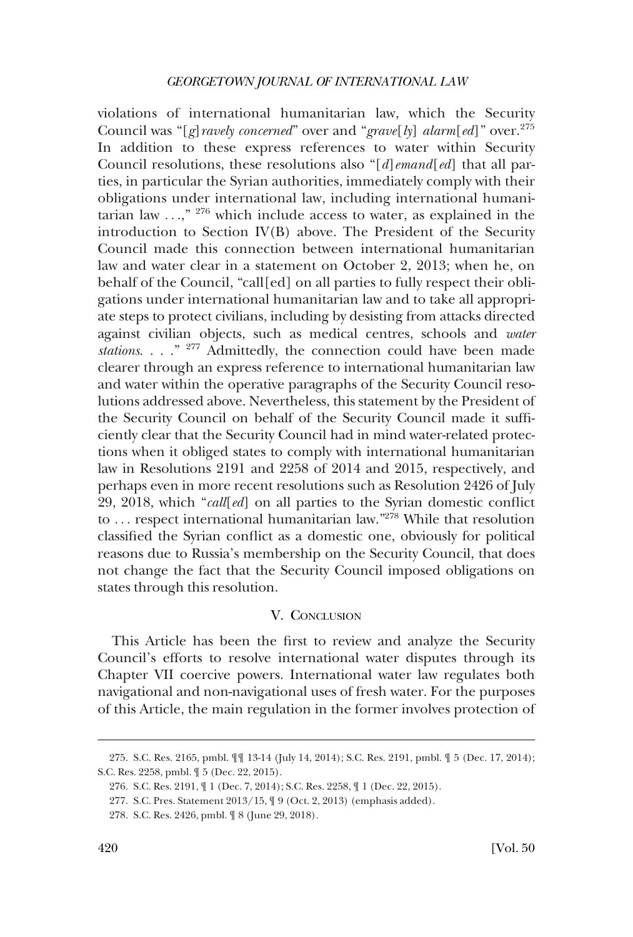<span id="page-57-0"></span>violations of international humanitarian law, which the Security Council was "[*g*]*ravely concerned*" over and "*grave*[*ly*] *alarm*[*ed*]" over.<sup>275</sup> In addition to these express references to water within Security Council resolutions, these resolutions also "[*d*]*emand*[*ed*] that all parties, in particular the Syrian authorities, immediately comply with their obligations under international law, including international humanitarian law  $\ldots$ ,"  $276$  which include access to water, as explained in the introduction to Section IV(B) above. The President of the Security Council made this connection between international humanitarian law and water clear in a statement on October 2, 2013; when he, on behalf of the Council, "call[ed] on all parties to fully respect their obligations under international humanitarian law and to take all appropriate steps to protect civilians, including by desisting from attacks directed against civilian objects, such as medical centres, schools and *water stations*. . . ." 277 Admittedly, the connection could have been made clearer through an express reference to international humanitarian law and water within the operative paragraphs of the Security Council resolutions addressed above. Nevertheless, this statement by the President of the Security Council on behalf of the Security Council made it sufficiently clear that the Security Council had in mind water-related protections when it obliged states to comply with international humanitarian law in Resolutions 2191 and 2258 of 2014 and 2015, respectively, and perhaps even in more recent resolutions such as Resolution 2426 of July 29, 2018, which "*call*[*ed*] on all parties to the Syrian domestic conflict to ... respect international humanitarian law."<sup>278</sup> While that resolution classified the Syrian conflict as a domestic one, obviously for political reasons due to Russia's membership on the Security Council, that does not change the fact that the Security Council imposed obligations on states through this resolution.

# V. CONCLUSION

This Article has been the first to review and analyze the Security Council's efforts to resolve international water disputes through its Chapter VII coercive powers. International water law regulates both navigational and non-navigational uses of fresh water. For the purposes of this Article, the main regulation in the former involves protection of

<sup>275.</sup> S.C. Res. 2165, pmbl. ¶¶ 13-14 (July 14, 2014); S.C. Res. 2191, pmbl. ¶ 5 (Dec. 17, 2014); S.C. Res. 2258, pmbl. ¶ 5 (Dec. 22, 2015).

<sup>276.</sup> S.C. Res. 2191, ¶ 1 (Dec. 7, 2014); S.C. Res. 2258, ¶ 1 (Dec. 22, 2015).

<sup>277.</sup> S.C. Pres. Statement 2013/15, ¶ 9 (Oct. 2, 2013) (emphasis added).

<sup>278.</sup> S.C. Res. 2426, pmbl. ¶ 8 (June 29, 2018).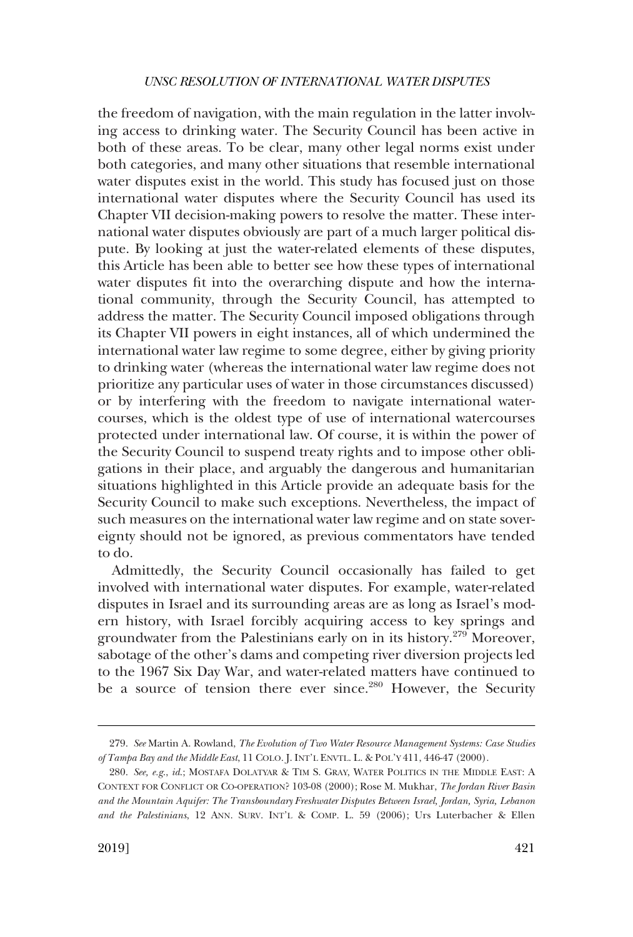the freedom of navigation, with the main regulation in the latter involving access to drinking water. The Security Council has been active in both of these areas. To be clear, many other legal norms exist under both categories, and many other situations that resemble international water disputes exist in the world. This study has focused just on those international water disputes where the Security Council has used its Chapter VII decision-making powers to resolve the matter. These international water disputes obviously are part of a much larger political dispute. By looking at just the water-related elements of these disputes, this Article has been able to better see how these types of international water disputes fit into the overarching dispute and how the international community, through the Security Council, has attempted to address the matter. The Security Council imposed obligations through its Chapter VII powers in eight instances, all of which undermined the international water law regime to some degree, either by giving priority to drinking water (whereas the international water law regime does not prioritize any particular uses of water in those circumstances discussed) or by interfering with the freedom to navigate international watercourses, which is the oldest type of use of international watercourses protected under international law. Of course, it is within the power of the Security Council to suspend treaty rights and to impose other obligations in their place, and arguably the dangerous and humanitarian situations highlighted in this Article provide an adequate basis for the Security Council to make such exceptions. Nevertheless, the impact of such measures on the international water law regime and on state sovereignty should not be ignored, as previous commentators have tended to do.

Admittedly, the Security Council occasionally has failed to get involved with international water disputes. For example, water-related disputes in Israel and its surrounding areas are as long as Israel's modern history, with Israel forcibly acquiring access to key springs and groundwater from the Palestinians early on in its history.279 Moreover, sabotage of the other's dams and competing river diversion projects led to the 1967 Six Day War, and water-related matters have continued to be a source of tension there ever since.<sup>280</sup> However, the Security

<sup>279.</sup> *See* Martin A. Rowland, *The Evolution of Two Water Resource Management Systems: Case Studies of Tampa Bay and the Middle East*, 11 COLO. J. INT'L ENVTL. L. & POL'Y 411, 446-47 (2000).

<sup>280.</sup> *See, e.g*., *id*.; MOSTAFA DOLATYAR & TIM S. GRAY, WATER POLITICS IN THE MIDDLE EAST: A CONTEXT FOR CONFLICT OR CO-OPERATION? 103-08 (2000); Rose M. Mukhar, *The Jordan River Basin and the Mountain Aquifer: The Transboundary Freshwater Disputes Between Israel, Jordan, Syria, Lebanon and the Palestinians*, 12 ANN. SURV. INT'L & COMP. L. 59 (2006); Urs Luterbacher & Ellen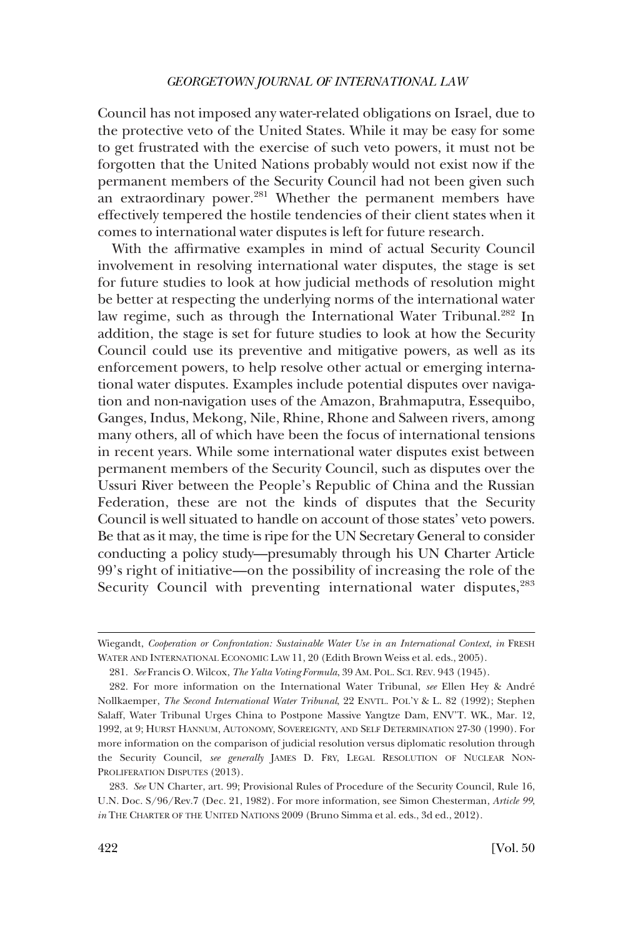Council has not imposed any water-related obligations on Israel, due to the protective veto of the United States. While it may be easy for some to get frustrated with the exercise of such veto powers, it must not be forgotten that the United Nations probably would not exist now if the permanent members of the Security Council had not been given such an extraordinary power.<sup>281</sup> Whether the permanent members have effectively tempered the hostile tendencies of their client states when it comes to international water disputes is left for future research.

With the affirmative examples in mind of actual Security Council involvement in resolving international water disputes, the stage is set for future studies to look at how judicial methods of resolution might be better at respecting the underlying norms of the international water law regime, such as through the International Water Tribunal.<sup>282</sup> In addition, the stage is set for future studies to look at how the Security Council could use its preventive and mitigative powers, as well as its enforcement powers, to help resolve other actual or emerging international water disputes. Examples include potential disputes over navigation and non-navigation uses of the Amazon, Brahmaputra, Essequibo, Ganges, Indus, Mekong, Nile, Rhine, Rhone and Salween rivers, among many others, all of which have been the focus of international tensions in recent years. While some international water disputes exist between permanent members of the Security Council, such as disputes over the Ussuri River between the People's Republic of China and the Russian Federation, these are not the kinds of disputes that the Security Council is well situated to handle on account of those states' veto powers. Be that as it may, the time is ripe for the UN Secretary General to consider conducting a policy study—presumably through his UN Charter Article 99's right of initiative—on the possibility of increasing the role of the Security Council with preventing international water disputes,<sup>283</sup>

Wiegandt, *Cooperation or Confrontation: Sustainable Water Use in an International Context*, *in* FRESH WATER AND INTERNATIONAL ECONOMIC LAW 11, 20 (Edith Brown Weiss et al. eds., 2005).

<sup>281.</sup> *See* Francis O. Wilcox, *The Yalta Voting Formula*, 39 AM. POL. SCI. REV. 943 (1945).

<sup>282.</sup> For more information on the International Water Tribunal, *see* Ellen Hey & Andre´ Nollkaemper, *The Second International Water Tribunal*, 22 ENVTL. POL'Y & L. 82 (1992); Stephen Salaff, Water Tribunal Urges China to Postpone Massive Yangtze Dam, ENV'T. WK., Mar. 12, 1992, at 9; HURST HANNUM, AUTONOMY, SOVEREIGNTY, AND SELF DETERMINATION 27-30 (1990). For more information on the comparison of judicial resolution versus diplomatic resolution through the Security Council, *see generally* JAMES D. FRY, LEGAL RESOLUTION OF NUCLEAR NON-PROLIFERATION DISPUTES (2013).

<sup>283.</sup> *See* UN Charter, art. 99; Provisional Rules of Procedure of the Security Council, Rule 16, U.N. Doc. S/96/Rev.7 (Dec. 21, 1982). For more information, see Simon Chesterman, *Article 99*, *in* THE CHARTER OF THE UNITED NATIONS 2009 (Bruno Simma et al. eds., 3d ed., 2012).